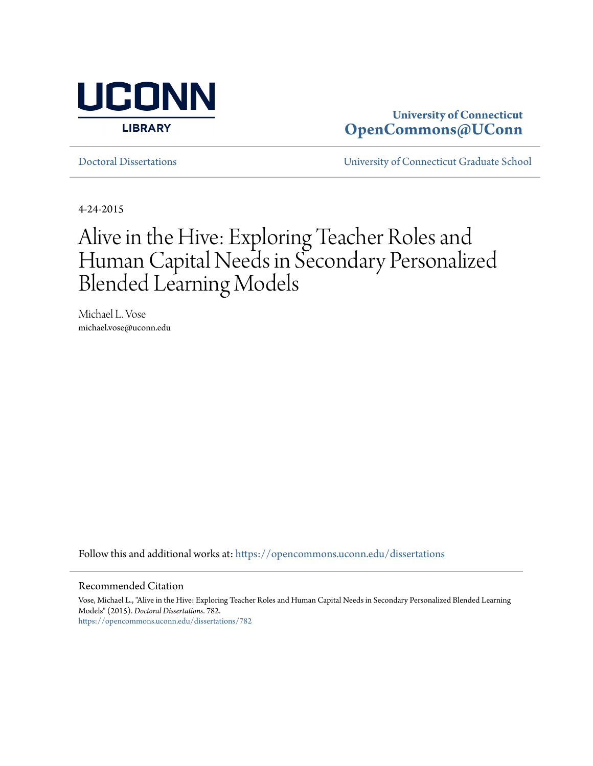

# **University of Connecticut [OpenCommons@UConn](https://opencommons.uconn.edu?utm_source=opencommons.uconn.edu%2Fdissertations%2F782&utm_medium=PDF&utm_campaign=PDFCoverPages)**

[Doctoral Dissertations](https://opencommons.uconn.edu/dissertations?utm_source=opencommons.uconn.edu%2Fdissertations%2F782&utm_medium=PDF&utm_campaign=PDFCoverPages) [University of Connecticut Graduate School](https://opencommons.uconn.edu/gs?utm_source=opencommons.uconn.edu%2Fdissertations%2F782&utm_medium=PDF&utm_campaign=PDFCoverPages)

4-24-2015

# Alive in the Hive: Exploring Teacher Roles and Human Capital Needs in Secondary Personalized Blended Learning Models

Michael L. Vose michael.vose@uconn.edu

Follow this and additional works at: [https://opencommons.uconn.edu/dissertations](https://opencommons.uconn.edu/dissertations?utm_source=opencommons.uconn.edu%2Fdissertations%2F782&utm_medium=PDF&utm_campaign=PDFCoverPages)

#### Recommended Citation

Vose, Michael L., "Alive in the Hive: Exploring Teacher Roles and Human Capital Needs in Secondary Personalized Blended Learning Models" (2015). *Doctoral Dissertations*. 782. [https://opencommons.uconn.edu/dissertations/782](https://opencommons.uconn.edu/dissertations/782?utm_source=opencommons.uconn.edu%2Fdissertations%2F782&utm_medium=PDF&utm_campaign=PDFCoverPages)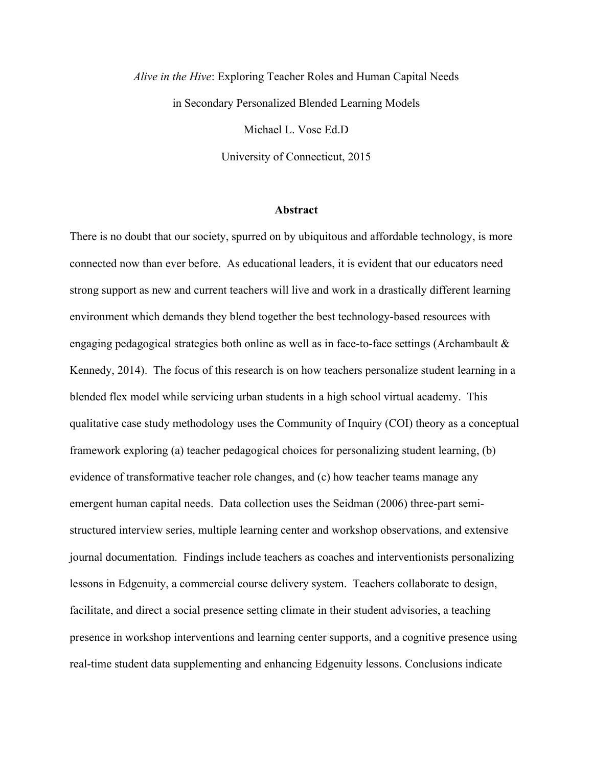*Alive in the Hive*: Exploring Teacher Roles and Human Capital Needs in Secondary Personalized Blended Learning Models Michael L. Vose Ed.D

University of Connecticut, 2015

#### **Abstract**

There is no doubt that our society, spurred on by ubiquitous and affordable technology, is more connected now than ever before. As educational leaders, it is evident that our educators need strong support as new and current teachers will live and work in a drastically different learning environment which demands they blend together the best technology-based resources with engaging pedagogical strategies both online as well as in face-to-face settings (Archambault & Kennedy, 2014). The focus of this research is on how teachers personalize student learning in a blended flex model while servicing urban students in a high school virtual academy. This qualitative case study methodology uses the Community of Inquiry (COI) theory as a conceptual framework exploring (a) teacher pedagogical choices for personalizing student learning, (b) evidence of transformative teacher role changes, and (c) how teacher teams manage any emergent human capital needs. Data collection uses the Seidman (2006) three-part semistructured interview series, multiple learning center and workshop observations, and extensive journal documentation. Findings include teachers as coaches and interventionists personalizing lessons in Edgenuity, a commercial course delivery system. Teachers collaborate to design, facilitate, and direct a social presence setting climate in their student advisories, a teaching presence in workshop interventions and learning center supports, and a cognitive presence using real-time student data supplementing and enhancing Edgenuity lessons. Conclusions indicate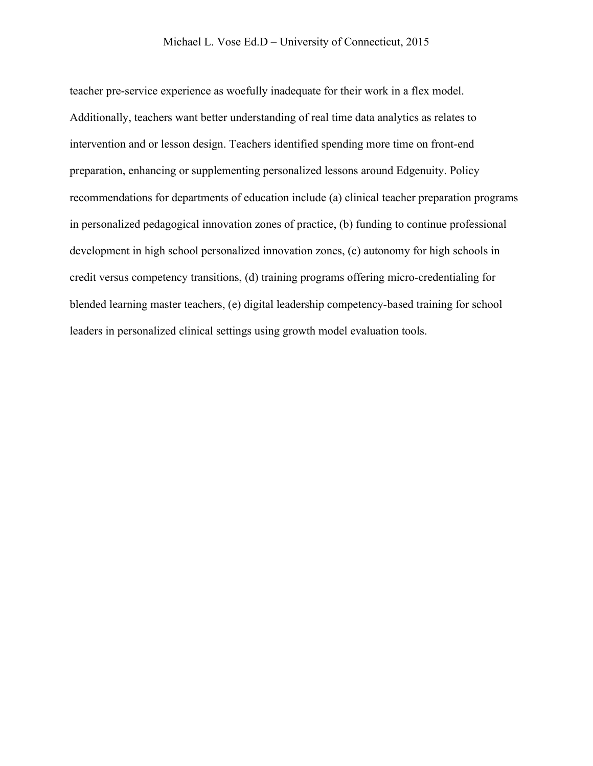teacher pre-service experience as woefully inadequate for their work in a flex model. Additionally, teachers want better understanding of real time data analytics as relates to intervention and or lesson design. Teachers identified spending more time on front-end preparation, enhancing or supplementing personalized lessons around Edgenuity. Policy recommendations for departments of education include (a) clinical teacher preparation programs in personalized pedagogical innovation zones of practice, (b) funding to continue professional development in high school personalized innovation zones, (c) autonomy for high schools in credit versus competency transitions, (d) training programs offering micro-credentialing for blended learning master teachers, (e) digital leadership competency-based training for school leaders in personalized clinical settings using growth model evaluation tools.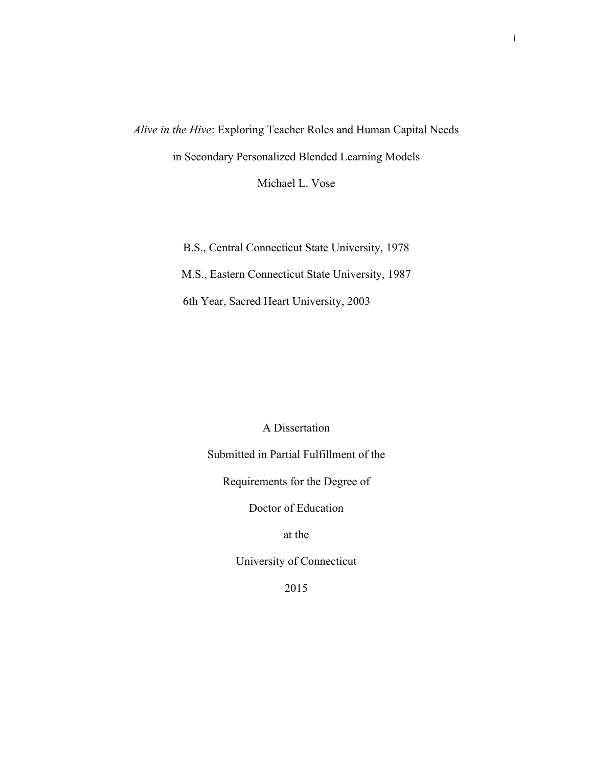*Alive in the Hive*: Exploring Teacher Roles and Human Capital Needs in Secondary Personalized Blended Learning Models

Michael L. Vose

B.S., Central Connecticut State University, 1978

M.S., Eastern Connecticut State University, 1987

6th Year, Sacred Heart University, 2003

A Dissertation

Submitted in Partial Fulfillment of the

Requirements for the Degree of

Doctor of Education

at the

University of Connecticut

2015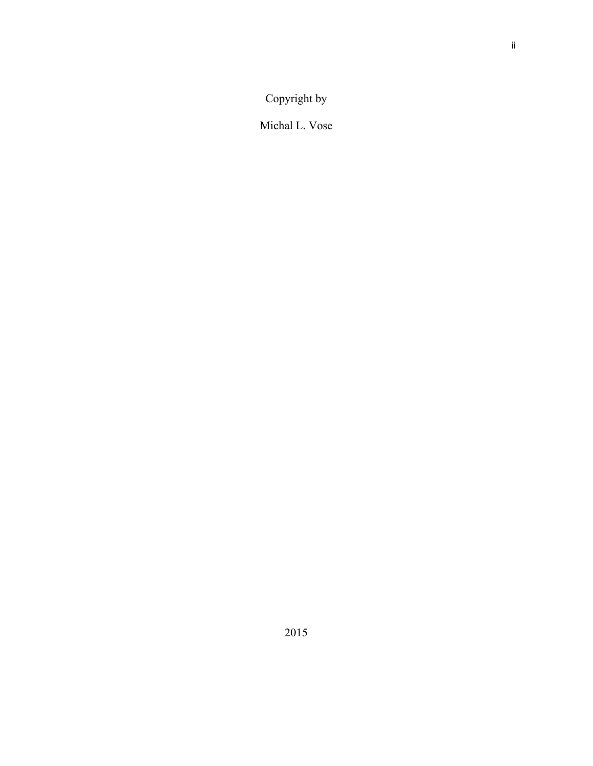Copyright by

Michal L. Vose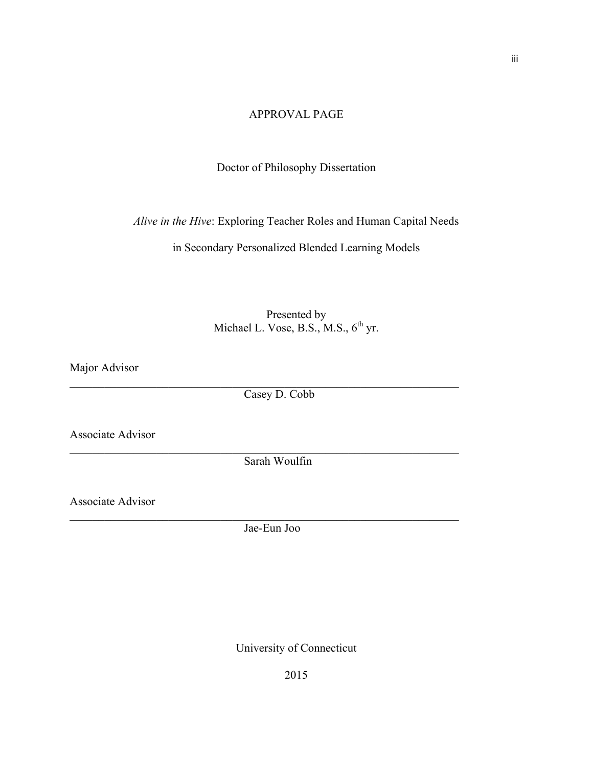# APPROVAL PAGE

# Doctor of Philosophy Dissertation

*Alive in the Hive*: Exploring Teacher Roles and Human Capital Needs

in Secondary Personalized Blended Learning Models

# Presented by Michael L. Vose, B.S., M.S.,  $6<sup>th</sup>$  yr.

Major Advisor

Casey D. Cobb

 $\mathcal{L}_\mathcal{L} = \{ \mathcal{L}_\mathcal{L} = \{ \mathcal{L}_\mathcal{L} = \{ \mathcal{L}_\mathcal{L} = \{ \mathcal{L}_\mathcal{L} = \{ \mathcal{L}_\mathcal{L} = \{ \mathcal{L}_\mathcal{L} = \{ \mathcal{L}_\mathcal{L} = \{ \mathcal{L}_\mathcal{L} = \{ \mathcal{L}_\mathcal{L} = \{ \mathcal{L}_\mathcal{L} = \{ \mathcal{L}_\mathcal{L} = \{ \mathcal{L}_\mathcal{L} = \{ \mathcal{L}_\mathcal{L} = \{ \mathcal{L}_\mathcal{$ 

 $\mathcal{L}_\mathcal{L} = \{ \mathcal{L}_\mathcal{L} = \{ \mathcal{L}_\mathcal{L} = \{ \mathcal{L}_\mathcal{L} = \{ \mathcal{L}_\mathcal{L} = \{ \mathcal{L}_\mathcal{L} = \{ \mathcal{L}_\mathcal{L} = \{ \mathcal{L}_\mathcal{L} = \{ \mathcal{L}_\mathcal{L} = \{ \mathcal{L}_\mathcal{L} = \{ \mathcal{L}_\mathcal{L} = \{ \mathcal{L}_\mathcal{L} = \{ \mathcal{L}_\mathcal{L} = \{ \mathcal{L}_\mathcal{L} = \{ \mathcal{L}_\mathcal{$ 

Associate Advisor

Sarah Woulfin

Associate Advisor

Jae-Eun Joo

 $\mathcal{L}_\mathcal{L} = \{ \mathcal{L}_\mathcal{L} = \{ \mathcal{L}_\mathcal{L} = \{ \mathcal{L}_\mathcal{L} = \{ \mathcal{L}_\mathcal{L} = \{ \mathcal{L}_\mathcal{L} = \{ \mathcal{L}_\mathcal{L} = \{ \mathcal{L}_\mathcal{L} = \{ \mathcal{L}_\mathcal{L} = \{ \mathcal{L}_\mathcal{L} = \{ \mathcal{L}_\mathcal{L} = \{ \mathcal{L}_\mathcal{L} = \{ \mathcal{L}_\mathcal{L} = \{ \mathcal{L}_\mathcal{L} = \{ \mathcal{L}_\mathcal{$ 

University of Connecticut

iii

2015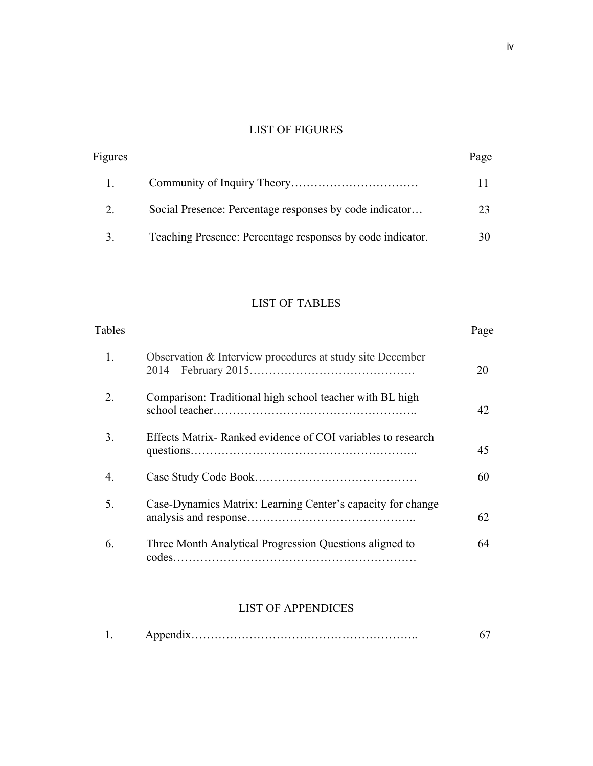# LIST OF FIGURES

| Figures |                                                            | Page |
|---------|------------------------------------------------------------|------|
|         |                                                            |      |
| 2.      | Social Presence: Percentage responses by code indicator    |      |
| 3.      | Teaching Presence: Percentage responses by code indicator. |      |

# LIST OF TABLES

| Tables |                                                             | Page |
|--------|-------------------------------------------------------------|------|
| 1.     | Observation & Interview procedures at study site December   | 20   |
| 2.     | Comparison: Traditional high school teacher with BL high    | 42   |
| 3.     | Effects Matrix-Ranked evidence of COI variables to research | 45   |
| 4      |                                                             | 60   |
| 5.     | Case-Dynamics Matrix: Learning Center's capacity for change | 62   |
| 6.     | Three Month Analytical Progression Questions aligned to     | 64   |
|        |                                                             |      |

# LIST OF APPENDICES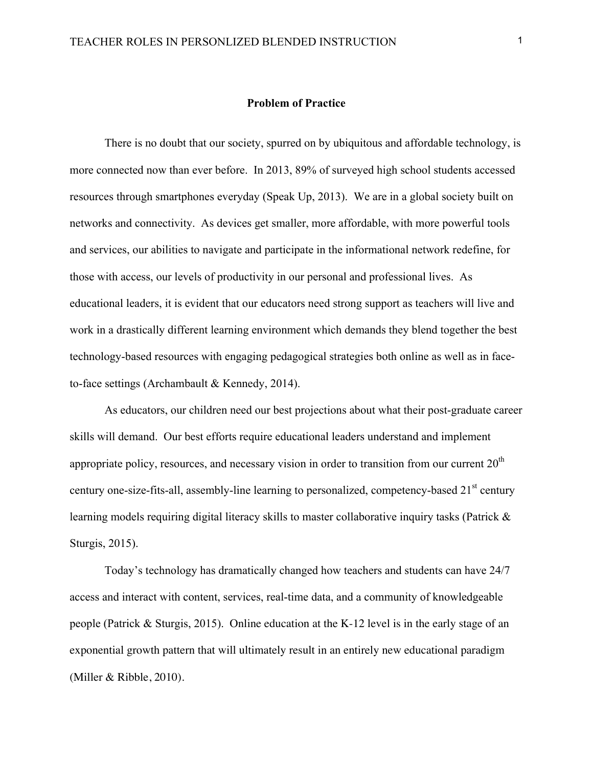# **Problem of Practice**

There is no doubt that our society, spurred on by ubiquitous and affordable technology, is more connected now than ever before. In 2013, 89% of surveyed high school students accessed resources through smartphones everyday (Speak Up, 2013). We are in a global society built on networks and connectivity. As devices get smaller, more affordable, with more powerful tools and services, our abilities to navigate and participate in the informational network redefine, for those with access, our levels of productivity in our personal and professional lives. As educational leaders, it is evident that our educators need strong support as teachers will live and work in a drastically different learning environment which demands they blend together the best technology-based resources with engaging pedagogical strategies both online as well as in faceto-face settings (Archambault & Kennedy, 2014).

As educators, our children need our best projections about what their post-graduate career skills will demand. Our best efforts require educational leaders understand and implement appropriate policy, resources, and necessary vision in order to transition from our current  $20<sup>th</sup>$ century one-size-fits-all, assembly-line learning to personalized, competency-based 21<sup>st</sup> century learning models requiring digital literacy skills to master collaborative inquiry tasks (Patrick & Sturgis, 2015).

Today's technology has dramatically changed how teachers and students can have 24/7 access and interact with content, services, real-time data, and a community of knowledgeable people (Patrick & Sturgis, 2015). Online education at the K-12 level is in the early stage of an exponential growth pattern that will ultimately result in an entirely new educational paradigm (Miller & Ribble, 2010).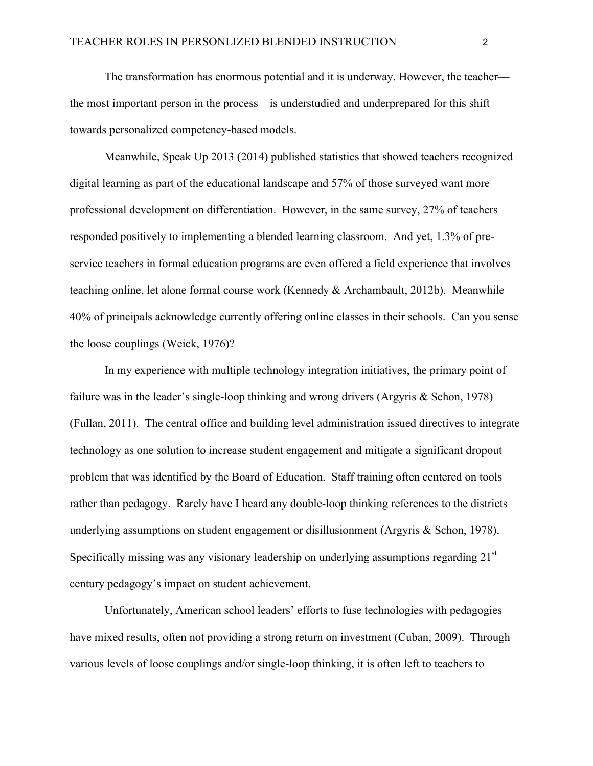The transformation has enormous potential and it is underway. However, the teacher the most important person in the process—is understudied and underprepared for this shift towards personalized competency-based models.

Meanwhile, Speak Up 2013 (2014) published statistics that showed teachers recognized digital learning as part of the educational landscape and 57% of those surveyed want more professional development on differentiation. However, in the same survey, 27% of teachers responded positively to implementing a blended learning classroom. And yet, 1.3% of preservice teachers in formal education programs are even offered a field experience that involves teaching online, let alone formal course work (Kennedy & Archambault, 2012b). Meanwhile 40% of principals acknowledge currently offering online classes in their schools. Can you sense the loose couplings (Weick, 1976)?

In my experience with multiple technology integration initiatives, the primary point of failure was in the leader's single-loop thinking and wrong drivers (Argyris & Schon, 1978) (Fullan, 2011). The central office and building level administration issued directives to integrate technology as one solution to increase student engagement and mitigate a significant dropout problem that was identified by the Board of Education. Staff training often centered on tools rather than pedagogy. Rarely have I heard any double-loop thinking references to the districts underlying assumptions on student engagement or disillusionment (Argyris & Schon, 1978). Specifically missing was any visionary leadership on underlying assumptions regarding 21<sup>st</sup> century pedagogy's impact on student achievement.

Unfortunately, American school leaders' efforts to fuse technologies with pedagogies have mixed results, often not providing a strong return on investment (Cuban, 2009). Through various levels of loose couplings and/or single-loop thinking, it is often left to teachers to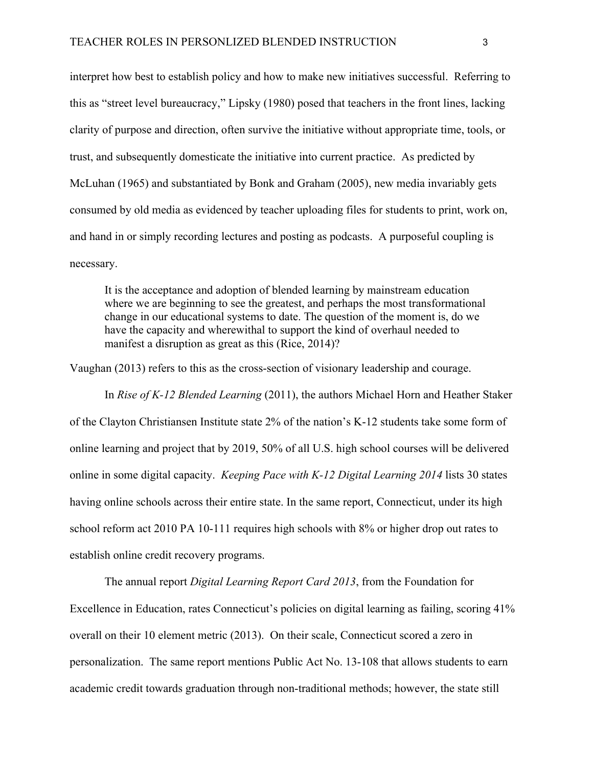interpret how best to establish policy and how to make new initiatives successful. Referring to this as "street level bureaucracy," Lipsky (1980) posed that teachers in the front lines, lacking clarity of purpose and direction, often survive the initiative without appropriate time, tools, or trust, and subsequently domesticate the initiative into current practice. As predicted by McLuhan (1965) and substantiated by Bonk and Graham (2005), new media invariably gets consumed by old media as evidenced by teacher uploading files for students to print, work on, and hand in or simply recording lectures and posting as podcasts. A purposeful coupling is necessary.

It is the acceptance and adoption of blended learning by mainstream education where we are beginning to see the greatest, and perhaps the most transformational change in our educational systems to date. The question of the moment is, do we have the capacity and wherewithal to support the kind of overhaul needed to manifest a disruption as great as this (Rice, 2014)?

Vaughan (2013) refers to this as the cross-section of visionary leadership and courage.

In *Rise of K-12 Blended Learning* (2011), the authors Michael Horn and Heather Staker of the Clayton Christiansen Institute state 2% of the nation's K-12 students take some form of online learning and project that by 2019, 50% of all U.S. high school courses will be delivered online in some digital capacity. *Keeping Pace with K-12 Digital Learning 2014* lists 30 states having online schools across their entire state. In the same report, Connecticut, under its high school reform act 2010 PA 10-111 requires high schools with 8% or higher drop out rates to establish online credit recovery programs.

The annual report *Digital Learning Report Card 2013*, from the Foundation for Excellence in Education, rates Connecticut's policies on digital learning as failing, scoring 41% overall on their 10 element metric (2013). On their scale, Connecticut scored a zero in personalization. The same report mentions Public Act No. 13-108 that allows students to earn academic credit towards graduation through non-traditional methods; however, the state still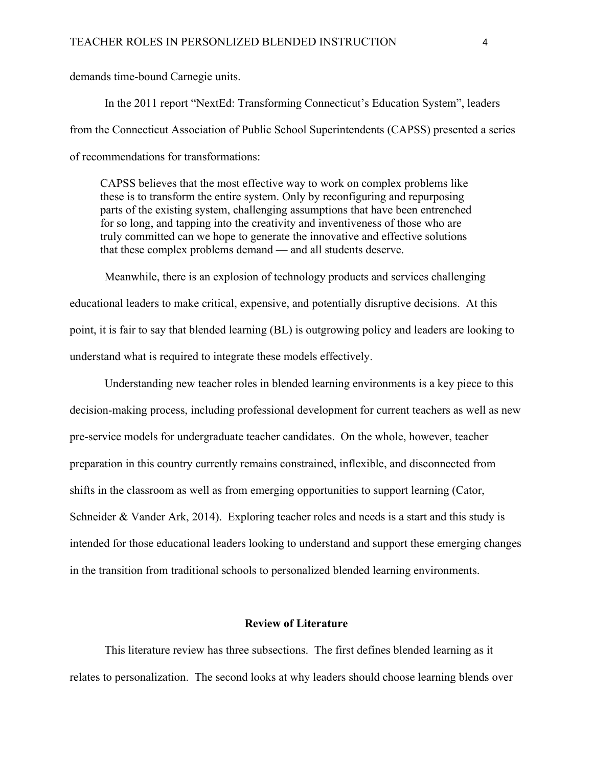demands time-bound Carnegie units.

In the 2011 report "NextEd: Transforming Connecticut's Education System", leaders from the Connecticut Association of Public School Superintendents (CAPSS) presented a series of recommendations for transformations:

CAPSS believes that the most effective way to work on complex problems like these is to transform the entire system. Only by reconfiguring and repurposing parts of the existing system, challenging assumptions that have been entrenched for so long, and tapping into the creativity and inventiveness of those who are truly committed can we hope to generate the innovative and effective solutions that these complex problems demand — and all students deserve.

Meanwhile, there is an explosion of technology products and services challenging educational leaders to make critical, expensive, and potentially disruptive decisions. At this point, it is fair to say that blended learning (BL) is outgrowing policy and leaders are looking to understand what is required to integrate these models effectively.

Understanding new teacher roles in blended learning environments is a key piece to this decision-making process, including professional development for current teachers as well as new pre-service models for undergraduate teacher candidates. On the whole, however, teacher preparation in this country currently remains constrained, inflexible, and disconnected from shifts in the classroom as well as from emerging opportunities to support learning (Cator, Schneider & Vander Ark, 2014). Exploring teacher roles and needs is a start and this study is intended for those educational leaders looking to understand and support these emerging changes in the transition from traditional schools to personalized blended learning environments.

# **Review of Literature**

This literature review has three subsections. The first defines blended learning as it relates to personalization. The second looks at why leaders should choose learning blends over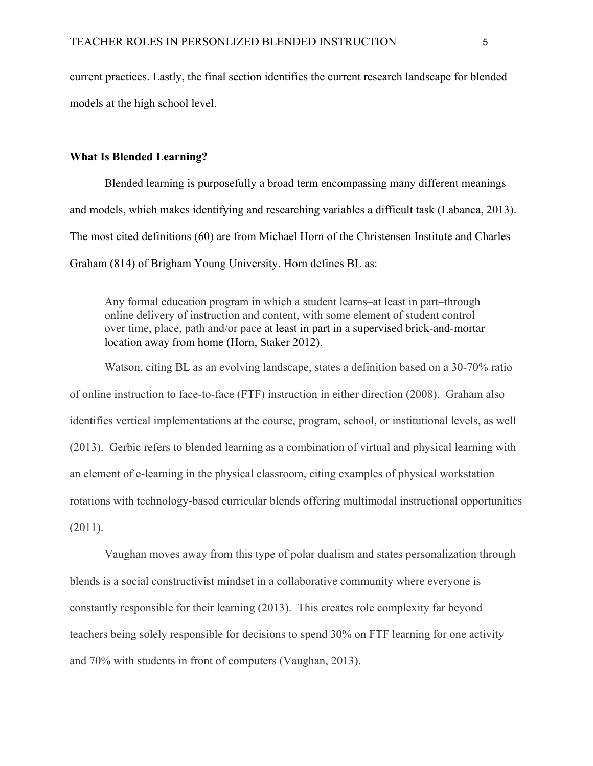current practices. Lastly, the final section identifies the current research landscape for blended models at the high school level.

#### **What Is Blended Learning?**

Blended learning is purposefully a broad term encompassing many different meanings and models, which makes identifying and researching variables a difficult task (Labanca, 2013). The most cited definitions (60) are from Michael Horn of the Christensen Institute and Charles Graham (814) of Brigham Young University. Horn defines BL as:

Any formal education program in which a student learns–at least in part–through online delivery of instruction and content, with some element of student control over time, place, path and/or pace at least in part in a supervised brick-and-mortar location away from home (Horn, Staker 2012).

Watson, citing BL as an evolving landscape, states a definition based on a 30-70% ratio of online instruction to face-to-face (FTF) instruction in either direction (2008). Graham also identifies vertical implementations at the course, program, school, or institutional levels, as well (2013). Gerbic refers to blended learning as a combination of virtual and physical learning with an element of e-learning in the physical classroom, citing examples of physical workstation rotations with technology-based curricular blends offering multimodal instructional opportunities (2011).

Vaughan moves away from this type of polar dualism and states personalization through blends is a social constructivist mindset in a collaborative community where everyone is constantly responsible for their learning (2013). This creates role complexity far beyond teachers being solely responsible for decisions to spend 30% on FTF learning for one activity and 70% with students in front of computers (Vaughan, 2013).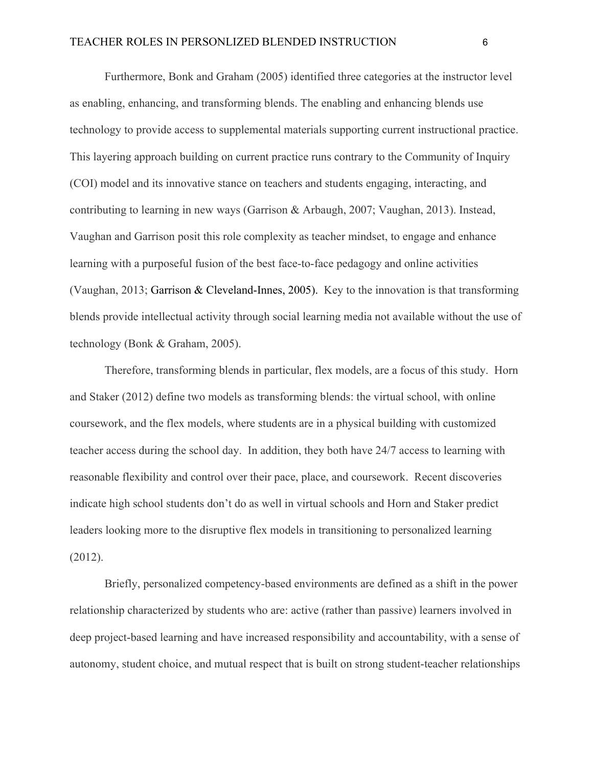Furthermore, Bonk and Graham (2005) identified three categories at the instructor level as enabling, enhancing, and transforming blends. The enabling and enhancing blends use technology to provide access to supplemental materials supporting current instructional practice. This layering approach building on current practice runs contrary to the Community of Inquiry (COI) model and its innovative stance on teachers and students engaging, interacting, and contributing to learning in new ways (Garrison & Arbaugh, 2007; Vaughan, 2013). Instead, Vaughan and Garrison posit this role complexity as teacher mindset, to engage and enhance learning with a purposeful fusion of the best face-to-face pedagogy and online activities (Vaughan, 2013; Garrison & Cleveland-Innes, 2005). Key to the innovation is that transforming blends provide intellectual activity through social learning media not available without the use of technology (Bonk & Graham, 2005).

Therefore, transforming blends in particular, flex models, are a focus of this study. Horn and Staker (2012) define two models as transforming blends: the virtual school, with online coursework, and the flex models, where students are in a physical building with customized teacher access during the school day. In addition, they both have 24/7 access to learning with reasonable flexibility and control over their pace, place, and coursework. Recent discoveries indicate high school students don't do as well in virtual schools and Horn and Staker predict leaders looking more to the disruptive flex models in transitioning to personalized learning (2012).

Briefly, personalized competency-based environments are defined as a shift in the power relationship characterized by students who are: active (rather than passive) learners involved in deep project-based learning and have increased responsibility and accountability, with a sense of autonomy, student choice, and mutual respect that is built on strong student-teacher relationships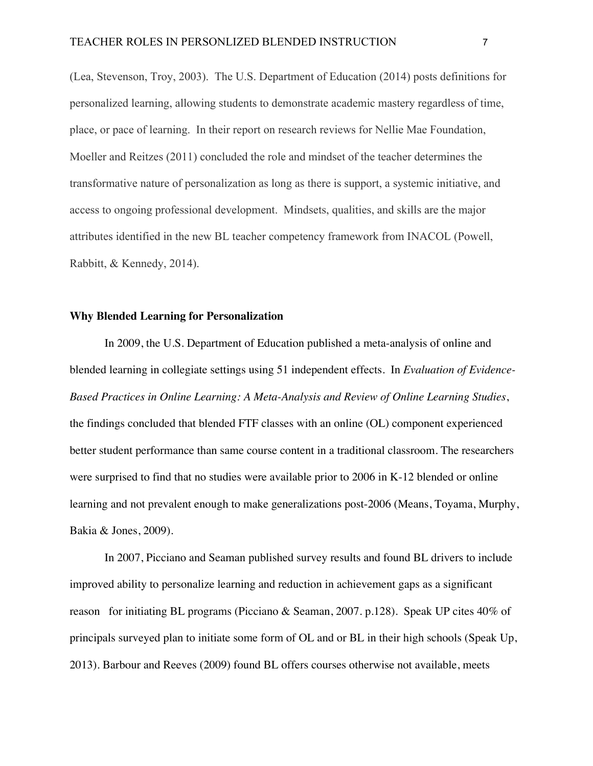(Lea, Stevenson, Troy, 2003). The U.S. Department of Education (2014) posts definitions for personalized learning, allowing students to demonstrate academic mastery regardless of time, place, or pace of learning. In their report on research reviews for Nellie Mae Foundation, Moeller and Reitzes (2011) concluded the role and mindset of the teacher determines the transformative nature of personalization as long as there is support, a systemic initiative, and access to ongoing professional development. Mindsets, qualities, and skills are the major attributes identified in the new BL teacher competency framework from INACOL (Powell, Rabbitt, & Kennedy, 2014).

# **Why Blended Learning for Personalization**

In 2009, the U.S. Department of Education published a meta-analysis of online and blended learning in collegiate settings using 51 independent effects. In *Evaluation of Evidence-Based Practices in Online Learning: A Meta-Analysis and Review of Online Learning Studies*, the findings concluded that blended FTF classes with an online (OL) component experienced better student performance than same course content in a traditional classroom. The researchers were surprised to find that no studies were available prior to 2006 in K-12 blended or online learning and not prevalent enough to make generalizations post-2006 (Means, Toyama, Murphy, Bakia & Jones, 2009).

In 2007, Picciano and Seaman published survey results and found BL drivers to include improved ability to personalize learning and reduction in achievement gaps as a significant reason for initiating BL programs (Picciano & Seaman, 2007. p.128). Speak UP cites 40% of principals surveyed plan to initiate some form of OL and or BL in their high schools (Speak Up, 2013). Barbour and Reeves (2009) found BL offers courses otherwise not available, meets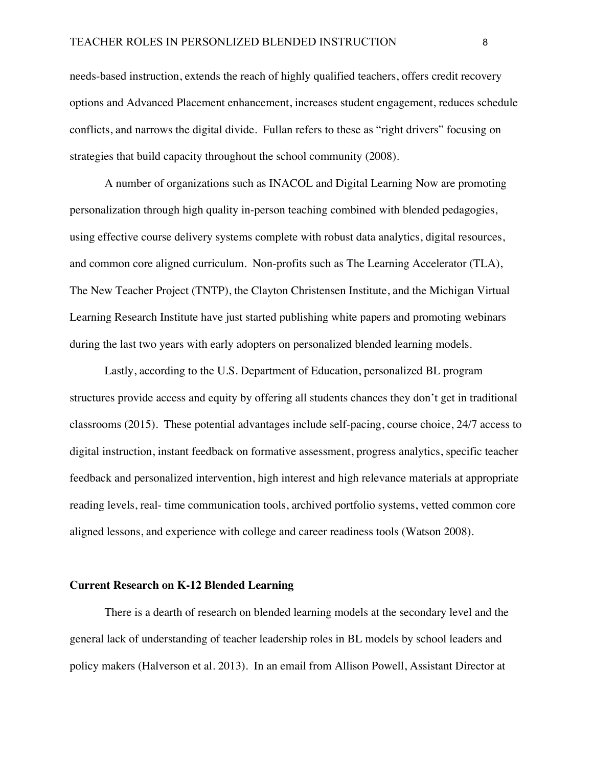needs-based instruction, extends the reach of highly qualified teachers, offers credit recovery options and Advanced Placement enhancement, increases student engagement, reduces schedule conflicts, and narrows the digital divide. Fullan refers to these as "right drivers" focusing on strategies that build capacity throughout the school community (2008).

A number of organizations such as INACOL and Digital Learning Now are promoting personalization through high quality in-person teaching combined with blended pedagogies, using effective course delivery systems complete with robust data analytics, digital resources, and common core aligned curriculum. Non-profits such as The Learning Accelerator (TLA), The New Teacher Project (TNTP), the Clayton Christensen Institute, and the Michigan Virtual Learning Research Institute have just started publishing white papers and promoting webinars during the last two years with early adopters on personalized blended learning models.

Lastly, according to the U.S. Department of Education, personalized BL program structures provide access and equity by offering all students chances they don't get in traditional classrooms (2015). These potential advantages include self-pacing, course choice, 24/7 access to digital instruction, instant feedback on formative assessment, progress analytics, specific teacher feedback and personalized intervention, high interest and high relevance materials at appropriate reading levels, real- time communication tools, archived portfolio systems, vetted common core aligned lessons, and experience with college and career readiness tools (Watson 2008).

#### **Current Research on K-12 Blended Learning**

There is a dearth of research on blended learning models at the secondary level and the general lack of understanding of teacher leadership roles in BL models by school leaders and policy makers (Halverson et al. 2013). In an email from Allison Powell, Assistant Director at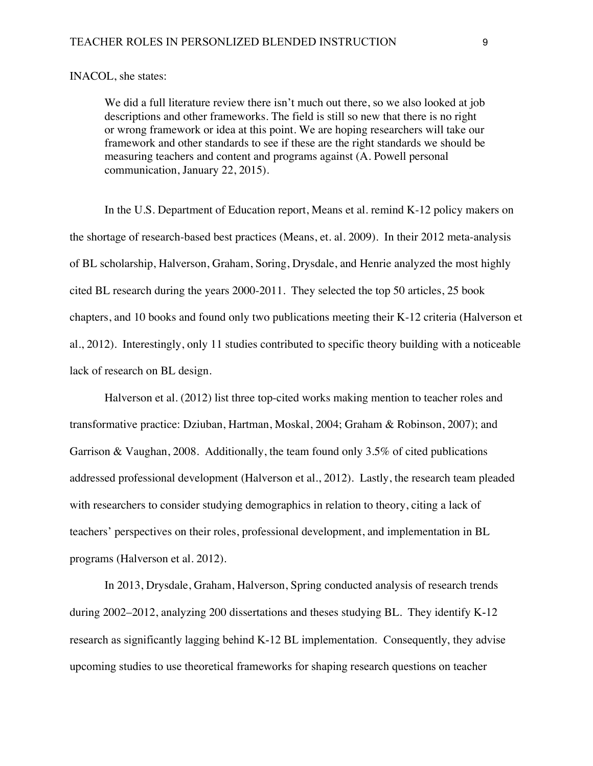#### INACOL, she states:

We did a full literature review there isn't much out there, so we also looked at job descriptions and other frameworks. The field is still so new that there is no right or wrong framework or idea at this point. We are hoping researchers will take our framework and other standards to see if these are the right standards we should be measuring teachers and content and programs against (A. Powell personal communication, January 22, 2015).

In the U.S. Department of Education report, Means et al. remind K-12 policy makers on the shortage of research-based best practices (Means, et. al. 2009). In their 2012 meta-analysis of BL scholarship, Halverson, Graham, Soring, Drysdale, and Henrie analyzed the most highly cited BL research during the years 2000-2011. They selected the top 50 articles, 25 book chapters, and 10 books and found only two publications meeting their K-12 criteria (Halverson et al., 2012). Interestingly, only 11 studies contributed to specific theory building with a noticeable lack of research on BL design.

Halverson et al. (2012) list three top-cited works making mention to teacher roles and transformative practice: Dziuban, Hartman, Moskal, 2004; Graham & Robinson, 2007); and Garrison & Vaughan, 2008. Additionally, the team found only 3.5% of cited publications addressed professional development (Halverson et al., 2012). Lastly, the research team pleaded with researchers to consider studying demographics in relation to theory, citing a lack of teachers' perspectives on their roles, professional development, and implementation in BL programs (Halverson et al. 2012).

In 2013, Drysdale, Graham, Halverson, Spring conducted analysis of research trends during 2002–2012, analyzing 200 dissertations and theses studying BL. They identify K-12 research as significantly lagging behind K-12 BL implementation. Consequently, they advise upcoming studies to use theoretical frameworks for shaping research questions on teacher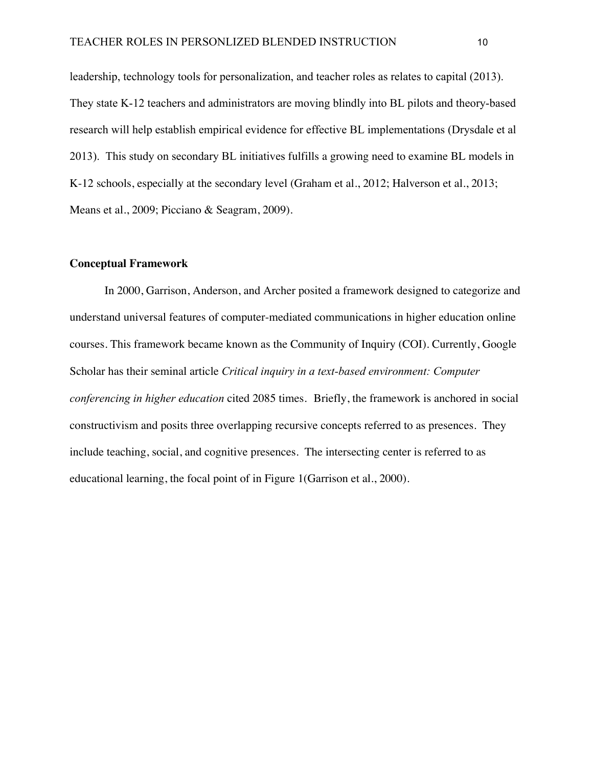leadership, technology tools for personalization, and teacher roles as relates to capital (2013). They state K-12 teachers and administrators are moving blindly into BL pilots and theory-based research will help establish empirical evidence for effective BL implementations (Drysdale et al 2013). This study on secondary BL initiatives fulfills a growing need to examine BL models in K-12 schools, especially at the secondary level (Graham et al., 2012; Halverson et al., 2013; Means et al., 2009; Picciano & Seagram, 2009).

#### **Conceptual Framework**

In 2000, Garrison, Anderson, and Archer posited a framework designed to categorize and understand universal features of computer-mediated communications in higher education online courses. This framework became known as the Community of Inquiry (COI). Currently, Google Scholar has their seminal article *Critical inquiry in a text-based environment: Computer conferencing in higher education* cited 2085 times. Briefly, the framework is anchored in social constructivism and posits three overlapping recursive concepts referred to as presences. They include teaching, social, and cognitive presences. The intersecting center is referred to as educational learning, the focal point of in Figure 1(Garrison et al., 2000).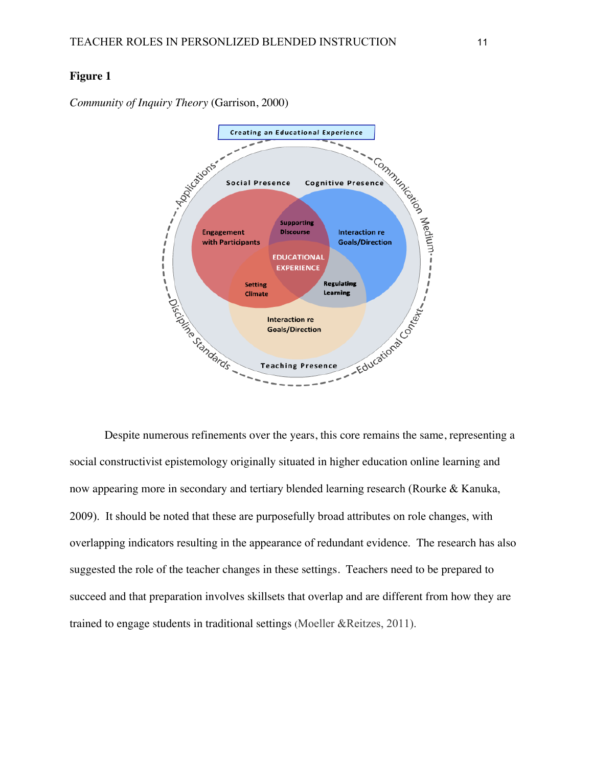# **Figure 1**

*Community of Inquiry Theory* (Garrison, 2000)



Despite numerous refinements over the years, this core remains the same, representing a social constructivist epistemology originally situated in higher education online learning and now appearing more in secondary and tertiary blended learning research (Rourke & Kanuka, 2009). It should be noted that these are purposefully broad attributes on role changes, with overlapping indicators resulting in the appearance of redundant evidence. The research has also suggested the role of the teacher changes in these settings. Teachers need to be prepared to succeed and that preparation involves skillsets that overlap and are different from how they are trained to engage students in traditional settings (Moeller &Reitzes, 2011).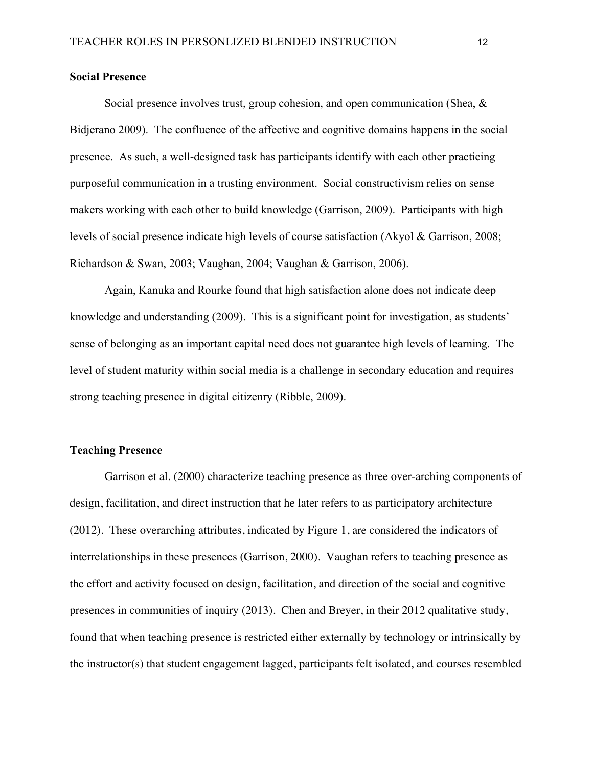#### **Social Presence**

Social presence involves trust, group cohesion, and open communication (Shea, & Bidjerano 2009). The confluence of the affective and cognitive domains happens in the social presence. As such, a well-designed task has participants identify with each other practicing purposeful communication in a trusting environment. Social constructivism relies on sense makers working with each other to build knowledge (Garrison, 2009). Participants with high levels of social presence indicate high levels of course satisfaction (Akyol & Garrison, 2008; Richardson & Swan, 2003; Vaughan, 2004; Vaughan & Garrison, 2006).

Again, Kanuka and Rourke found that high satisfaction alone does not indicate deep knowledge and understanding (2009). This is a significant point for investigation, as students' sense of belonging as an important capital need does not guarantee high levels of learning. The level of student maturity within social media is a challenge in secondary education and requires strong teaching presence in digital citizenry (Ribble, 2009).

## **Teaching Presence**

Garrison et al. (2000) characterize teaching presence as three over-arching components of design, facilitation, and direct instruction that he later refers to as participatory architecture (2012). These overarching attributes, indicated by Figure 1, are considered the indicators of interrelationships in these presences (Garrison, 2000). Vaughan refers to teaching presence as the effort and activity focused on design, facilitation, and direction of the social and cognitive presences in communities of inquiry (2013). Chen and Breyer, in their 2012 qualitative study, found that when teaching presence is restricted either externally by technology or intrinsically by the instructor(s) that student engagement lagged, participants felt isolated, and courses resembled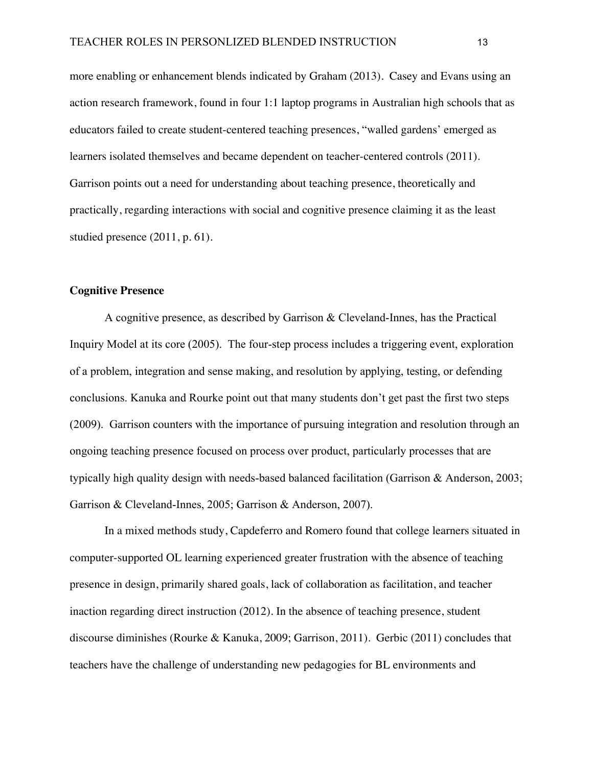more enabling or enhancement blends indicated by Graham (2013). Casey and Evans using an action research framework, found in four 1:1 laptop programs in Australian high schools that as educators failed to create student-centered teaching presences, "walled gardens' emerged as learners isolated themselves and became dependent on teacher-centered controls (2011). Garrison points out a need for understanding about teaching presence, theoretically and practically, regarding interactions with social and cognitive presence claiming it as the least studied presence (2011, p. 61).

#### **Cognitive Presence**

A cognitive presence, as described by Garrison & Cleveland-Innes, has the Practical Inquiry Model at its core (2005). The four-step process includes a triggering event, exploration of a problem, integration and sense making, and resolution by applying, testing, or defending conclusions. Kanuka and Rourke point out that many students don't get past the first two steps (2009). Garrison counters with the importance of pursuing integration and resolution through an ongoing teaching presence focused on process over product, particularly processes that are typically high quality design with needs-based balanced facilitation (Garrison & Anderson, 2003; Garrison & Cleveland-Innes, 2005; Garrison & Anderson, 2007).

In a mixed methods study, Capdeferro and Romero found that college learners situated in computer-supported OL learning experienced greater frustration with the absence of teaching presence in design, primarily shared goals, lack of collaboration as facilitation, and teacher inaction regarding direct instruction (2012). In the absence of teaching presence, student discourse diminishes (Rourke & Kanuka, 2009; Garrison, 2011). Gerbic (2011) concludes that teachers have the challenge of understanding new pedagogies for BL environments and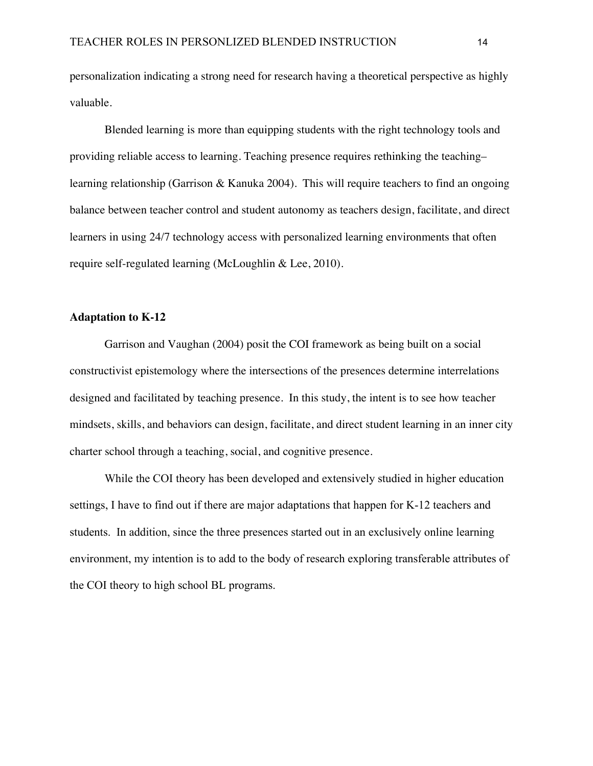personalization indicating a strong need for research having a theoretical perspective as highly valuable.

Blended learning is more than equipping students with the right technology tools and providing reliable access to learning. Teaching presence requires rethinking the teaching– learning relationship (Garrison & Kanuka 2004). This will require teachers to find an ongoing balance between teacher control and student autonomy as teachers design, facilitate, and direct learners in using 24/7 technology access with personalized learning environments that often require self-regulated learning (McLoughlin & Lee, 2010).

# **Adaptation to K-12**

Garrison and Vaughan (2004) posit the COI framework as being built on a social constructivist epistemology where the intersections of the presences determine interrelations designed and facilitated by teaching presence. In this study, the intent is to see how teacher mindsets, skills, and behaviors can design, facilitate, and direct student learning in an inner city charter school through a teaching, social, and cognitive presence.

While the COI theory has been developed and extensively studied in higher education settings, I have to find out if there are major adaptations that happen for K-12 teachers and students. In addition, since the three presences started out in an exclusively online learning environment, my intention is to add to the body of research exploring transferable attributes of the COI theory to high school BL programs.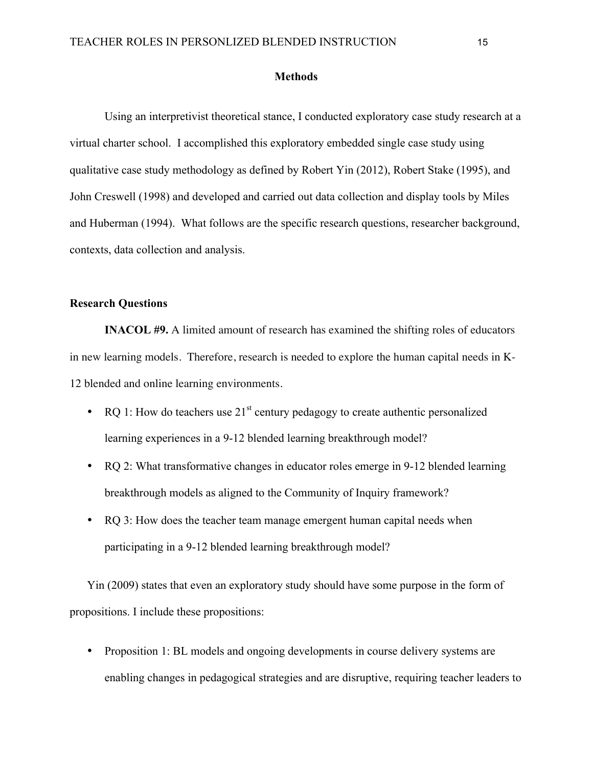#### **Methods**

Using an interpretivist theoretical stance, I conducted exploratory case study research at a virtual charter school. I accomplished this exploratory embedded single case study using qualitative case study methodology as defined by Robert Yin (2012), Robert Stake (1995), and John Creswell (1998) and developed and carried out data collection and display tools by Miles and Huberman (1994). What follows are the specific research questions, researcher background, contexts, data collection and analysis.

## **Research Questions**

**INACOL #9.** A limited amount of research has examined the shifting roles of educators in new learning models. Therefore, research is needed to explore the human capital needs in K-12 blended and online learning environments.

- RQ 1: How do teachers use  $21^{st}$  century pedagogy to create authentic personalized learning experiences in a 9-12 blended learning breakthrough model?
- RQ 2: What transformative changes in educator roles emerge in 9-12 blended learning breakthrough models as aligned to the Community of Inquiry framework?
- RQ 3: How does the teacher team manage emergent human capital needs when participating in a 9-12 blended learning breakthrough model?

Yin (2009) states that even an exploratory study should have some purpose in the form of propositions. I include these propositions:

• Proposition 1: BL models and ongoing developments in course delivery systems are enabling changes in pedagogical strategies and are disruptive, requiring teacher leaders to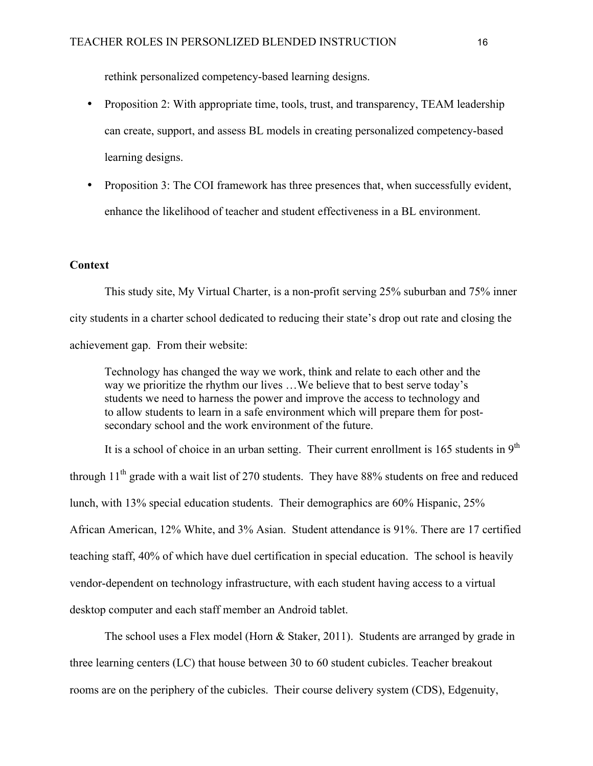rethink personalized competency-based learning designs.

- Proposition 2: With appropriate time, tools, trust, and transparency, TEAM leadership can create, support, and assess BL models in creating personalized competency-based learning designs.
- Proposition 3: The COI framework has three presences that, when successfully evident, enhance the likelihood of teacher and student effectiveness in a BL environment.

## **Context**

This study site, My Virtual Charter, is a non-profit serving 25% suburban and 75% inner city students in a charter school dedicated to reducing their state's drop out rate and closing the achievement gap. From their website:

Technology has changed the way we work, think and relate to each other and the way we prioritize the rhythm our lives …We believe that to best serve today's students we need to harness the power and improve the access to technology and to allow students to learn in a safe environment which will prepare them for postsecondary school and the work environment of the future.

It is a school of choice in an urban setting. Their current enrollment is  $165$  students in  $9<sup>th</sup>$ through  $11<sup>th</sup>$  grade with a wait list of 270 students. They have 88% students on free and reduced lunch, with 13% special education students. Their demographics are 60% Hispanic, 25% African American, 12% White, and 3% Asian. Student attendance is 91%. There are 17 certified teaching staff, 40% of which have duel certification in special education. The school is heavily vendor-dependent on technology infrastructure, with each student having access to a virtual desktop computer and each staff member an Android tablet.

The school uses a Flex model (Horn & Staker, 2011). Students are arranged by grade in three learning centers (LC) that house between 30 to 60 student cubicles. Teacher breakout rooms are on the periphery of the cubicles. Their course delivery system (CDS), Edgenuity,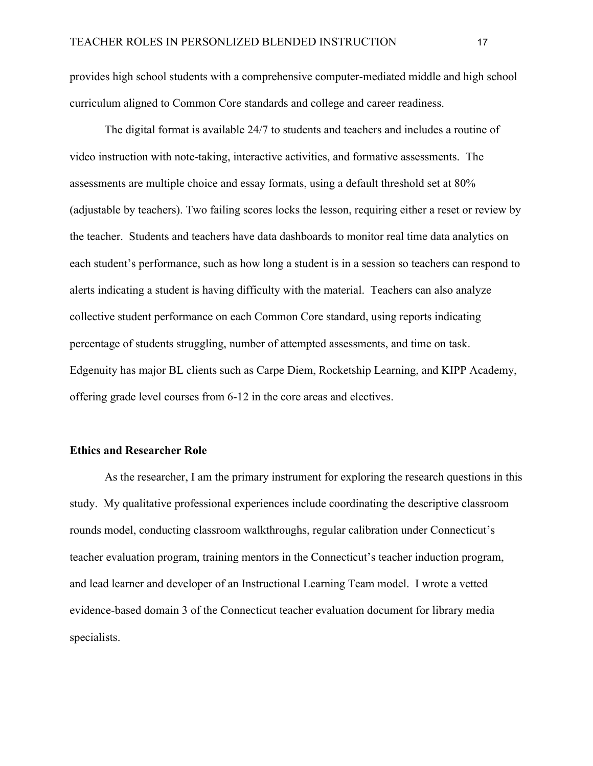provides high school students with a comprehensive computer-mediated middle and high school curriculum aligned to Common Core standards and college and career readiness.

The digital format is available 24/7 to students and teachers and includes a routine of video instruction with note-taking, interactive activities, and formative assessments. The assessments are multiple choice and essay formats, using a default threshold set at 80% (adjustable by teachers). Two failing scores locks the lesson, requiring either a reset or review by the teacher. Students and teachers have data dashboards to monitor real time data analytics on each student's performance, such as how long a student is in a session so teachers can respond to alerts indicating a student is having difficulty with the material. Teachers can also analyze collective student performance on each Common Core standard, using reports indicating percentage of students struggling, number of attempted assessments, and time on task. Edgenuity has major BL clients such as Carpe Diem, Rocketship Learning, and KIPP Academy, offering grade level courses from 6-12 in the core areas and electives.

#### **Ethics and Researcher Role**

As the researcher, I am the primary instrument for exploring the research questions in this study. My qualitative professional experiences include coordinating the descriptive classroom rounds model, conducting classroom walkthroughs, regular calibration under Connecticut's teacher evaluation program, training mentors in the Connecticut's teacher induction program, and lead learner and developer of an Instructional Learning Team model. I wrote a vetted evidence-based domain 3 of the Connecticut teacher evaluation document for library media specialists.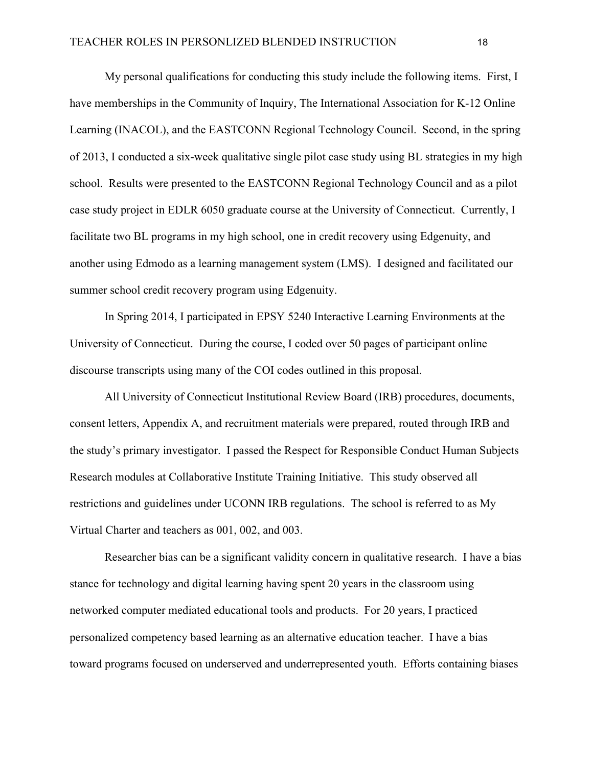My personal qualifications for conducting this study include the following items. First, I have memberships in the Community of Inquiry, The International Association for K-12 Online Learning (INACOL), and the EASTCONN Regional Technology Council. Second, in the spring of 2013, I conducted a six-week qualitative single pilot case study using BL strategies in my high school. Results were presented to the EASTCONN Regional Technology Council and as a pilot case study project in EDLR 6050 graduate course at the University of Connecticut. Currently, I facilitate two BL programs in my high school, one in credit recovery using Edgenuity, and another using Edmodo as a learning management system (LMS). I designed and facilitated our summer school credit recovery program using Edgenuity.

In Spring 2014, I participated in EPSY 5240 Interactive Learning Environments at the University of Connecticut. During the course, I coded over 50 pages of participant online discourse transcripts using many of the COI codes outlined in this proposal.

All University of Connecticut Institutional Review Board (IRB) procedures, documents, consent letters, Appendix A, and recruitment materials were prepared, routed through IRB and the study's primary investigator. I passed the Respect for Responsible Conduct Human Subjects Research modules at Collaborative Institute Training Initiative. This study observed all restrictions and guidelines under UCONN IRB regulations. The school is referred to as My Virtual Charter and teachers as 001, 002, and 003.

Researcher bias can be a significant validity concern in qualitative research. I have a bias stance for technology and digital learning having spent 20 years in the classroom using networked computer mediated educational tools and products. For 20 years, I practiced personalized competency based learning as an alternative education teacher. I have a bias toward programs focused on underserved and underrepresented youth. Efforts containing biases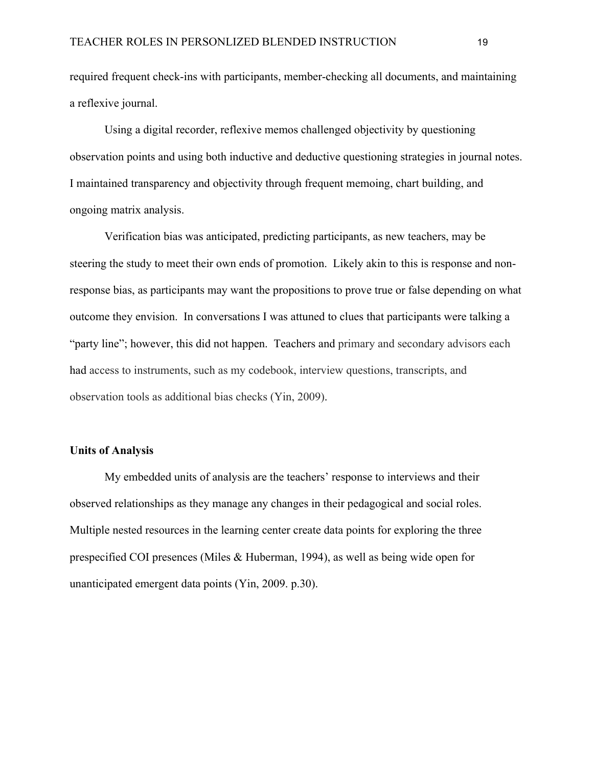required frequent check-ins with participants, member-checking all documents, and maintaining a reflexive journal.

Using a digital recorder, reflexive memos challenged objectivity by questioning observation points and using both inductive and deductive questioning strategies in journal notes. I maintained transparency and objectivity through frequent memoing, chart building, and ongoing matrix analysis.

Verification bias was anticipated, predicting participants, as new teachers, may be steering the study to meet their own ends of promotion. Likely akin to this is response and nonresponse bias, as participants may want the propositions to prove true or false depending on what outcome they envision. In conversations I was attuned to clues that participants were talking a "party line"; however, this did not happen. Teachers and primary and secondary advisors each had access to instruments, such as my codebook, interview questions, transcripts, and observation tools as additional bias checks (Yin, 2009).

#### **Units of Analysis**

My embedded units of analysis are the teachers' response to interviews and their observed relationships as they manage any changes in their pedagogical and social roles. Multiple nested resources in the learning center create data points for exploring the three prespecified COI presences (Miles & Huberman, 1994), as well as being wide open for unanticipated emergent data points (Yin, 2009. p.30).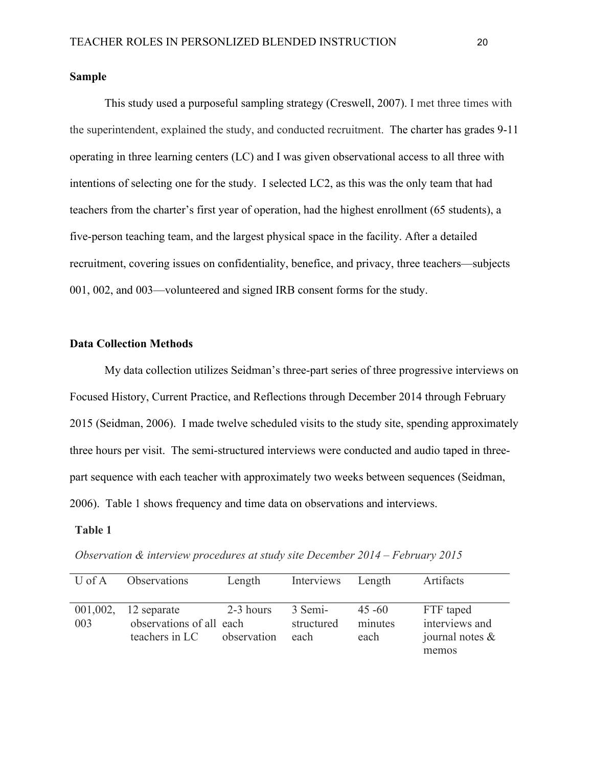# **Sample**

This study used a purposeful sampling strategy (Creswell, 2007). I met three times with the superintendent, explained the study, and conducted recruitment. The charter has grades 9-11 operating in three learning centers (LC) and I was given observational access to all three with intentions of selecting one for the study. I selected LC2, as this was the only team that had teachers from the charter's first year of operation, had the highest enrollment (65 students), a five-person teaching team, and the largest physical space in the facility. After a detailed recruitment, covering issues on confidentiality, benefice, and privacy, three teachers—subjects 001, 002, and 003—volunteered and signed IRB consent forms for the study.

# **Data Collection Methods**

My data collection utilizes Seidman's three-part series of three progressive interviews on Focused History, Current Practice, and Reflections through December 2014 through February 2015 (Seidman, 2006). I made twelve scheduled visits to the study site, spending approximately three hours per visit. The semi-structured interviews were conducted and audio taped in threepart sequence with each teacher with approximately two weeks between sequences (Seidman, 2006). Table 1 shows frequency and time data on observations and interviews.

#### **Table 1**

| $U$ of $A$      | Observations                                              | Length                   | Interviews                    | Length                       | Artifacts                                                  |
|-----------------|-----------------------------------------------------------|--------------------------|-------------------------------|------------------------------|------------------------------------------------------------|
|                 |                                                           |                          |                               |                              |                                                            |
| 001,002,<br>003 | 12 separate<br>observations of all each<br>teachers in LC | 2-3 hours<br>observation | 3 Semi-<br>structured<br>each | $45 - 60$<br>minutes<br>each | FTF taped<br>interviews and<br>journal notes $\&$<br>memos |

*Observation & interview procedures at study site December 2014 – February 2015*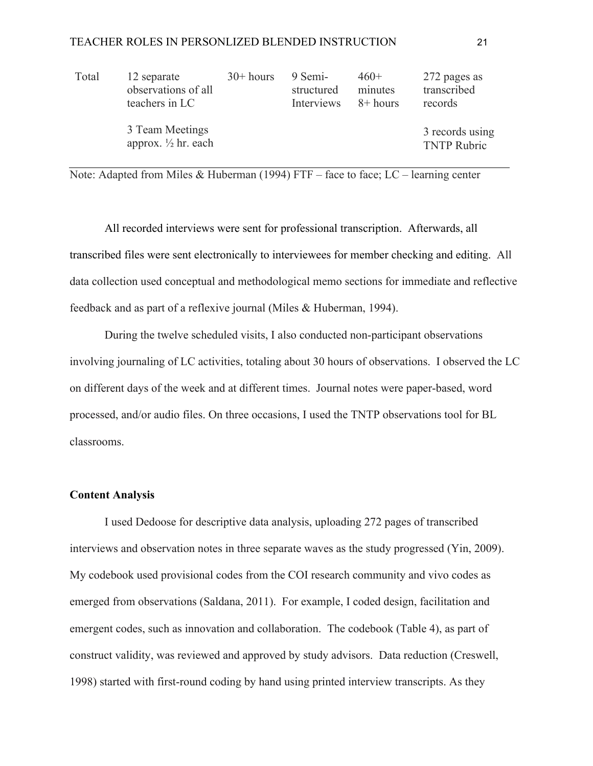| Total | 12 separate<br>observations of all<br>teachers in LC | $30+ hours$ | 9 Semi-<br>structured<br>Interviews | $460+$<br>minutes<br>8+ hours | 272 pages as<br>transcribed<br>records |
|-------|------------------------------------------------------|-------------|-------------------------------------|-------------------------------|----------------------------------------|
|       | 3 Team Meetings<br>approx. $\frac{1}{2}$ hr. each    |             |                                     |                               | 3 records using<br><b>TNTP Rubric</b>  |

Note: Adapted from Miles & Huberman (1994) FTF – face to face; LC – learning center

All recorded interviews were sent for professional transcription. Afterwards, all transcribed files were sent electronically to interviewees for member checking and editing. All data collection used conceptual and methodological memo sections for immediate and reflective feedback and as part of a reflexive journal (Miles & Huberman, 1994).

During the twelve scheduled visits, I also conducted non-participant observations involving journaling of LC activities, totaling about 30 hours of observations. I observed the LC on different days of the week and at different times. Journal notes were paper-based, word processed, and/or audio files. On three occasions, I used the TNTP observations tool for BL classrooms.

# **Content Analysis**

I used Dedoose for descriptive data analysis, uploading 272 pages of transcribed interviews and observation notes in three separate waves as the study progressed (Yin, 2009). My codebook used provisional codes from the COI research community and vivo codes as emerged from observations (Saldana, 2011). For example, I coded design, facilitation and emergent codes, such as innovation and collaboration. The codebook (Table 4), as part of construct validity, was reviewed and approved by study advisors. Data reduction (Creswell, 1998) started with first-round coding by hand using printed interview transcripts. As they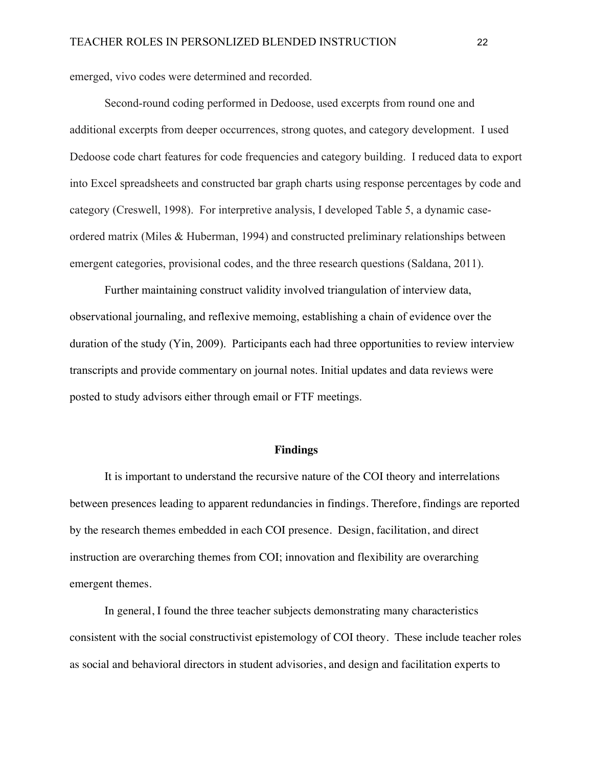emerged, vivo codes were determined and recorded.

Second-round coding performed in Dedoose, used excerpts from round one and additional excerpts from deeper occurrences, strong quotes, and category development. I used Dedoose code chart features for code frequencies and category building. I reduced data to export into Excel spreadsheets and constructed bar graph charts using response percentages by code and category (Creswell, 1998). For interpretive analysis, I developed Table 5, a dynamic caseordered matrix (Miles & Huberman, 1994) and constructed preliminary relationships between emergent categories, provisional codes, and the three research questions (Saldana, 2011).

Further maintaining construct validity involved triangulation of interview data, observational journaling, and reflexive memoing, establishing a chain of evidence over the duration of the study (Yin, 2009). Participants each had three opportunities to review interview transcripts and provide commentary on journal notes. Initial updates and data reviews were posted to study advisors either through email or FTF meetings.

#### **Findings**

It is important to understand the recursive nature of the COI theory and interrelations between presences leading to apparent redundancies in findings. Therefore, findings are reported by the research themes embedded in each COI presence. Design, facilitation, and direct instruction are overarching themes from COI; innovation and flexibility are overarching emergent themes.

In general, I found the three teacher subjects demonstrating many characteristics consistent with the social constructivist epistemology of COI theory. These include teacher roles as social and behavioral directors in student advisories, and design and facilitation experts to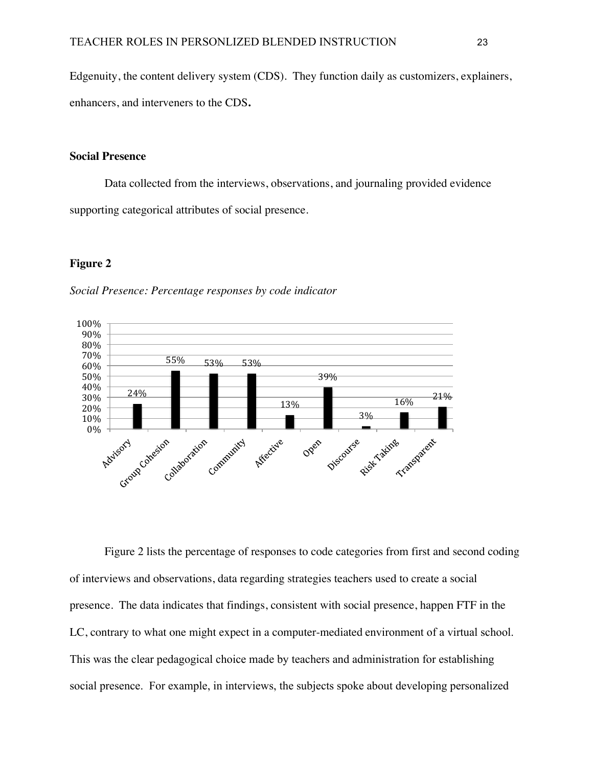Edgenuity, the content delivery system (CDS). They function daily as customizers, explainers, enhancers, and interveners to the CDS**.**

#### **Social Presence**

Data collected from the interviews, observations, and journaling provided evidence supporting categorical attributes of social presence.

#### **Figure 2**





Figure 2 lists the percentage of responses to code categories from first and second coding of interviews and observations, data regarding strategies teachers used to create a social presence. The data indicates that findings, consistent with social presence, happen FTF in the LC, contrary to what one might expect in a computer-mediated environment of a virtual school. This was the clear pedagogical choice made by teachers and administration for establishing social presence. For example, in interviews, the subjects spoke about developing personalized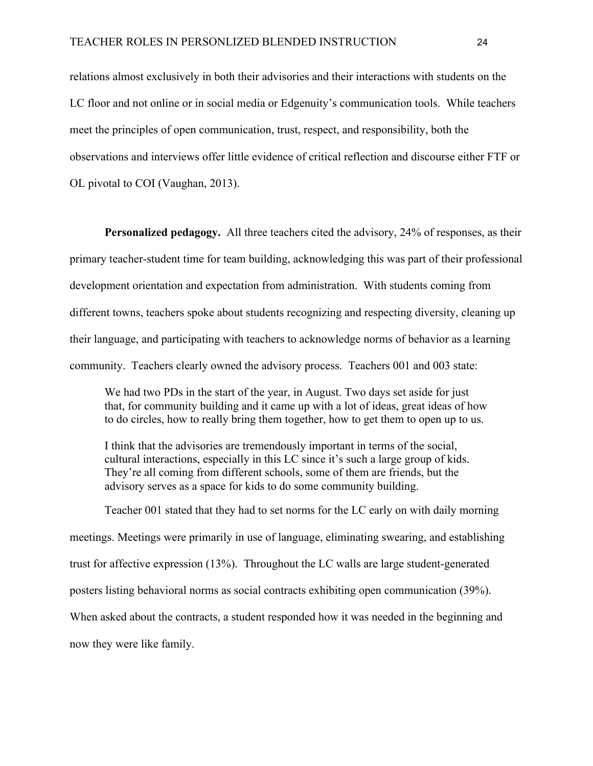relations almost exclusively in both their advisories and their interactions with students on the LC floor and not online or in social media or Edgenuity's communication tools. While teachers meet the principles of open communication, trust, respect, and responsibility, both the observations and interviews offer little evidence of critical reflection and discourse either FTF or OL pivotal to COI (Vaughan, 2013).

**Personalized pedagogy.** All three teachers cited the advisory, 24% of responses, as their primary teacher-student time for team building, acknowledging this was part of their professional development orientation and expectation from administration. With students coming from different towns, teachers spoke about students recognizing and respecting diversity, cleaning up their language, and participating with teachers to acknowledge norms of behavior as a learning community. Teachers clearly owned the advisory process. Teachers 001 and 003 state:

We had two PDs in the start of the year, in August. Two days set aside for just that, for community building and it came up with a lot of ideas, great ideas of how to do circles, how to really bring them together, how to get them to open up to us.

I think that the advisories are tremendously important in terms of the social, cultural interactions, especially in this LC since it's such a large group of kids. They're all coming from different schools, some of them are friends, but the advisory serves as a space for kids to do some community building.

Teacher 001 stated that they had to set norms for the LC early on with daily morning meetings. Meetings were primarily in use of language, eliminating swearing, and establishing trust for affective expression (13%). Throughout the LC walls are large student-generated posters listing behavioral norms as social contracts exhibiting open communication (39%). When asked about the contracts, a student responded how it was needed in the beginning and now they were like family.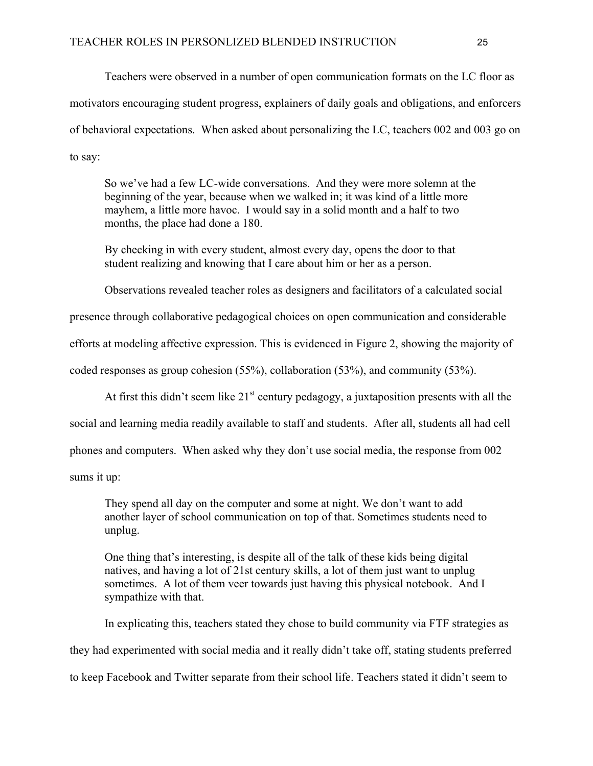Teachers were observed in a number of open communication formats on the LC floor as motivators encouraging student progress, explainers of daily goals and obligations, and enforcers of behavioral expectations. When asked about personalizing the LC, teachers 002 and 003 go on to say:

So we've had a few LC-wide conversations. And they were more solemn at the beginning of the year, because when we walked in; it was kind of a little more mayhem, a little more havoc. I would say in a solid month and a half to two months, the place had done a 180.

By checking in with every student, almost every day, opens the door to that student realizing and knowing that I care about him or her as a person.

Observations revealed teacher roles as designers and facilitators of a calculated social

presence through collaborative pedagogical choices on open communication and considerable

efforts at modeling affective expression. This is evidenced in Figure 2, showing the majority of

coded responses as group cohesion (55%), collaboration (53%), and community (53%).

At first this didn't seem like  $21<sup>st</sup>$  century pedagogy, a juxtaposition presents with all the

social and learning media readily available to staff and students. After all, students all had cell

phones and computers. When asked why they don't use social media, the response from 002

sums it up:

They spend all day on the computer and some at night. We don't want to add another layer of school communication on top of that. Sometimes students need to unplug.

One thing that's interesting, is despite all of the talk of these kids being digital natives, and having a lot of 21st century skills, a lot of them just want to unplug sometimes. A lot of them veer towards just having this physical notebook. And I sympathize with that.

In explicating this, teachers stated they chose to build community via FTF strategies as they had experimented with social media and it really didn't take off, stating students preferred to keep Facebook and Twitter separate from their school life. Teachers stated it didn't seem to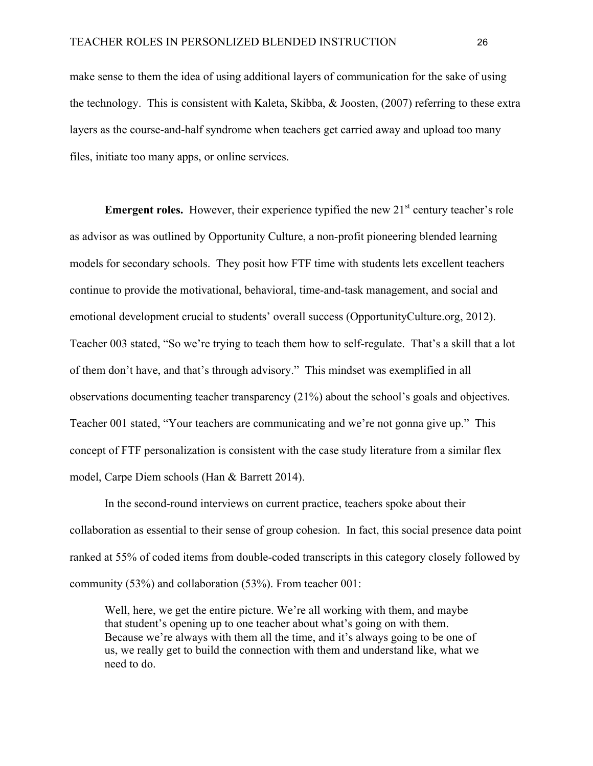make sense to them the idea of using additional layers of communication for the sake of using the technology. This is consistent with Kaleta, Skibba, & Joosten, (2007) referring to these extra layers as the course-and-half syndrome when teachers get carried away and upload too many files, initiate too many apps, or online services.

**Emergent roles.** However, their experience typified the new  $21<sup>st</sup>$  century teacher's role as advisor as was outlined by Opportunity Culture, a non-profit pioneering blended learning models for secondary schools. They posit how FTF time with students lets excellent teachers continue to provide the motivational, behavioral, time-and-task management, and social and emotional development crucial to students' overall success (OpportunityCulture.org, 2012). Teacher 003 stated, "So we're trying to teach them how to self-regulate. That's a skill that a lot of them don't have, and that's through advisory." This mindset was exemplified in all observations documenting teacher transparency (21%) about the school's goals and objectives. Teacher 001 stated, "Your teachers are communicating and we're not gonna give up." This concept of FTF personalization is consistent with the case study literature from a similar flex model, Carpe Diem schools (Han & Barrett 2014).

In the second-round interviews on current practice, teachers spoke about their collaboration as essential to their sense of group cohesion. In fact, this social presence data point ranked at 55% of coded items from double-coded transcripts in this category closely followed by community (53%) and collaboration (53%). From teacher 001:

Well, here, we get the entire picture. We're all working with them, and maybe that student's opening up to one teacher about what's going on with them. Because we're always with them all the time, and it's always going to be one of us, we really get to build the connection with them and understand like, what we need to do.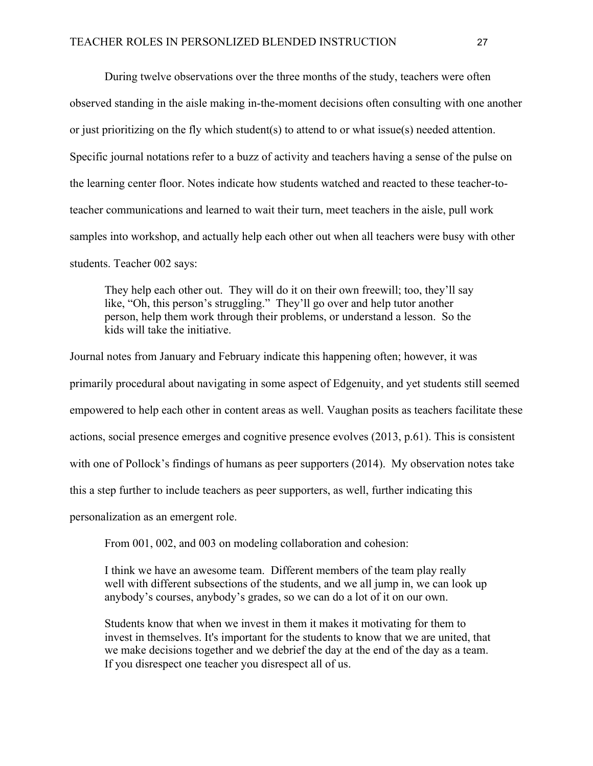During twelve observations over the three months of the study, teachers were often observed standing in the aisle making in-the-moment decisions often consulting with one another or just prioritizing on the fly which student(s) to attend to or what issue(s) needed attention. Specific journal notations refer to a buzz of activity and teachers having a sense of the pulse on the learning center floor. Notes indicate how students watched and reacted to these teacher-toteacher communications and learned to wait their turn, meet teachers in the aisle, pull work samples into workshop, and actually help each other out when all teachers were busy with other students. Teacher 002 says:

They help each other out. They will do it on their own freewill; too, they'll say like, "Oh, this person's struggling." They'll go over and help tutor another person, help them work through their problems, or understand a lesson. So the kids will take the initiative.

Journal notes from January and February indicate this happening often; however, it was primarily procedural about navigating in some aspect of Edgenuity, and yet students still seemed empowered to help each other in content areas as well. Vaughan posits as teachers facilitate these actions, social presence emerges and cognitive presence evolves (2013, p.61). This is consistent with one of Pollock's findings of humans as peer supporters (2014). My observation notes take this a step further to include teachers as peer supporters, as well, further indicating this

personalization as an emergent role.

From 001, 002, and 003 on modeling collaboration and cohesion:

I think we have an awesome team. Different members of the team play really well with different subsections of the students, and we all jump in, we can look up anybody's courses, anybody's grades, so we can do a lot of it on our own.

Students know that when we invest in them it makes it motivating for them to invest in themselves. It's important for the students to know that we are united, that we make decisions together and we debrief the day at the end of the day as a team. If you disrespect one teacher you disrespect all of us.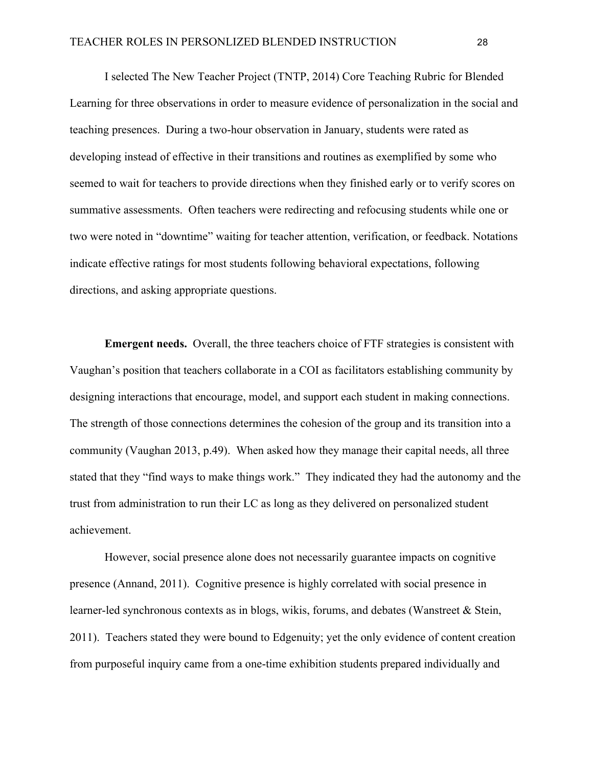I selected The New Teacher Project (TNTP, 2014) Core Teaching Rubric for Blended Learning for three observations in order to measure evidence of personalization in the social and teaching presences. During a two-hour observation in January, students were rated as developing instead of effective in their transitions and routines as exemplified by some who seemed to wait for teachers to provide directions when they finished early or to verify scores on summative assessments. Often teachers were redirecting and refocusing students while one or two were noted in "downtime" waiting for teacher attention, verification, or feedback. Notations indicate effective ratings for most students following behavioral expectations, following directions, and asking appropriate questions.

**Emergent needs.** Overall, the three teachers choice of FTF strategies is consistent with Vaughan's position that teachers collaborate in a COI as facilitators establishing community by designing interactions that encourage, model, and support each student in making connections. The strength of those connections determines the cohesion of the group and its transition into a community (Vaughan 2013, p.49). When asked how they manage their capital needs, all three stated that they "find ways to make things work." They indicated they had the autonomy and the trust from administration to run their LC as long as they delivered on personalized student achievement.

However, social presence alone does not necessarily guarantee impacts on cognitive presence (Annand, 2011). Cognitive presence is highly correlated with social presence in learner-led synchronous contexts as in blogs, wikis, forums, and debates (Wanstreet & Stein, 2011). Teachers stated they were bound to Edgenuity; yet the only evidence of content creation from purposeful inquiry came from a one-time exhibition students prepared individually and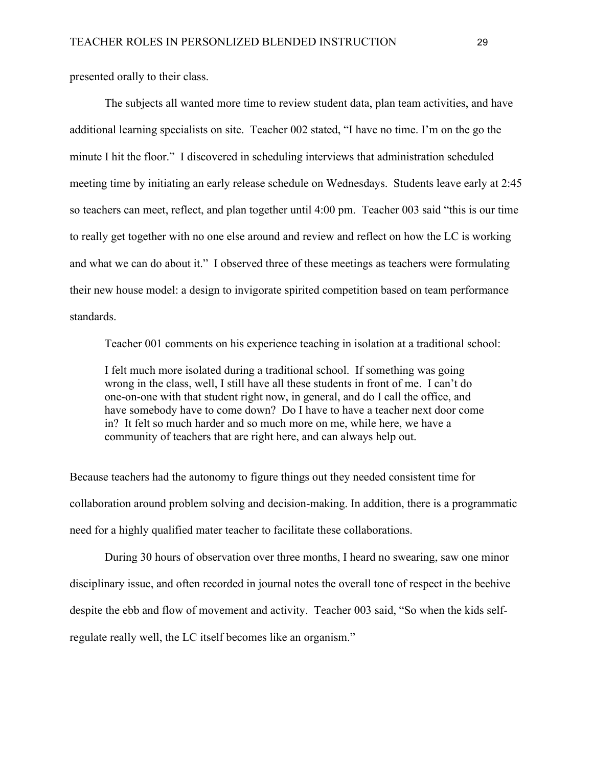presented orally to their class.

The subjects all wanted more time to review student data, plan team activities, and have additional learning specialists on site. Teacher 002 stated, "I have no time. I'm on the go the minute I hit the floor." I discovered in scheduling interviews that administration scheduled meeting time by initiating an early release schedule on Wednesdays. Students leave early at 2:45 so teachers can meet, reflect, and plan together until 4:00 pm. Teacher 003 said "this is our time to really get together with no one else around and review and reflect on how the LC is working and what we can do about it." I observed three of these meetings as teachers were formulating their new house model: a design to invigorate spirited competition based on team performance standards.

Teacher 001 comments on his experience teaching in isolation at a traditional school:

I felt much more isolated during a traditional school. If something was going wrong in the class, well, I still have all these students in front of me. I can't do one-on-one with that student right now, in general, and do I call the office, and have somebody have to come down? Do I have to have a teacher next door come in? It felt so much harder and so much more on me, while here, we have a community of teachers that are right here, and can always help out.

Because teachers had the autonomy to figure things out they needed consistent time for collaboration around problem solving and decision-making. In addition, there is a programmatic need for a highly qualified mater teacher to facilitate these collaborations.

During 30 hours of observation over three months, I heard no swearing, saw one minor disciplinary issue, and often recorded in journal notes the overall tone of respect in the beehive despite the ebb and flow of movement and activity. Teacher 003 said, "So when the kids selfregulate really well, the LC itself becomes like an organism."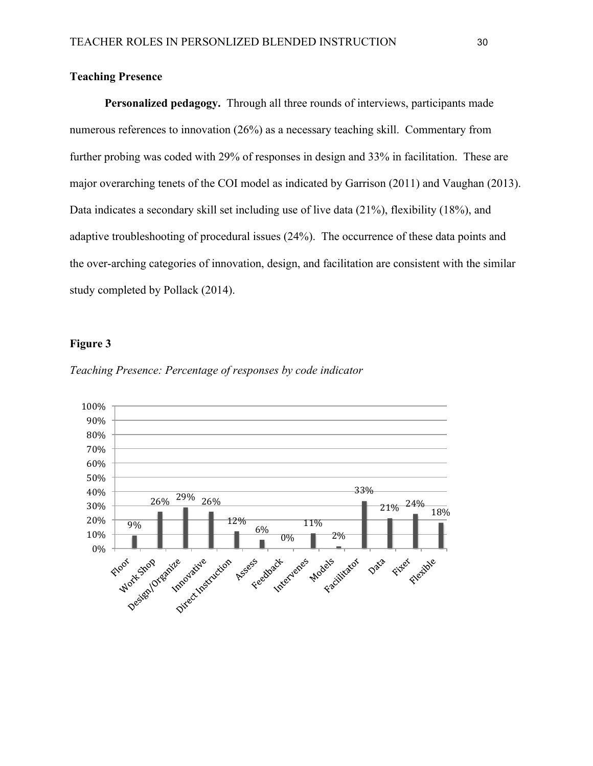### **Teaching Presence**

**Personalized pedagogy.** Through all three rounds of interviews, participants made numerous references to innovation (26%) as a necessary teaching skill. Commentary from further probing was coded with 29% of responses in design and 33% in facilitation. These are major overarching tenets of the COI model as indicated by Garrison (2011) and Vaughan (2013). Data indicates a secondary skill set including use of live data (21%), flexibility (18%), and adaptive troubleshooting of procedural issues (24%). The occurrence of these data points and the over-arching categories of innovation, design, and facilitation are consistent with the similar study completed by Pollack (2014).

#### **Figure 3**



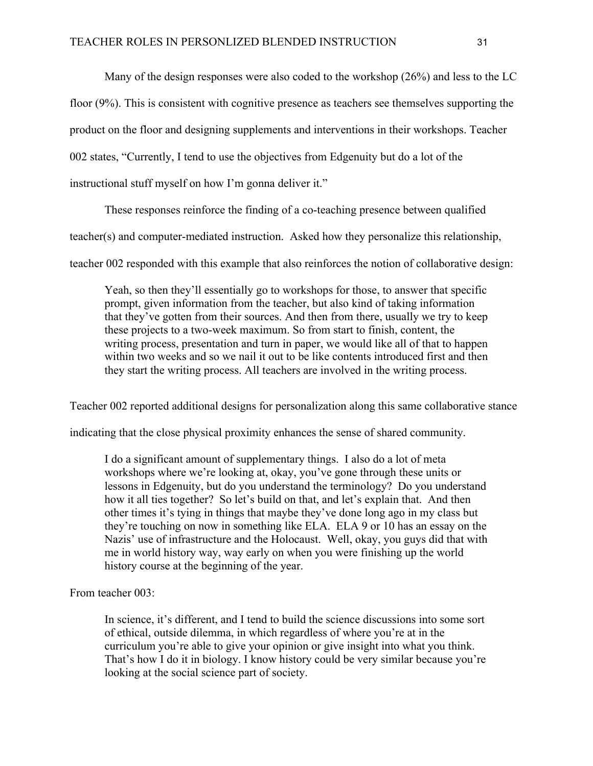Many of the design responses were also coded to the workshop (26%) and less to the LC floor (9%). This is consistent with cognitive presence as teachers see themselves supporting the product on the floor and designing supplements and interventions in their workshops. Teacher 002 states, "Currently, I tend to use the objectives from Edgenuity but do a lot of the instructional stuff myself on how I'm gonna deliver it."

These responses reinforce the finding of a co-teaching presence between qualified

teacher(s) and computer-mediated instruction. Asked how they personalize this relationship,

teacher 002 responded with this example that also reinforces the notion of collaborative design:

Yeah, so then they'll essentially go to workshops for those, to answer that specific prompt, given information from the teacher, but also kind of taking information that they've gotten from their sources. And then from there, usually we try to keep these projects to a two-week maximum. So from start to finish, content, the writing process, presentation and turn in paper, we would like all of that to happen within two weeks and so we nail it out to be like contents introduced first and then they start the writing process. All teachers are involved in the writing process.

Teacher 002 reported additional designs for personalization along this same collaborative stance

indicating that the close physical proximity enhances the sense of shared community.

I do a significant amount of supplementary things. I also do a lot of meta workshops where we're looking at, okay, you've gone through these units or lessons in Edgenuity, but do you understand the terminology? Do you understand how it all ties together? So let's build on that, and let's explain that. And then other times it's tying in things that maybe they've done long ago in my class but they're touching on now in something like ELA. ELA 9 or 10 has an essay on the Nazis' use of infrastructure and the Holocaust. Well, okay, you guys did that with me in world history way, way early on when you were finishing up the world history course at the beginning of the year.

From teacher 003:

In science, it's different, and I tend to build the science discussions into some sort of ethical, outside dilemma, in which regardless of where you're at in the curriculum you're able to give your opinion or give insight into what you think. That's how I do it in biology. I know history could be very similar because you're looking at the social science part of society.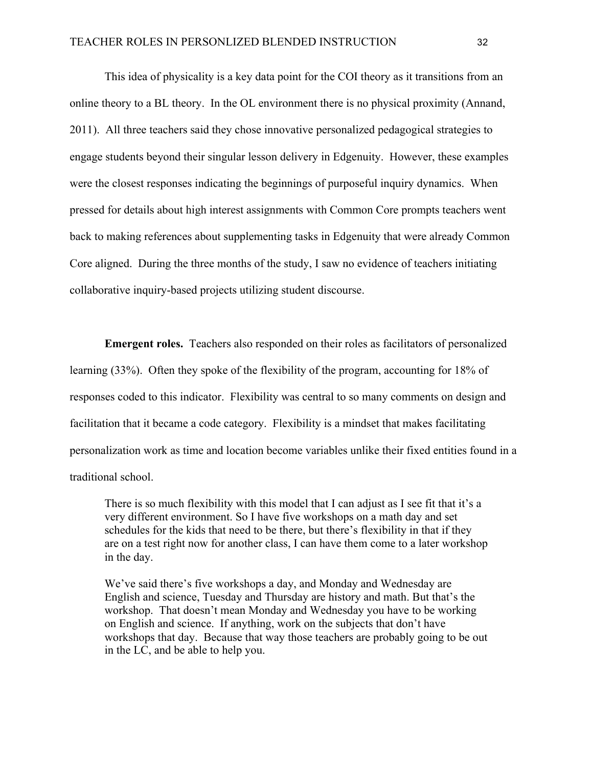This idea of physicality is a key data point for the COI theory as it transitions from an online theory to a BL theory. In the OL environment there is no physical proximity (Annand, 2011). All three teachers said they chose innovative personalized pedagogical strategies to engage students beyond their singular lesson delivery in Edgenuity. However, these examples were the closest responses indicating the beginnings of purposeful inquiry dynamics. When pressed for details about high interest assignments with Common Core prompts teachers went back to making references about supplementing tasks in Edgenuity that were already Common Core aligned. During the three months of the study, I saw no evidence of teachers initiating collaborative inquiry-based projects utilizing student discourse.

**Emergent roles.** Teachers also responded on their roles as facilitators of personalized learning (33%). Often they spoke of the flexibility of the program, accounting for 18% of responses coded to this indicator. Flexibility was central to so many comments on design and facilitation that it became a code category. Flexibility is a mindset that makes facilitating personalization work as time and location become variables unlike their fixed entities found in a traditional school.

There is so much flexibility with this model that I can adjust as I see fit that it's a very different environment. So I have five workshops on a math day and set schedules for the kids that need to be there, but there's flexibility in that if they are on a test right now for another class, I can have them come to a later workshop in the day.

We've said there's five workshops a day, and Monday and Wednesday are English and science, Tuesday and Thursday are history and math. But that's the workshop. That doesn't mean Monday and Wednesday you have to be working on English and science. If anything, work on the subjects that don't have workshops that day. Because that way those teachers are probably going to be out in the LC, and be able to help you.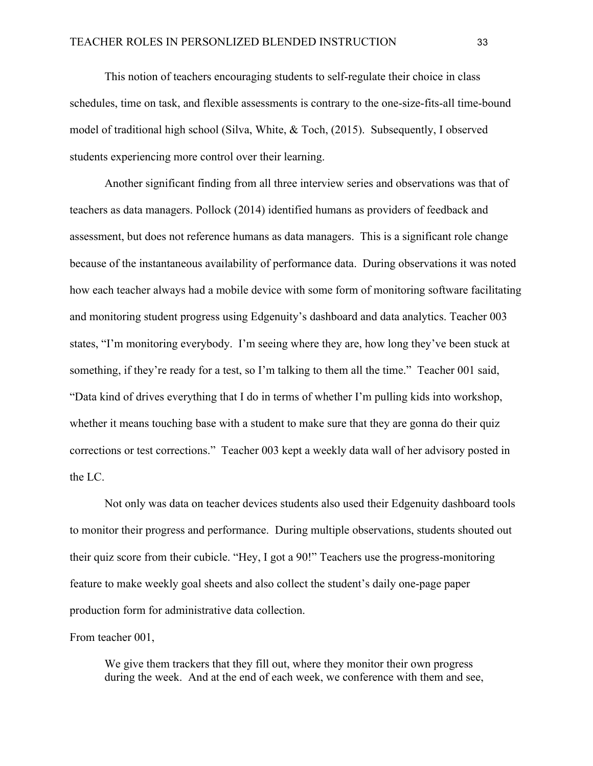This notion of teachers encouraging students to self-regulate their choice in class schedules, time on task, and flexible assessments is contrary to the one-size-fits-all time-bound model of traditional high school (Silva, White, & Toch, (2015). Subsequently, I observed students experiencing more control over their learning.

Another significant finding from all three interview series and observations was that of teachers as data managers. Pollock (2014) identified humans as providers of feedback and assessment, but does not reference humans as data managers. This is a significant role change because of the instantaneous availability of performance data. During observations it was noted how each teacher always had a mobile device with some form of monitoring software facilitating and monitoring student progress using Edgenuity's dashboard and data analytics. Teacher 003 states, "I'm monitoring everybody. I'm seeing where they are, how long they've been stuck at something, if they're ready for a test, so I'm talking to them all the time." Teacher 001 said, "Data kind of drives everything that I do in terms of whether I'm pulling kids into workshop, whether it means touching base with a student to make sure that they are gonna do their quiz corrections or test corrections." Teacher 003 kept a weekly data wall of her advisory posted in the LC.

Not only was data on teacher devices students also used their Edgenuity dashboard tools to monitor their progress and performance. During multiple observations, students shouted out their quiz score from their cubicle. "Hey, I got a 90!" Teachers use the progress-monitoring feature to make weekly goal sheets and also collect the student's daily one-page paper production form for administrative data collection.

From teacher 001,

We give them trackers that they fill out, where they monitor their own progress during the week. And at the end of each week, we conference with them and see,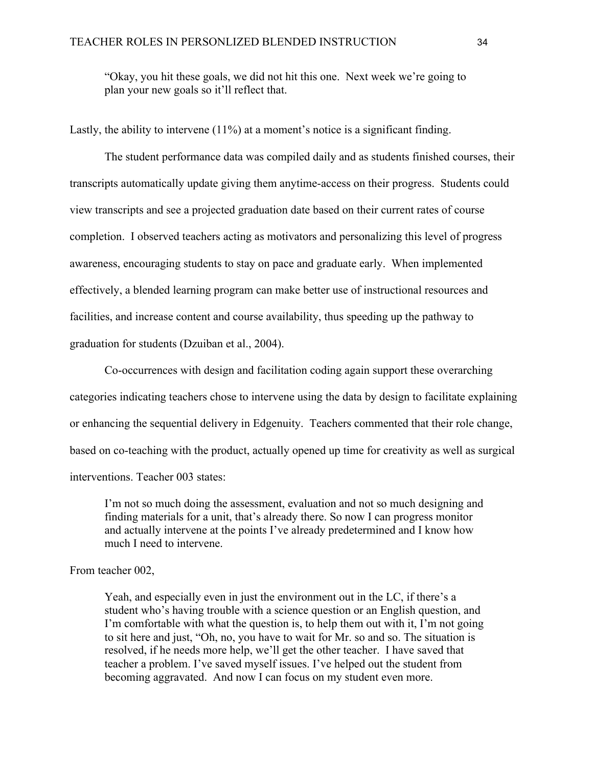"Okay, you hit these goals, we did not hit this one. Next week we're going to plan your new goals so it'll reflect that.

Lastly, the ability to intervene  $(11\%)$  at a moment's notice is a significant finding.

The student performance data was compiled daily and as students finished courses, their transcripts automatically update giving them anytime-access on their progress. Students could view transcripts and see a projected graduation date based on their current rates of course completion. I observed teachers acting as motivators and personalizing this level of progress awareness, encouraging students to stay on pace and graduate early. When implemented effectively, a blended learning program can make better use of instructional resources and facilities, and increase content and course availability, thus speeding up the pathway to graduation for students (Dzuiban et al., 2004).

Co-occurrences with design and facilitation coding again support these overarching categories indicating teachers chose to intervene using the data by design to facilitate explaining or enhancing the sequential delivery in Edgenuity. Teachers commented that their role change, based on co-teaching with the product, actually opened up time for creativity as well as surgical interventions. Teacher 003 states:

I'm not so much doing the assessment, evaluation and not so much designing and finding materials for a unit, that's already there. So now I can progress monitor and actually intervene at the points I've already predetermined and I know how much I need to intervene.

#### From teacher 002,

Yeah, and especially even in just the environment out in the LC, if there's a student who's having trouble with a science question or an English question, and I'm comfortable with what the question is, to help them out with it, I'm not going to sit here and just, "Oh, no, you have to wait for Mr. so and so. The situation is resolved, if he needs more help, we'll get the other teacher. I have saved that teacher a problem. I've saved myself issues. I've helped out the student from becoming aggravated. And now I can focus on my student even more.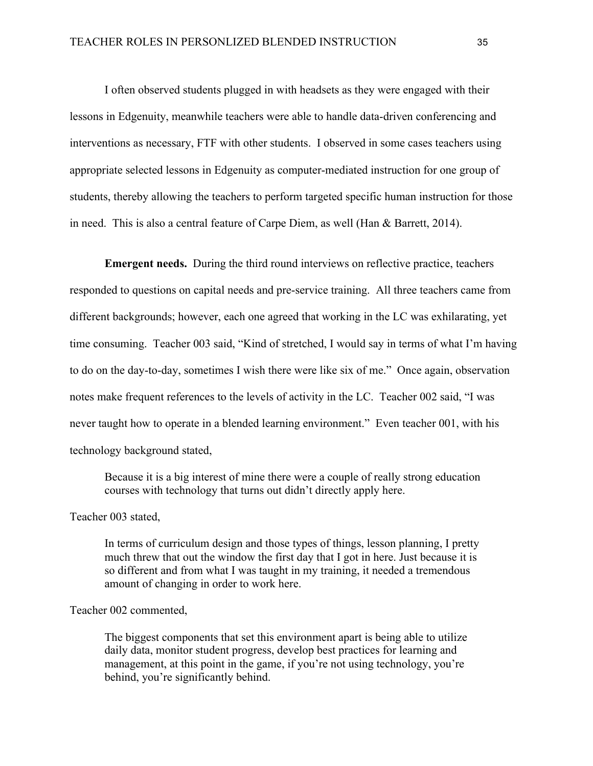I often observed students plugged in with headsets as they were engaged with their lessons in Edgenuity, meanwhile teachers were able to handle data-driven conferencing and interventions as necessary, FTF with other students. I observed in some cases teachers using appropriate selected lessons in Edgenuity as computer-mediated instruction for one group of students, thereby allowing the teachers to perform targeted specific human instruction for those in need. This is also a central feature of Carpe Diem, as well (Han & Barrett, 2014).

**Emergent needs.** During the third round interviews on reflective practice, teachers responded to questions on capital needs and pre-service training. All three teachers came from different backgrounds; however, each one agreed that working in the LC was exhilarating, yet time consuming. Teacher 003 said, "Kind of stretched, I would say in terms of what I'm having to do on the day-to-day, sometimes I wish there were like six of me." Once again, observation notes make frequent references to the levels of activity in the LC. Teacher 002 said, "I was never taught how to operate in a blended learning environment." Even teacher 001, with his technology background stated,

Because it is a big interest of mine there were a couple of really strong education courses with technology that turns out didn't directly apply here.

Teacher 003 stated,

In terms of curriculum design and those types of things, lesson planning, I pretty much threw that out the window the first day that I got in here. Just because it is so different and from what I was taught in my training, it needed a tremendous amount of changing in order to work here.

Teacher 002 commented,

The biggest components that set this environment apart is being able to utilize daily data, monitor student progress, develop best practices for learning and management, at this point in the game, if you're not using technology, you're behind, you're significantly behind.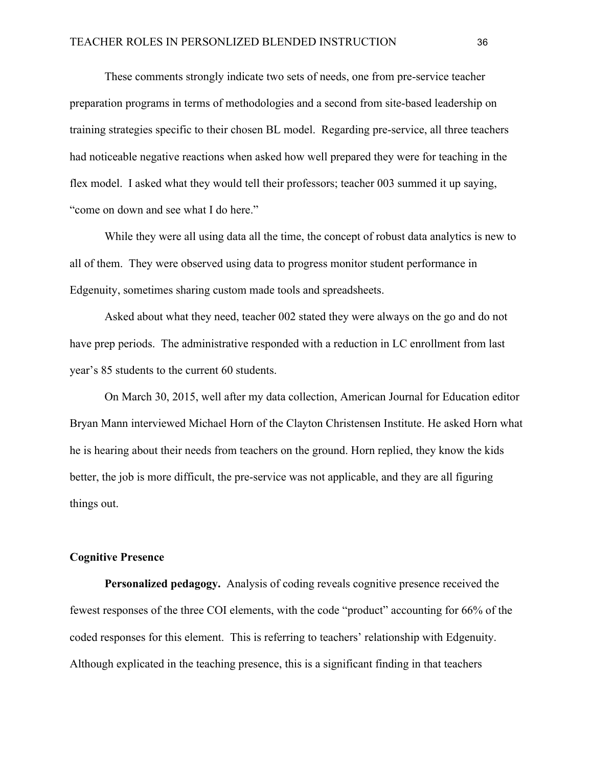These comments strongly indicate two sets of needs, one from pre-service teacher preparation programs in terms of methodologies and a second from site-based leadership on training strategies specific to their chosen BL model. Regarding pre-service, all three teachers had noticeable negative reactions when asked how well prepared they were for teaching in the flex model. I asked what they would tell their professors; teacher 003 summed it up saying, "come on down and see what I do here."

While they were all using data all the time, the concept of robust data analytics is new to all of them. They were observed using data to progress monitor student performance in Edgenuity, sometimes sharing custom made tools and spreadsheets.

Asked about what they need, teacher 002 stated they were always on the go and do not have prep periods. The administrative responded with a reduction in LC enrollment from last year's 85 students to the current 60 students.

On March 30, 2015, well after my data collection, American Journal for Education editor Bryan Mann interviewed Michael Horn of the Clayton Christensen Institute. He asked Horn what he is hearing about their needs from teachers on the ground. Horn replied, they know the kids better, the job is more difficult, the pre-service was not applicable, and they are all figuring things out.

#### **Cognitive Presence**

**Personalized pedagogy.** Analysis of coding reveals cognitive presence received the fewest responses of the three COI elements, with the code "product" accounting for 66% of the coded responses for this element. This is referring to teachers' relationship with Edgenuity. Although explicated in the teaching presence, this is a significant finding in that teachers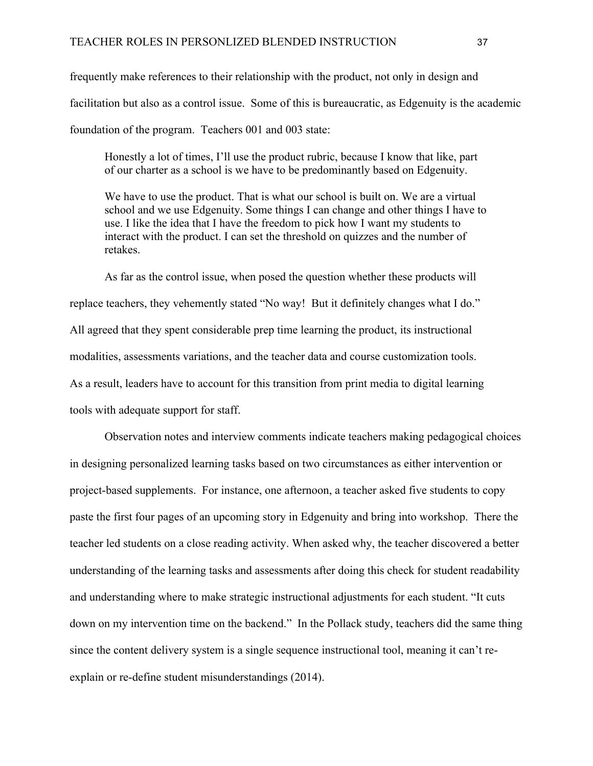frequently make references to their relationship with the product, not only in design and facilitation but also as a control issue. Some of this is bureaucratic, as Edgenuity is the academic foundation of the program. Teachers 001 and 003 state:

Honestly a lot of times, I'll use the product rubric, because I know that like, part of our charter as a school is we have to be predominantly based on Edgenuity.

We have to use the product. That is what our school is built on. We are a virtual school and we use Edgenuity. Some things I can change and other things I have to use. I like the idea that I have the freedom to pick how I want my students to interact with the product. I can set the threshold on quizzes and the number of retakes.

As far as the control issue, when posed the question whether these products will replace teachers, they vehemently stated "No way! But it definitely changes what I do." All agreed that they spent considerable prep time learning the product, its instructional modalities, assessments variations, and the teacher data and course customization tools. As a result, leaders have to account for this transition from print media to digital learning tools with adequate support for staff.

Observation notes and interview comments indicate teachers making pedagogical choices in designing personalized learning tasks based on two circumstances as either intervention or project-based supplements. For instance, one afternoon, a teacher asked five students to copy paste the first four pages of an upcoming story in Edgenuity and bring into workshop. There the teacher led students on a close reading activity. When asked why, the teacher discovered a better understanding of the learning tasks and assessments after doing this check for student readability and understanding where to make strategic instructional adjustments for each student. "It cuts down on my intervention time on the backend." In the Pollack study, teachers did the same thing since the content delivery system is a single sequence instructional tool, meaning it can't reexplain or re-define student misunderstandings (2014).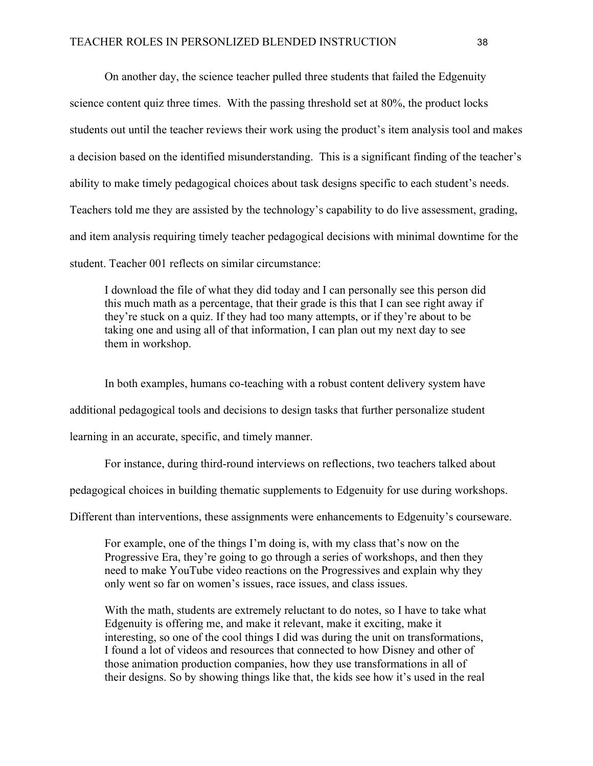On another day, the science teacher pulled three students that failed the Edgenuity science content quiz three times. With the passing threshold set at 80%, the product locks students out until the teacher reviews their work using the product's item analysis tool and makes a decision based on the identified misunderstanding. This is a significant finding of the teacher's ability to make timely pedagogical choices about task designs specific to each student's needs. Teachers told me they are assisted by the technology's capability to do live assessment, grading, and item analysis requiring timely teacher pedagogical decisions with minimal downtime for the student. Teacher 001 reflects on similar circumstance:

I download the file of what they did today and I can personally see this person did this much math as a percentage, that their grade is this that I can see right away if they're stuck on a quiz. If they had too many attempts, or if they're about to be taking one and using all of that information, I can plan out my next day to see them in workshop.

In both examples, humans co-teaching with a robust content delivery system have additional pedagogical tools and decisions to design tasks that further personalize student learning in an accurate, specific, and timely manner.

For instance, during third-round interviews on reflections, two teachers talked about

pedagogical choices in building thematic supplements to Edgenuity for use during workshops.

Different than interventions, these assignments were enhancements to Edgenuity's courseware.

For example, one of the things I'm doing is, with my class that's now on the Progressive Era, they're going to go through a series of workshops, and then they need to make YouTube video reactions on the Progressives and explain why they only went so far on women's issues, race issues, and class issues.

With the math, students are extremely reluctant to do notes, so I have to take what Edgenuity is offering me, and make it relevant, make it exciting, make it interesting, so one of the cool things I did was during the unit on transformations, I found a lot of videos and resources that connected to how Disney and other of those animation production companies, how they use transformations in all of their designs. So by showing things like that, the kids see how it's used in the real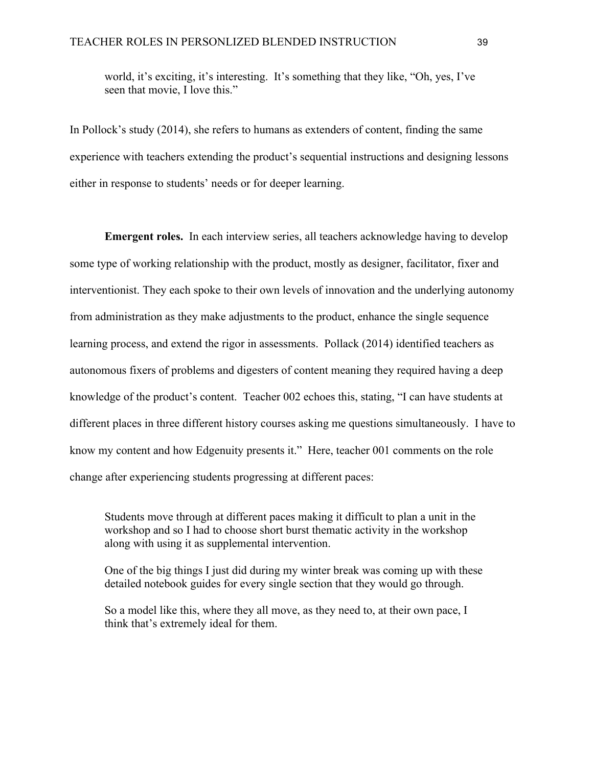world, it's exciting, it's interesting. It's something that they like, "Oh, yes, I've seen that movie, I love this."

In Pollock's study (2014), she refers to humans as extenders of content, finding the same experience with teachers extending the product's sequential instructions and designing lessons either in response to students' needs or for deeper learning.

**Emergent roles.** In each interview series, all teachers acknowledge having to develop some type of working relationship with the product, mostly as designer, facilitator, fixer and interventionist. They each spoke to their own levels of innovation and the underlying autonomy from administration as they make adjustments to the product, enhance the single sequence learning process, and extend the rigor in assessments. Pollack (2014) identified teachers as autonomous fixers of problems and digesters of content meaning they required having a deep knowledge of the product's content. Teacher 002 echoes this, stating, "I can have students at different places in three different history courses asking me questions simultaneously. I have to know my content and how Edgenuity presents it." Here, teacher 001 comments on the role change after experiencing students progressing at different paces:

Students move through at different paces making it difficult to plan a unit in the workshop and so I had to choose short burst thematic activity in the workshop along with using it as supplemental intervention.

One of the big things I just did during my winter break was coming up with these detailed notebook guides for every single section that they would go through.

So a model like this, where they all move, as they need to, at their own pace, I think that's extremely ideal for them.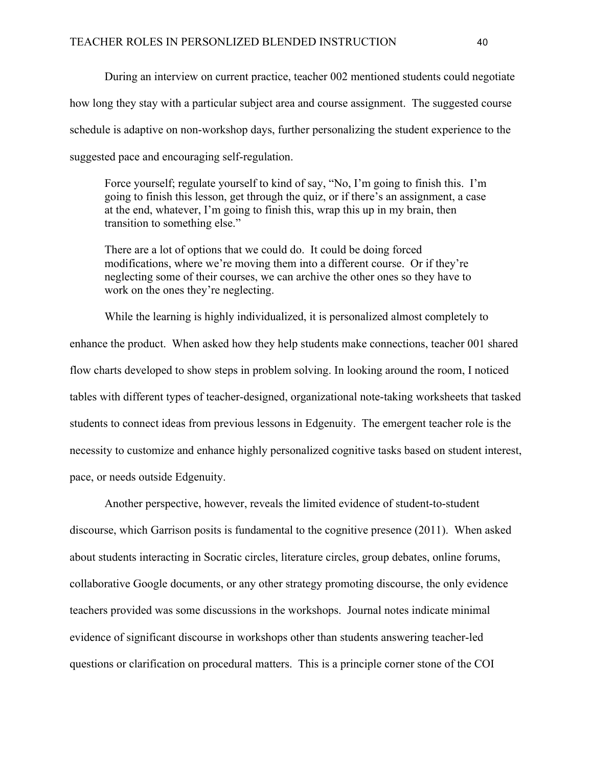During an interview on current practice, teacher 002 mentioned students could negotiate how long they stay with a particular subject area and course assignment. The suggested course schedule is adaptive on non-workshop days, further personalizing the student experience to the suggested pace and encouraging self-regulation.

Force yourself; regulate yourself to kind of say, "No, I'm going to finish this. I'm going to finish this lesson, get through the quiz, or if there's an assignment, a case at the end, whatever, I'm going to finish this, wrap this up in my brain, then transition to something else."

There are a lot of options that we could do. It could be doing forced modifications, where we're moving them into a different course. Or if they're neglecting some of their courses, we can archive the other ones so they have to work on the ones they're neglecting.

While the learning is highly individualized, it is personalized almost completely to enhance the product. When asked how they help students make connections, teacher 001 shared flow charts developed to show steps in problem solving. In looking around the room, I noticed tables with different types of teacher-designed, organizational note-taking worksheets that tasked students to connect ideas from previous lessons in Edgenuity. The emergent teacher role is the necessity to customize and enhance highly personalized cognitive tasks based on student interest, pace, or needs outside Edgenuity.

Another perspective, however, reveals the limited evidence of student-to-student discourse, which Garrison posits is fundamental to the cognitive presence (2011). When asked about students interacting in Socratic circles, literature circles, group debates, online forums, collaborative Google documents, or any other strategy promoting discourse, the only evidence teachers provided was some discussions in the workshops. Journal notes indicate minimal evidence of significant discourse in workshops other than students answering teacher-led questions or clarification on procedural matters. This is a principle corner stone of the COI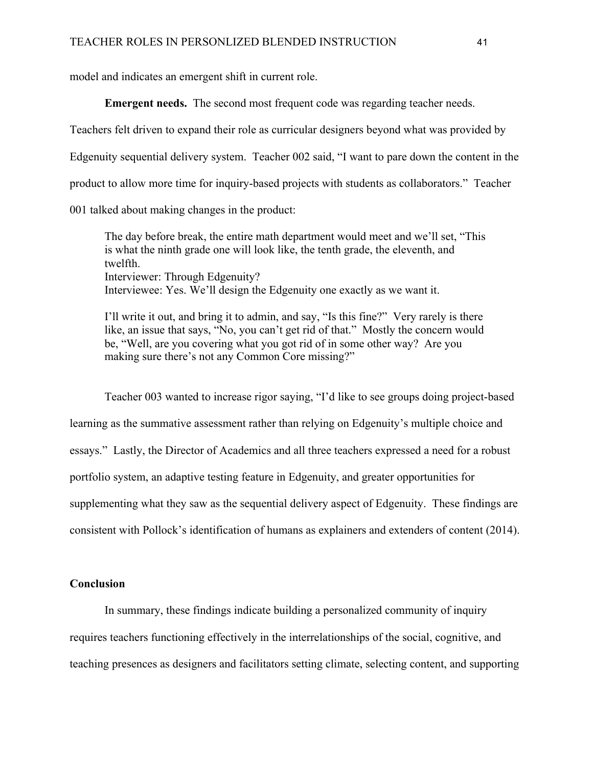model and indicates an emergent shift in current role.

**Emergent needs.** The second most frequent code was regarding teacher needs.

Teachers felt driven to expand their role as curricular designers beyond what was provided by

Edgenuity sequential delivery system. Teacher 002 said, "I want to pare down the content in the

product to allow more time for inquiry-based projects with students as collaborators." Teacher

001 talked about making changes in the product:

The day before break, the entire math department would meet and we'll set, "This is what the ninth grade one will look like, the tenth grade, the eleventh, and twelfth. Interviewer: Through Edgenuity? Interviewee: Yes. We'll design the Edgenuity one exactly as we want it.

I'll write it out, and bring it to admin, and say, "Is this fine?" Very rarely is there like, an issue that says, "No, you can't get rid of that." Mostly the concern would be, "Well, are you covering what you got rid of in some other way? Are you making sure there's not any Common Core missing?"

Teacher 003 wanted to increase rigor saying, "I'd like to see groups doing project-based learning as the summative assessment rather than relying on Edgenuity's multiple choice and essays." Lastly, the Director of Academics and all three teachers expressed a need for a robust portfolio system, an adaptive testing feature in Edgenuity, and greater opportunities for supplementing what they saw as the sequential delivery aspect of Edgenuity. These findings are consistent with Pollock's identification of humans as explainers and extenders of content (2014).

#### **Conclusion**

In summary, these findings indicate building a personalized community of inquiry requires teachers functioning effectively in the interrelationships of the social, cognitive, and teaching presences as designers and facilitators setting climate, selecting content, and supporting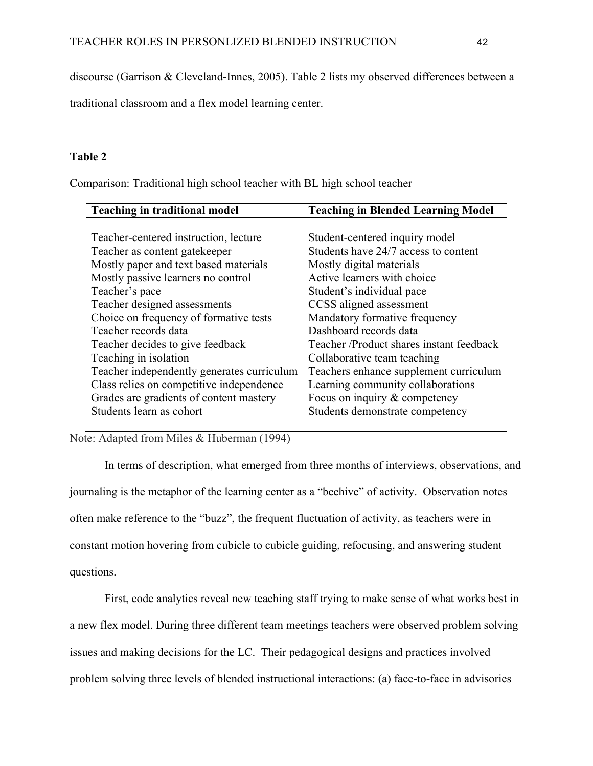discourse (Garrison & Cleveland-Innes, 2005). Table 2 lists my observed differences between a

traditional classroom and a flex model learning center.

### **Table 2**

Comparison: Traditional high school teacher with BL high school teacher

| <b>Teaching in traditional model</b>       | <b>Teaching in Blended Learning Model</b> |
|--------------------------------------------|-------------------------------------------|
|                                            |                                           |
| Teacher-centered instruction, lecture      | Student-centered inquiry model            |
| Teacher as content gate keeper             | Students have 24/7 access to content      |
| Mostly paper and text based materials      | Mostly digital materials                  |
| Mostly passive learners no control         | Active learners with choice               |
| Teacher's pace                             | Student's individual pace                 |
| Teacher designed assessments               | CCSS aligned assessment                   |
| Choice on frequency of formative tests     | Mandatory formative frequency             |
| Teacher records data                       | Dashboard records data                    |
| Teacher decides to give feedback           | Teacher /Product shares instant feedback  |
| Teaching in isolation                      | Collaborative team teaching               |
| Teacher independently generates curriculum | Teachers enhance supplement curriculum    |
| Class relies on competitive independence   | Learning community collaborations         |
| Grades are gradients of content mastery    | Focus on inquiry $&$ competency           |
| Students learn as cohort                   | Students demonstrate competency           |

Note: Adapted from Miles & Huberman (1994)

In terms of description, what emerged from three months of interviews, observations, and journaling is the metaphor of the learning center as a "beehive" of activity. Observation notes often make reference to the "buzz", the frequent fluctuation of activity, as teachers were in constant motion hovering from cubicle to cubicle guiding, refocusing, and answering student questions.

First, code analytics reveal new teaching staff trying to make sense of what works best in a new flex model. During three different team meetings teachers were observed problem solving issues and making decisions for the LC. Their pedagogical designs and practices involved problem solving three levels of blended instructional interactions: (a) face-to-face in advisories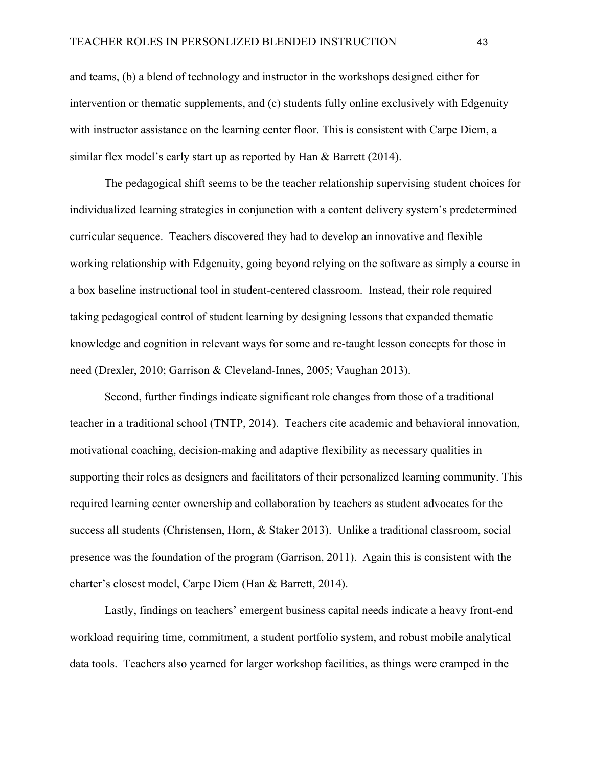and teams, (b) a blend of technology and instructor in the workshops designed either for intervention or thematic supplements, and (c) students fully online exclusively with Edgenuity with instructor assistance on the learning center floor. This is consistent with Carpe Diem, a similar flex model's early start up as reported by Han & Barrett (2014).

The pedagogical shift seems to be the teacher relationship supervising student choices for individualized learning strategies in conjunction with a content delivery system's predetermined curricular sequence. Teachers discovered they had to develop an innovative and flexible working relationship with Edgenuity, going beyond relying on the software as simply a course in a box baseline instructional tool in student-centered classroom. Instead, their role required taking pedagogical control of student learning by designing lessons that expanded thematic knowledge and cognition in relevant ways for some and re-taught lesson concepts for those in need (Drexler, 2010; Garrison & Cleveland-Innes, 2005; Vaughan 2013).

Second, further findings indicate significant role changes from those of a traditional teacher in a traditional school (TNTP, 2014). Teachers cite academic and behavioral innovation, motivational coaching, decision-making and adaptive flexibility as necessary qualities in supporting their roles as designers and facilitators of their personalized learning community. This required learning center ownership and collaboration by teachers as student advocates for the success all students (Christensen, Horn, & Staker 2013). Unlike a traditional classroom, social presence was the foundation of the program (Garrison, 2011). Again this is consistent with the charter's closest model, Carpe Diem (Han & Barrett, 2014).

Lastly, findings on teachers' emergent business capital needs indicate a heavy front-end workload requiring time, commitment, a student portfolio system, and robust mobile analytical data tools. Teachers also yearned for larger workshop facilities, as things were cramped in the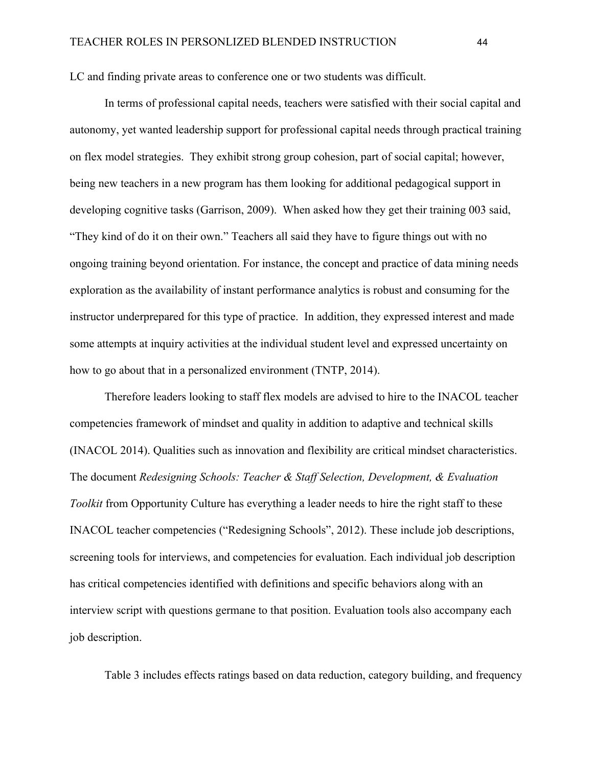LC and finding private areas to conference one or two students was difficult.

In terms of professional capital needs, teachers were satisfied with their social capital and autonomy, yet wanted leadership support for professional capital needs through practical training on flex model strategies. They exhibit strong group cohesion, part of social capital; however, being new teachers in a new program has them looking for additional pedagogical support in developing cognitive tasks (Garrison, 2009). When asked how they get their training 003 said, "They kind of do it on their own." Teachers all said they have to figure things out with no ongoing training beyond orientation. For instance, the concept and practice of data mining needs exploration as the availability of instant performance analytics is robust and consuming for the instructor underprepared for this type of practice. In addition, they expressed interest and made some attempts at inquiry activities at the individual student level and expressed uncertainty on how to go about that in a personalized environment (TNTP, 2014).

Therefore leaders looking to staff flex models are advised to hire to the INACOL teacher competencies framework of mindset and quality in addition to adaptive and technical skills (INACOL 2014). Qualities such as innovation and flexibility are critical mindset characteristics. The document *Redesigning Schools: Teacher & Staff Selection, Development, & Evaluation Toolkit* from Opportunity Culture has everything a leader needs to hire the right staff to these INACOL teacher competencies ("Redesigning Schools", 2012). These include job descriptions, screening tools for interviews, and competencies for evaluation. Each individual job description has critical competencies identified with definitions and specific behaviors along with an interview script with questions germane to that position. Evaluation tools also accompany each job description.

Table 3 includes effects ratings based on data reduction, category building, and frequency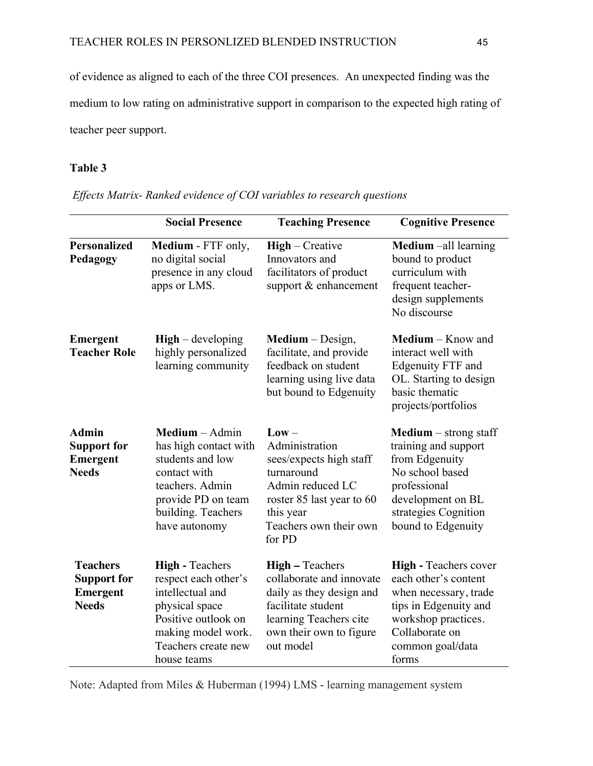of evidence as aligned to each of the three COI presences. An unexpected finding was the medium to low rating on administrative support in comparison to the expected high rating of teacher peer support.

### **Table 3**

|                                                                          | <b>Social Presence</b>                                                                                                                                                  | <b>Teaching Presence</b>                                                                                                                                               | <b>Cognitive Presence</b>                                                                                                                                                      |
|--------------------------------------------------------------------------|-------------------------------------------------------------------------------------------------------------------------------------------------------------------------|------------------------------------------------------------------------------------------------------------------------------------------------------------------------|--------------------------------------------------------------------------------------------------------------------------------------------------------------------------------|
| <b>Personalized</b><br>Pedagogy                                          | Medium - FTF only,<br>no digital social<br>presence in any cloud<br>apps or LMS.                                                                                        | High - Creative<br>Innovators and<br>facilitators of product<br>support & enhancement                                                                                  | Medium -all learning<br>bound to product<br>curriculum with<br>frequent teacher-<br>design supplements<br>No discourse                                                         |
| <b>Emergent</b><br><b>Teacher Role</b>                                   | $High$ – developing<br>highly personalized<br>learning community                                                                                                        | $Median - Design,$<br>facilitate, and provide<br>feedback on student<br>learning using live data<br>but bound to Edgenuity                                             | Medium - Know and<br>interact well with<br>Edgenuity FTF and<br>OL. Starting to design<br>basic thematic<br>projects/portfolios                                                |
| <b>Admin</b><br><b>Support for</b><br><b>Emergent</b><br><b>Needs</b>    | $Median - Admin$<br>has high contact with<br>students and low<br>contact with<br>teachers. Admin<br>provide PD on team<br>building. Teachers<br>have autonomy           | $Low -$<br>Administration<br>sees/expects high staff<br>turnaround<br>Admin reduced LC<br>roster 85 last year to 60<br>this year<br>Teachers own their own<br>for PD   | <b>Medium</b> $-$ strong staff<br>training and support<br>from Edgenuity<br>No school based<br>professional<br>development on BL<br>strategies Cognition<br>bound to Edgenuity |
| <b>Teachers</b><br><b>Support for</b><br><b>Emergent</b><br><b>Needs</b> | <b>High - Teachers</b><br>respect each other's<br>intellectual and<br>physical space<br>Positive outlook on<br>making model work.<br>Teachers create new<br>house teams | <b>High – Teachers</b><br>collaborate and innovate<br>daily as they design and<br>facilitate student<br>learning Teachers cite<br>own their own to figure<br>out model | <b>High - Teachers cover</b><br>each other's content<br>when necessary, trade<br>tips in Edgenuity and<br>workshop practices.<br>Collaborate on<br>common goal/data<br>forms   |

*Effects Matrix- Ranked evidence of COI variables to research questions*

Note: Adapted from Miles & Huberman (1994) LMS - learning management system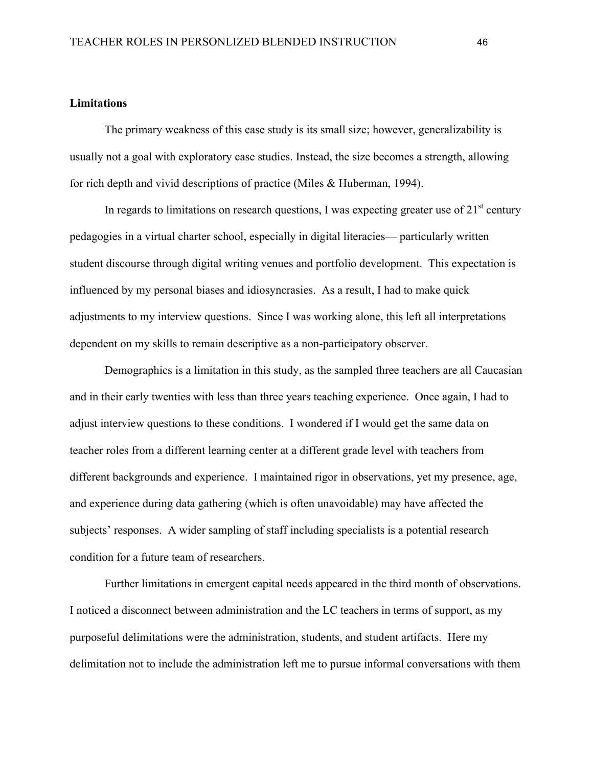#### **Limitations**

The primary weakness of this case study is its small size; however, generalizability is usually not a goal with exploratory case studies. Instead, the size becomes a strength, allowing for rich depth and vivid descriptions of practice (Miles & Huberman, 1994).

In regards to limitations on research questions, I was expecting greater use of  $21<sup>st</sup>$  century pedagogies in a virtual charter school, especially in digital literacies— particularly written student discourse through digital writing venues and portfolio development. This expectation is influenced by my personal biases and idiosyncrasies. As a result, I had to make quick adjustments to my interview questions. Since I was working alone, this left all interpretations dependent on my skills to remain descriptive as a non-participatory observer.

Demographics is a limitation in this study, as the sampled three teachers are all Caucasian and in their early twenties with less than three years teaching experience. Once again, I had to adjust interview questions to these conditions. I wondered if I would get the same data on teacher roles from a different learning center at a different grade level with teachers from different backgrounds and experience. I maintained rigor in observations, yet my presence, age, and experience during data gathering (which is often unavoidable) may have affected the subjects' responses. A wider sampling of staff including specialists is a potential research condition for a future team of researchers.

Further limitations in emergent capital needs appeared in the third month of observations. I noticed a disconnect between administration and the LC teachers in terms of support, as my purposeful delimitations were the administration, students, and student artifacts. Here my delimitation not to include the administration left me to pursue informal conversations with them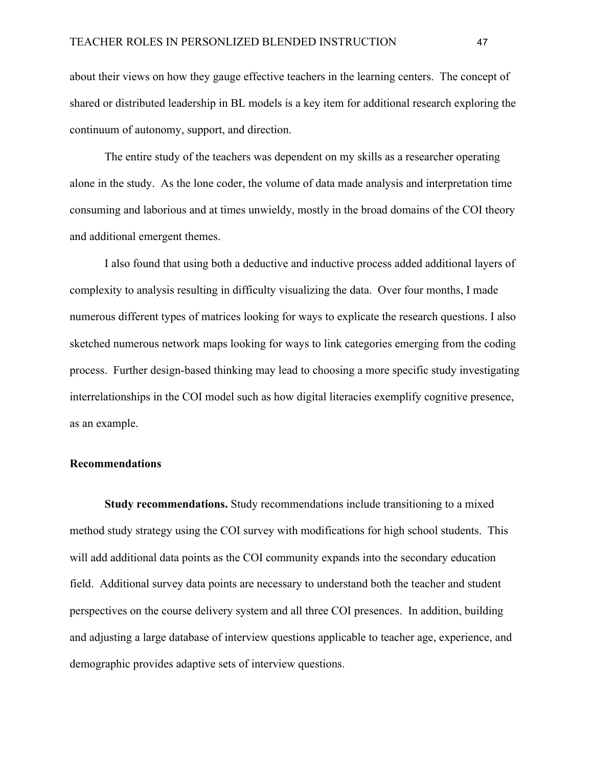about their views on how they gauge effective teachers in the learning centers. The concept of shared or distributed leadership in BL models is a key item for additional research exploring the continuum of autonomy, support, and direction.

The entire study of the teachers was dependent on my skills as a researcher operating alone in the study. As the lone coder, the volume of data made analysis and interpretation time consuming and laborious and at times unwieldy, mostly in the broad domains of the COI theory and additional emergent themes.

I also found that using both a deductive and inductive process added additional layers of complexity to analysis resulting in difficulty visualizing the data. Over four months, I made numerous different types of matrices looking for ways to explicate the research questions. I also sketched numerous network maps looking for ways to link categories emerging from the coding process. Further design-based thinking may lead to choosing a more specific study investigating interrelationships in the COI model such as how digital literacies exemplify cognitive presence, as an example.

#### **Recommendations**

**Study recommendations.** Study recommendations include transitioning to a mixed method study strategy using the COI survey with modifications for high school students. This will add additional data points as the COI community expands into the secondary education field. Additional survey data points are necessary to understand both the teacher and student perspectives on the course delivery system and all three COI presences. In addition, building and adjusting a large database of interview questions applicable to teacher age, experience, and demographic provides adaptive sets of interview questions.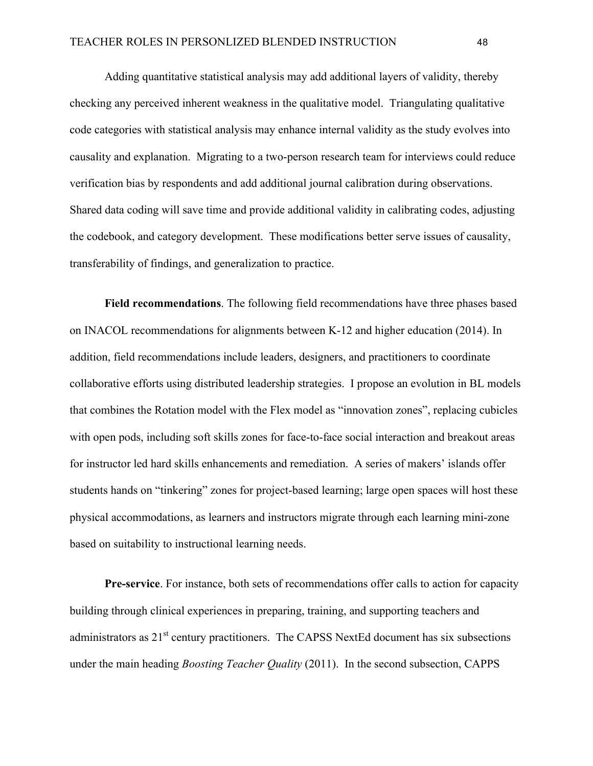Adding quantitative statistical analysis may add additional layers of validity, thereby checking any perceived inherent weakness in the qualitative model. Triangulating qualitative code categories with statistical analysis may enhance internal validity as the study evolves into causality and explanation. Migrating to a two-person research team for interviews could reduce verification bias by respondents and add additional journal calibration during observations. Shared data coding will save time and provide additional validity in calibrating codes, adjusting the codebook, and category development. These modifications better serve issues of causality, transferability of findings, and generalization to practice.

**Field recommendations**. The following field recommendations have three phases based on INACOL recommendations for alignments between K-12 and higher education (2014). In addition, field recommendations include leaders, designers, and practitioners to coordinate collaborative efforts using distributed leadership strategies. I propose an evolution in BL models that combines the Rotation model with the Flex model as "innovation zones", replacing cubicles with open pods, including soft skills zones for face-to-face social interaction and breakout areas for instructor led hard skills enhancements and remediation. A series of makers' islands offer students hands on "tinkering" zones for project-based learning; large open spaces will host these physical accommodations, as learners and instructors migrate through each learning mini-zone based on suitability to instructional learning needs.

**Pre-service**. For instance, both sets of recommendations offer calls to action for capacity building through clinical experiences in preparing, training, and supporting teachers and administrators as  $21<sup>st</sup>$  century practitioners. The CAPSS NextEd document has six subsections under the main heading *Boosting Teacher Quality* (2011). In the second subsection, CAPPS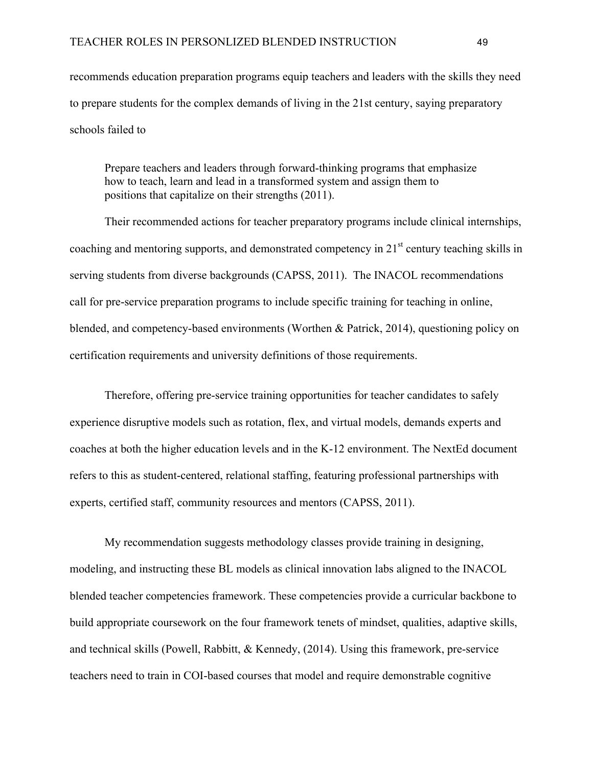recommends education preparation programs equip teachers and leaders with the skills they need to prepare students for the complex demands of living in the 21st century, saying preparatory schools failed to

Prepare teachers and leaders through forward-thinking programs that emphasize how to teach, learn and lead in a transformed system and assign them to positions that capitalize on their strengths (2011).

Their recommended actions for teacher preparatory programs include clinical internships, coaching and mentoring supports, and demonstrated competency in  $21<sup>st</sup>$  century teaching skills in serving students from diverse backgrounds (CAPSS, 2011). The INACOL recommendations call for pre-service preparation programs to include specific training for teaching in online, blended, and competency-based environments (Worthen & Patrick, 2014), questioning policy on certification requirements and university definitions of those requirements.

Therefore, offering pre-service training opportunities for teacher candidates to safely experience disruptive models such as rotation, flex, and virtual models, demands experts and coaches at both the higher education levels and in the K-12 environment. The NextEd document refers to this as student-centered, relational staffing, featuring professional partnerships with experts, certified staff, community resources and mentors (CAPSS, 2011).

My recommendation suggests methodology classes provide training in designing, modeling, and instructing these BL models as clinical innovation labs aligned to the INACOL blended teacher competencies framework. These competencies provide a curricular backbone to build appropriate coursework on the four framework tenets of mindset, qualities, adaptive skills, and technical skills (Powell, Rabbitt, & Kennedy, (2014). Using this framework, pre-service teachers need to train in COI-based courses that model and require demonstrable cognitive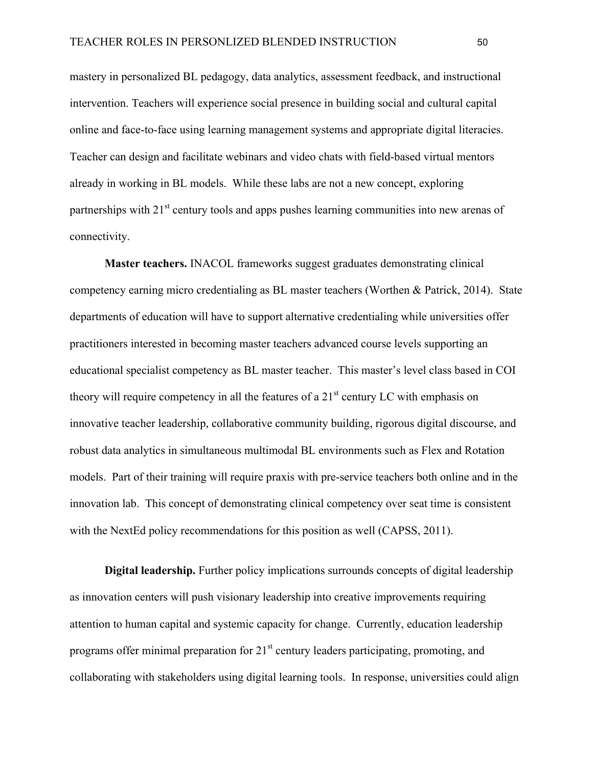mastery in personalized BL pedagogy, data analytics, assessment feedback, and instructional intervention. Teachers will experience social presence in building social and cultural capital online and face-to-face using learning management systems and appropriate digital literacies. Teacher can design and facilitate webinars and video chats with field-based virtual mentors already in working in BL models. While these labs are not a new concept, exploring partnerships with 21<sup>st</sup> century tools and apps pushes learning communities into new arenas of connectivity.

**Master teachers.** INACOL frameworks suggest graduates demonstrating clinical competency earning micro credentialing as BL master teachers (Worthen & Patrick, 2014). State departments of education will have to support alternative credentialing while universities offer practitioners interested in becoming master teachers advanced course levels supporting an educational specialist competency as BL master teacher. This master's level class based in COI theory will require competency in all the features of a  $21<sup>st</sup>$  century LC with emphasis on innovative teacher leadership, collaborative community building, rigorous digital discourse, and robust data analytics in simultaneous multimodal BL environments such as Flex and Rotation models. Part of their training will require praxis with pre-service teachers both online and in the innovation lab. This concept of demonstrating clinical competency over seat time is consistent with the NextEd policy recommendations for this position as well (CAPSS, 2011).

**Digital leadership.** Further policy implications surrounds concepts of digital leadership as innovation centers will push visionary leadership into creative improvements requiring attention to human capital and systemic capacity for change. Currently, education leadership programs offer minimal preparation for  $21<sup>st</sup>$  century leaders participating, promoting, and collaborating with stakeholders using digital learning tools. In response, universities could align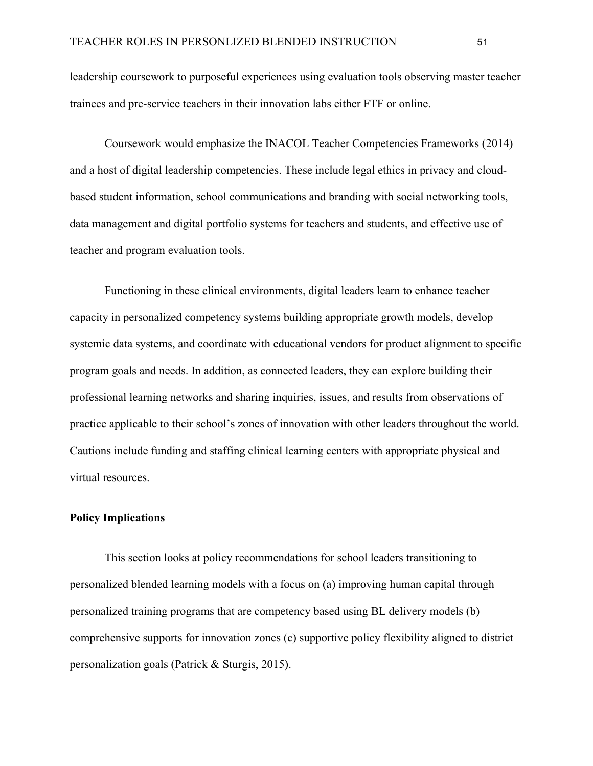leadership coursework to purposeful experiences using evaluation tools observing master teacher trainees and pre-service teachers in their innovation labs either FTF or online.

Coursework would emphasize the INACOL Teacher Competencies Frameworks (2014) and a host of digital leadership competencies. These include legal ethics in privacy and cloudbased student information, school communications and branding with social networking tools, data management and digital portfolio systems for teachers and students, and effective use of teacher and program evaluation tools.

Functioning in these clinical environments, digital leaders learn to enhance teacher capacity in personalized competency systems building appropriate growth models, develop systemic data systems, and coordinate with educational vendors for product alignment to specific program goals and needs. In addition, as connected leaders, they can explore building their professional learning networks and sharing inquiries, issues, and results from observations of practice applicable to their school's zones of innovation with other leaders throughout the world. Cautions include funding and staffing clinical learning centers with appropriate physical and virtual resources.

#### **Policy Implications**

This section looks at policy recommendations for school leaders transitioning to personalized blended learning models with a focus on (a) improving human capital through personalized training programs that are competency based using BL delivery models (b) comprehensive supports for innovation zones (c) supportive policy flexibility aligned to district personalization goals (Patrick & Sturgis, 2015).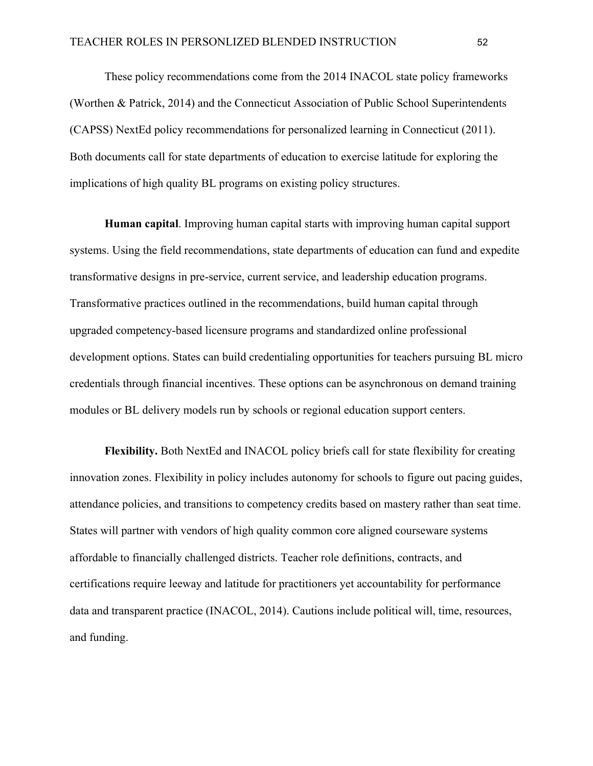These policy recommendations come from the 2014 INACOL state policy frameworks (Worthen & Patrick, 2014) and the Connecticut Association of Public School Superintendents (CAPSS) NextEd policy recommendations for personalized learning in Connecticut (2011). Both documents call for state departments of education to exercise latitude for exploring the implications of high quality BL programs on existing policy structures.

**Human capital**. Improving human capital starts with improving human capital support systems. Using the field recommendations, state departments of education can fund and expedite transformative designs in pre-service, current service, and leadership education programs. Transformative practices outlined in the recommendations, build human capital through upgraded competency-based licensure programs and standardized online professional development options. States can build credentialing opportunities for teachers pursuing BL micro credentials through financial incentives. These options can be asynchronous on demand training modules or BL delivery models run by schools or regional education support centers.

**Flexibility.** Both NextEd and INACOL policy briefs call for state flexibility for creating innovation zones. Flexibility in policy includes autonomy for schools to figure out pacing guides, attendance policies, and transitions to competency credits based on mastery rather than seat time. States will partner with vendors of high quality common core aligned courseware systems affordable to financially challenged districts. Teacher role definitions, contracts, and certifications require leeway and latitude for practitioners yet accountability for performance data and transparent practice (INACOL, 2014). Cautions include political will, time, resources, and funding.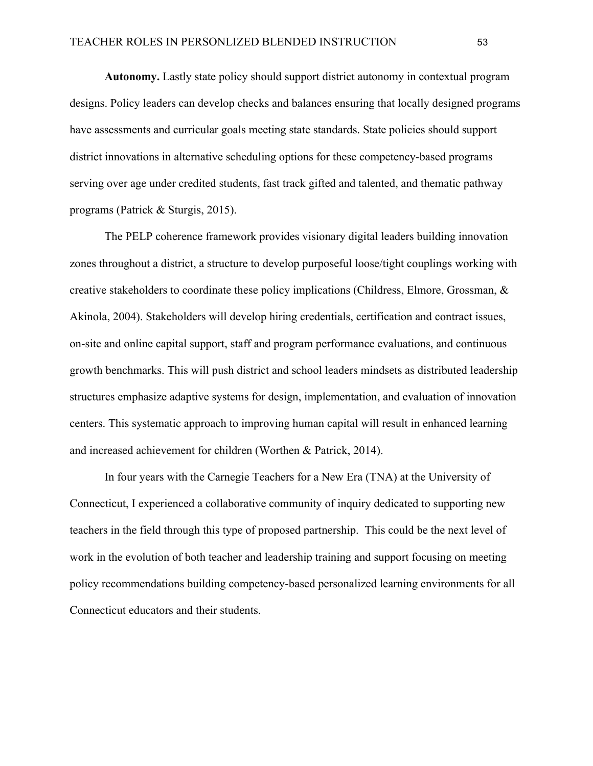**Autonomy.** Lastly state policy should support district autonomy in contextual program designs. Policy leaders can develop checks and balances ensuring that locally designed programs have assessments and curricular goals meeting state standards. State policies should support district innovations in alternative scheduling options for these competency-based programs serving over age under credited students, fast track gifted and talented, and thematic pathway programs (Patrick & Sturgis, 2015).

The PELP coherence framework provides visionary digital leaders building innovation zones throughout a district, a structure to develop purposeful loose/tight couplings working with creative stakeholders to coordinate these policy implications (Childress, Elmore, Grossman, & Akinola, 2004). Stakeholders will develop hiring credentials, certification and contract issues, on-site and online capital support, staff and program performance evaluations, and continuous growth benchmarks. This will push district and school leaders mindsets as distributed leadership structures emphasize adaptive systems for design, implementation, and evaluation of innovation centers. This systematic approach to improving human capital will result in enhanced learning and increased achievement for children (Worthen & Patrick, 2014).

In four years with the Carnegie Teachers for a New Era (TNA) at the University of Connecticut, I experienced a collaborative community of inquiry dedicated to supporting new teachers in the field through this type of proposed partnership. This could be the next level of work in the evolution of both teacher and leadership training and support focusing on meeting policy recommendations building competency-based personalized learning environments for all Connecticut educators and their students.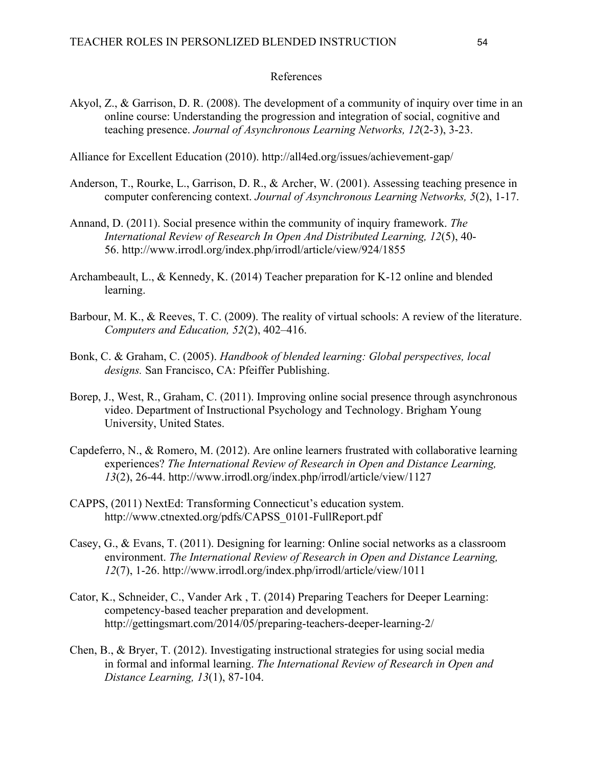#### References

Akyol, Z., & Garrison, D. R. (2008). The development of a community of inquiry over time in an online course: Understanding the progression and integration of social, cognitive and teaching presence. *Journal of Asynchronous Learning Networks, 12*(2-3), 3-23.

Alliance for Excellent Education (2010). http://all4ed.org/issues/achievement-gap/

- Anderson, T., Rourke, L., Garrison, D. R., & Archer, W. (2001). Assessing teaching presence in computer conferencing context. *Journal of Asynchronous Learning Networks, 5*(2), 1-17.
- Annand, D. (2011). Social presence within the community of inquiry framework. *The International Review of Research In Open And Distributed Learning, 12*(5), 40- 56. http://www.irrodl.org/index.php/irrodl/article/view/924/1855
- Archambeault, L., & Kennedy, K. (2014) Teacher preparation for K-12 online and blended learning.
- Barbour, M. K., & Reeves, T. C. (2009). The reality of virtual schools: A review of the literature. *Computers and Education, 52*(2), 402–416.
- Bonk, C. & Graham, C. (2005). *Handbook of blended learning: Global perspectives, local designs.* San Francisco, CA: Pfeiffer Publishing.
- Borep, J., West, R., Graham, C. (2011). Improving online social presence through asynchronous video. Department of Instructional Psychology and Technology. Brigham Young University, United States.
- Capdeferro, N., & Romero, M. (2012). Are online learners frustrated with collaborative learning experiences? *The International Review of Research in Open and Distance Learning, 13*(2), 26-44. http://www.irrodl.org/index.php/irrodl/article/view/1127
- CAPPS, (2011) NextEd: Transforming Connecticut's education system. http://www.ctnexted.org/pdfs/CAPSS\_0101-FullReport.pdf
- Casey, G., & Evans, T. (2011). Designing for learning: Online social networks as a classroom environment. *The International Review of Research in Open and Distance Learning, 12*(7), 1-26. http://www.irrodl.org/index.php/irrodl/article/view/1011
- Cator, K., Schneider, C., Vander Ark , T. (2014) Preparing Teachers for Deeper Learning: competency-based teacher preparation and development. http://gettingsmart.com/2014/05/preparing-teachers-deeper-learning-2/
- Chen, B., & Bryer, T. (2012). Investigating instructional strategies for using social media in formal and informal learning. *The International Review of Research in Open and Distance Learning, 13*(1), 87-104.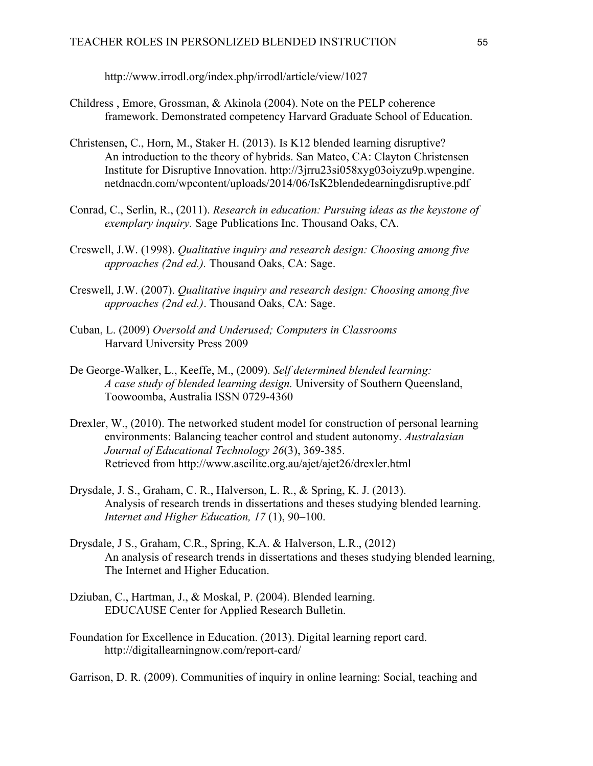http://www.irrodl.org/index.php/irrodl/article/view/1027

- Childress , Emore, Grossman, & Akinola (2004). Note on the PELP coherence framework. Demonstrated competency Harvard Graduate School of Education.
- Christensen, C., Horn, M., Staker H. (2013). Is K12 blended learning disruptive? An introduction to the theory of hybrids. San Mateo, CA: Clayton Christensen Institute for Disruptive Innovation. http://3jrru23si058xyg03oiyzu9p.wpengine. netdnacdn.com/wpcontent/uploads/2014/06/IsK2blendedearningdisruptive.pdf
- Conrad, C., Serlin, R., (2011). *Research in education: Pursuing ideas as the keystone of exemplary inquiry.* Sage Publications Inc. Thousand Oaks, CA.
- Creswell, J.W. (1998). *Qualitative inquiry and research design: Choosing among five approaches (2nd ed.).* Thousand Oaks, CA: Sage.
- Creswell, J.W. (2007). *Qualitative inquiry and research design: Choosing among five approaches (2nd ed.)*. Thousand Oaks, CA: Sage.
- Cuban, L. (2009) *Oversold and Underused; Computers in Classrooms* Harvard University Press 2009
- De George-Walker, L., Keeffe, M., (2009). *Self determined blended learning: A case study of blended learning design.* University of Southern Queensland, Toowoomba, Australia ISSN 0729-4360
- Drexler, W., (2010). The networked student model for construction of personal learning environments: Balancing teacher control and student autonomy. *Australasian Journal of Educational Technology 26*(3), 369-385. Retrieved from http://www.ascilite.org.au/ajet/ajet26/drexler.html
- Drysdale, J. S., Graham, C. R., Halverson, L. R., & Spring, K. J. (2013). Analysis of research trends in dissertations and theses studying blended learning. *Internet and Higher Education, 17* (1), 90–100.
- Drysdale, J S., Graham, C.R., Spring, K.A. & Halverson, L.R., (2012) An analysis of research trends in dissertations and theses studying blended learning, The Internet and Higher Education.
- Dziuban, C., Hartman, J., & Moskal, P. (2004). Blended learning. EDUCAUSE Center for Applied Research Bulletin.
- Foundation for Excellence in Education. (2013). Digital learning report card. http://digitallearningnow.com/report-card/

Garrison, D. R. (2009). Communities of inquiry in online learning: Social, teaching and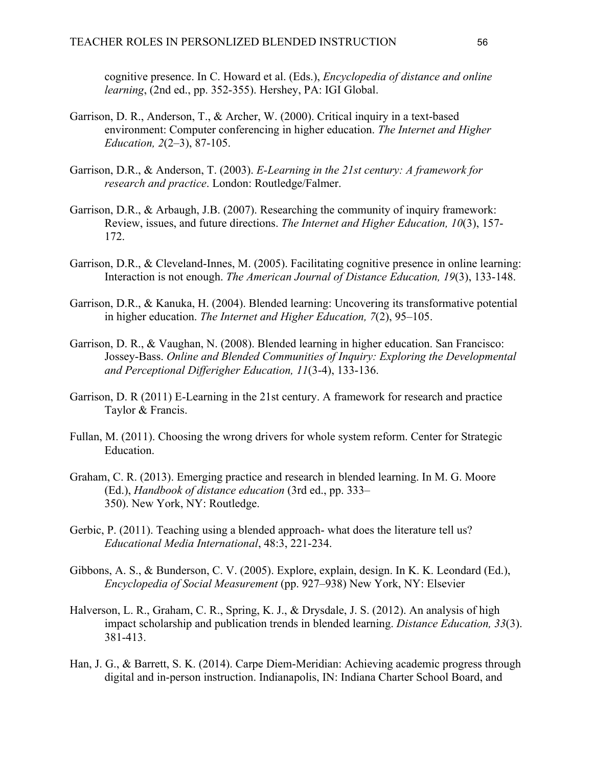cognitive presence. In C. Howard et al. (Eds.), *Encyclopedia of distance and online learning*, (2nd ed., pp. 352-355). Hershey, PA: IGI Global.

- Garrison, D. R., Anderson, T., & Archer, W. (2000). Critical inquiry in a text-based environment: Computer conferencing in higher education. *The Internet and Higher Education, 2*(2–3), 87-105.
- Garrison, D.R., & Anderson, T. (2003). *E-Learning in the 21st century: A framework for research and practice*. London: Routledge/Falmer.
- Garrison, D.R., & Arbaugh, J.B. (2007). Researching the community of inquiry framework: Review, issues, and future directions. *The Internet and Higher Education, 10*(3), 157- 172.
- Garrison, D.R., & Cleveland-Innes, M. (2005). Facilitating cognitive presence in online learning: Interaction is not enough. *The American Journal of Distance Education, 19*(3), 133-148.
- Garrison, D.R., & Kanuka, H. (2004). Blended learning: Uncovering its transformative potential in higher education. *The Internet and Higher Education, 7*(2), 95–105.
- Garrison, D. R., & Vaughan, N. (2008). Blended learning in higher education. San Francisco: Jossey-Bass. *Online and Blended Communities of Inquiry: Exploring the Developmental and Perceptional Differigher Education, 11*(3-4), 133-136.
- Garrison, D. R (2011) E-Learning in the 21st century. A framework for research and practice Taylor & Francis.
- Fullan, M. (2011). Choosing the wrong drivers for whole system reform. Center for Strategic Education.
- Graham, C. R. (2013). Emerging practice and research in blended learning. In M. G. Moore (Ed.), *Handbook of distance education* (3rd ed., pp. 333– 350). New York, NY: Routledge.
- Gerbic, P. (2011). Teaching using a blended approach- what does the literature tell us? *Educational Media International*, 48:3, 221-234.
- Gibbons, A. S., & Bunderson, C. V. (2005). Explore, explain, design. In K. K. Leondard (Ed.), *Encyclopedia of Social Measurement* (pp. 927–938) New York, NY: Elsevier
- Halverson, L. R., Graham, C. R., Spring, K. J., & Drysdale, J. S. (2012). An analysis of high impact scholarship and publication trends in blended learning. *Distance Education, 33*(3). 381-413.
- Han, J. G., & Barrett, S. K. (2014). Carpe Diem-Meridian: Achieving academic progress through digital and in-person instruction. Indianapolis, IN: Indiana Charter School Board, and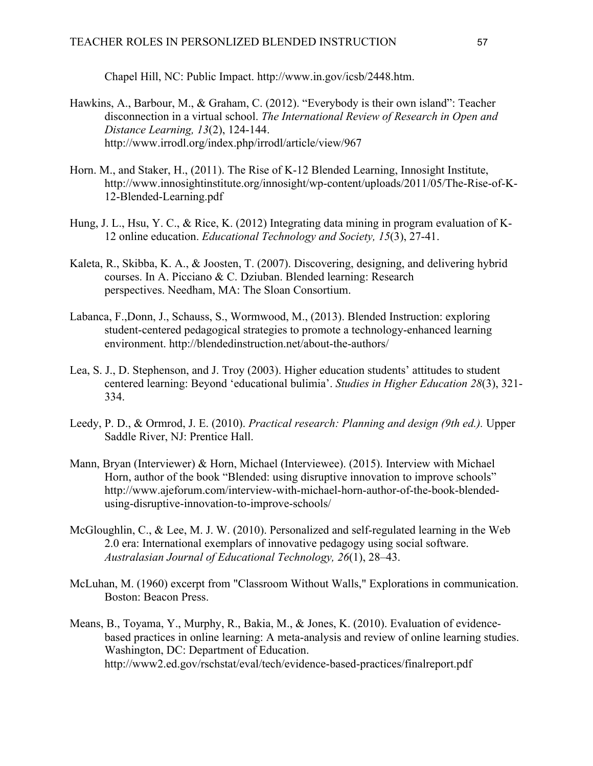Chapel Hill, NC: Public Impact. http://www.in.gov/icsb/2448.htm.

- Hawkins, A., Barbour, M., & Graham, C. (2012). "Everybody is their own island": Teacher disconnection in a virtual school. *The International Review of Research in Open and Distance Learning, 13*(2), 124-144. http://www.irrodl.org/index.php/irrodl/article/view/967
- Horn. M., and Staker, H., (2011). The Rise of K-12 Blended Learning, Innosight Institute, http://www.innosightinstitute.org/innosight/wp-content/uploads/2011/05/The-Rise-of-K-12-Blended-Learning.pdf
- Hung, J. L., Hsu, Y. C., & Rice, K. (2012) Integrating data mining in program evaluation of K-12 online education. *Educational Technology and Society, 15*(3), 27-41.
- Kaleta, R., Skibba, K. A., & Joosten, T. (2007). Discovering, designing, and delivering hybrid courses. In A. Picciano & C. Dziuban. Blended learning: Research perspectives. Needham, MA: The Sloan Consortium.
- Labanca, F.,Donn, J., Schauss, S., Wormwood, M., (2013). Blended Instruction: exploring student-centered pedagogical strategies to promote a technology-enhanced learning environment. http://blendedinstruction.net/about-the-authors/
- Lea, S. J., D. Stephenson, and J. Troy (2003). Higher education students' attitudes to student centered learning: Beyond 'educational bulimia'. *Studies in Higher Education 28*(3), 321- 334.
- Leedy, P. D., & Ormrod, J. E. (2010). *Practical research: Planning and design (9th ed.).* Upper Saddle River, NJ: Prentice Hall.
- Mann, Bryan (Interviewer) & Horn, Michael (Interviewee). (2015). Interview with Michael Horn, author of the book "Blended: using disruptive innovation to improve schools" http://www.ajeforum.com/interview-with-michael-horn-author-of-the-book-blendedusing-disruptive-innovation-to-improve-schools/
- McGloughlin, C., & Lee, M. J. W. (2010). Personalized and self-regulated learning in the Web 2.0 era: International exemplars of innovative pedagogy using social software. *Australasian Journal of Educational Technology, 26*(1), 28–43.
- McLuhan, M. (1960) excerpt from "Classroom Without Walls," Explorations in communication. Boston: Beacon Press.
- Means, B., Toyama, Y., Murphy, R., Bakia, M., & Jones, K. (2010). Evaluation of evidencebased practices in online learning: A meta-analysis and review of online learning studies. Washington, DC: Department of Education. http://www2.ed.gov/rschstat/eval/tech/evidence-based-practices/finalreport.pdf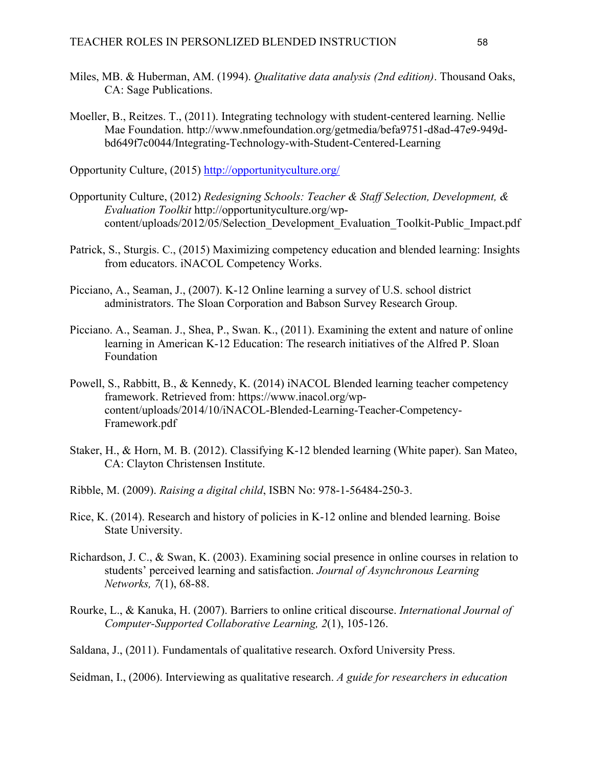- Miles, MB. & Huberman, AM. (1994). *Qualitative data analysis (2nd edition)*. Thousand Oaks, CA: Sage Publications.
- Moeller, B., Reitzes. T., (2011). Integrating technology with student-centered learning. Nellie Mae Foundation. http://www.nmefoundation.org/getmedia/befa9751-d8ad-47e9-949dbd649f7c0044/Integrating-Technology-with-Student-Centered-Learning

Opportunity Culture, (2015) http://opportunityculture.org/

- Opportunity Culture, (2012) *Redesigning Schools: Teacher & Staff Selection, Development, & Evaluation Toolkit* http://opportunityculture.org/wpcontent/uploads/2012/05/Selection\_Development\_Evaluation\_Toolkit-Public\_Impact.pdf
- Patrick, S., Sturgis. C., (2015) Maximizing competency education and blended learning: Insights from educators. iNACOL Competency Works.
- Picciano, A., Seaman, J., (2007). K-12 Online learning a survey of U.S. school district administrators. The Sloan Corporation and Babson Survey Research Group.
- Picciano. A., Seaman. J., Shea, P., Swan. K., (2011). Examining the extent and nature of online learning in American K-12 Education: The research initiatives of the Alfred P. Sloan Foundation
- Powell, S., Rabbitt, B., & Kennedy, K. (2014) iNACOL Blended learning teacher competency framework. Retrieved from: https://www.inacol.org/wpcontent/uploads/2014/10/iNACOL-Blended-Learning-Teacher-Competency-Framework.pdf
- Staker, H., & Horn, M. B. (2012). Classifying K-12 blended learning (White paper). San Mateo, CA: Clayton Christensen Institute.
- Ribble, M. (2009). *Raising a digital child*, ISBN No: 978-1-56484-250-3.
- Rice, K. (2014). Research and history of policies in K-12 online and blended learning. Boise State University.
- Richardson, J. C., & Swan, K. (2003). Examining social presence in online courses in relation to students' perceived learning and satisfaction. *Journal of Asynchronous Learning Networks, 7*(1), 68-88.
- Rourke, L., & Kanuka, H. (2007). Barriers to online critical discourse. *International Journal of Computer-Supported Collaborative Learning, 2*(1), 105-126.

Saldana, J., (2011). Fundamentals of qualitative research. Oxford University Press.

Seidman, I., (2006). Interviewing as qualitative research. *A guide for researchers in education*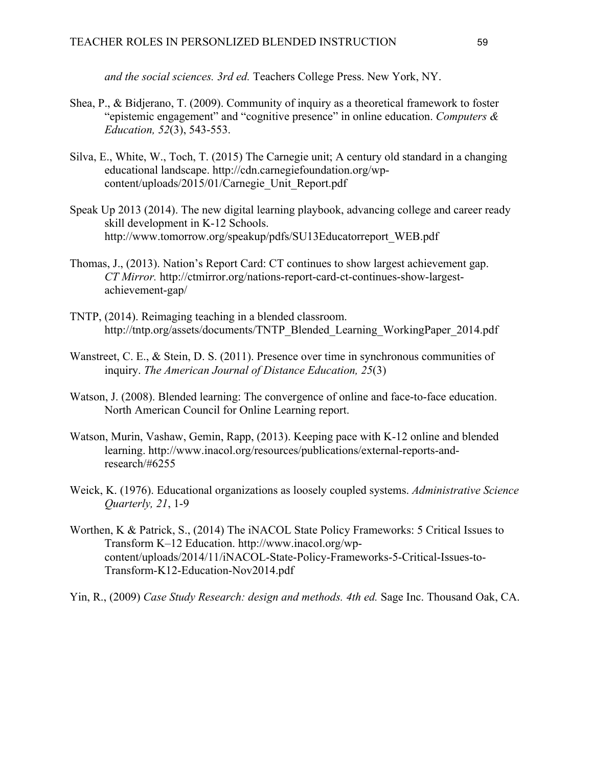*and the social sciences. 3rd ed.* Teachers College Press. New York, NY.

- Shea, P., & Bidjerano, T. (2009). Community of inquiry as a theoretical framework to foster "epistemic engagement" and "cognitive presence" in online education. *Computers & Education, 52*(3), 543-553.
- Silva, E., White, W., Toch, T. (2015) The Carnegie unit; A century old standard in a changing educational landscape. http://cdn.carnegiefoundation.org/wpcontent/uploads/2015/01/Carnegie\_Unit\_Report.pdf
- Speak Up 2013 (2014). The new digital learning playbook, advancing college and career ready skill development in K-12 Schools. http://www.tomorrow.org/speakup/pdfs/SU13Educatorreport\_WEB.pdf
- Thomas, J., (2013). Nation's Report Card: CT continues to show largest achievement gap. *CT Mirror.* http://ctmirror.org/nations-report-card-ct-continues-show-largestachievement-gap/
- TNTP, (2014). Reimaging teaching in a blended classroom. http://tntp.org/assets/documents/TNTP\_Blended\_Learning\_WorkingPaper\_2014.pdf
- Wanstreet, C. E., & Stein, D. S. (2011). Presence over time in synchronous communities of inquiry. *The American Journal of Distance Education, 25*(3)
- Watson, J. (2008). Blended learning: The convergence of online and face-to-face education. North American Council for Online Learning report.
- Watson, Murin, Vashaw, Gemin, Rapp, (2013). Keeping pace with K-12 online and blended learning. http://www.inacol.org/resources/publications/external-reports-andresearch/#6255
- Weick, K. (1976). Educational organizations as loosely coupled systems. *Administrative Science Quarterly, 21*, 1-9
- Worthen, K & Patrick, S., (2014) The iNACOL State Policy Frameworks: 5 Critical Issues to Transform K–12 Education. http://www.inacol.org/wpcontent/uploads/2014/11/iNACOL-State-Policy-Frameworks-5-Critical-Issues-to-Transform-K12-Education-Nov2014.pdf
- Yin, R., (2009) *Case Study Research: design and methods. 4th ed.* Sage Inc. Thousand Oak, CA.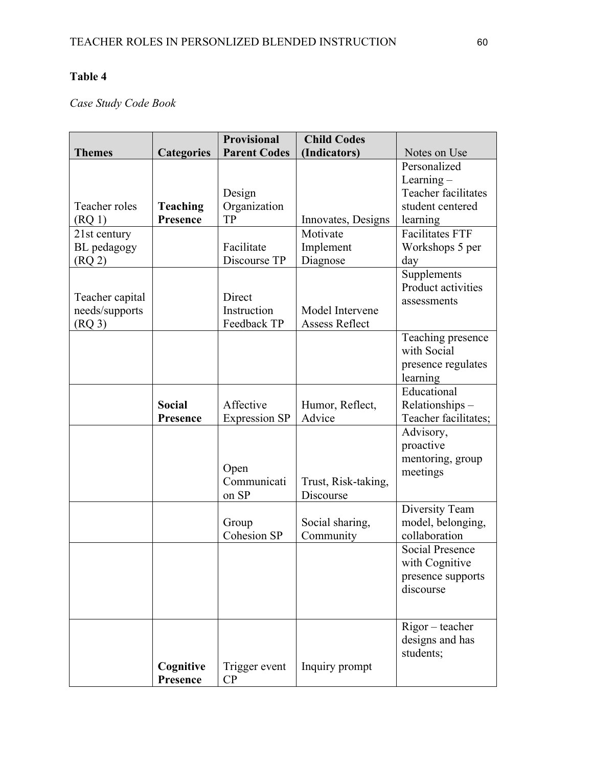## **Table 4**

# *Case Study Code Book*

|                 |                   | <b>Provisional</b>   | <b>Child Codes</b>  |                        |
|-----------------|-------------------|----------------------|---------------------|------------------------|
| <b>Themes</b>   | <b>Categories</b> | <b>Parent Codes</b>  | (Indicators)        | Notes on Use           |
|                 |                   |                      |                     | Personalized           |
|                 |                   |                      |                     | Learning-              |
|                 |                   | Design               |                     | Teacher facilitates    |
| Teacher roles   | <b>Teaching</b>   | Organization         |                     | student centered       |
| $($ RQ 1 $)$    | Presence          | TP                   | Innovates, Designs  | learning               |
| 21st century    |                   |                      | Motivate            | <b>Facilitates FTF</b> |
| BL pedagogy     |                   | Facilitate           | Implement           | Workshops 5 per        |
| $($ RQ 2 $)$    |                   | Discourse TP         | Diagnose            | day                    |
|                 |                   |                      |                     | Supplements            |
|                 |                   |                      |                     | Product activities     |
| Teacher capital |                   | Direct               |                     | assessments            |
| needs/supports  |                   | Instruction          | Model Intervene     |                        |
| $($ RQ 3 $)$    |                   | Feedback TP          | Assess Reflect      |                        |
|                 |                   |                      |                     | Teaching presence      |
|                 |                   |                      |                     | with Social            |
|                 |                   |                      |                     | presence regulates     |
|                 |                   |                      |                     | learning               |
|                 |                   |                      |                     | Educational            |
|                 | <b>Social</b>     | Affective            | Humor, Reflect,     | Relationships-         |
|                 | Presence          | <b>Expression SP</b> | Advice              | Teacher facilitates;   |
|                 |                   |                      |                     | Advisory,              |
|                 |                   |                      |                     | proactive              |
|                 |                   | Open                 |                     | mentoring, group       |
|                 |                   | Communicati          | Trust, Risk-taking, | meetings               |
|                 |                   | on SP                | Discourse           |                        |
|                 |                   |                      |                     | Diversity Team         |
|                 |                   | Group                | Social sharing,     | model, belonging,      |
|                 |                   | <b>Cohesion SP</b>   | Community           | collaboration          |
|                 |                   |                      |                     | <b>Social Presence</b> |
|                 |                   |                      |                     | with Cognitive         |
|                 |                   |                      |                     | presence supports      |
|                 |                   |                      |                     | discourse              |
|                 |                   |                      |                     |                        |
|                 |                   |                      |                     |                        |
|                 |                   |                      |                     | Rigor - teacher        |
|                 |                   |                      |                     | designs and has        |
|                 |                   |                      |                     | students;              |
|                 | Cognitive         | Trigger event        | Inquiry prompt      |                        |
|                 | Presence          | CP                   |                     |                        |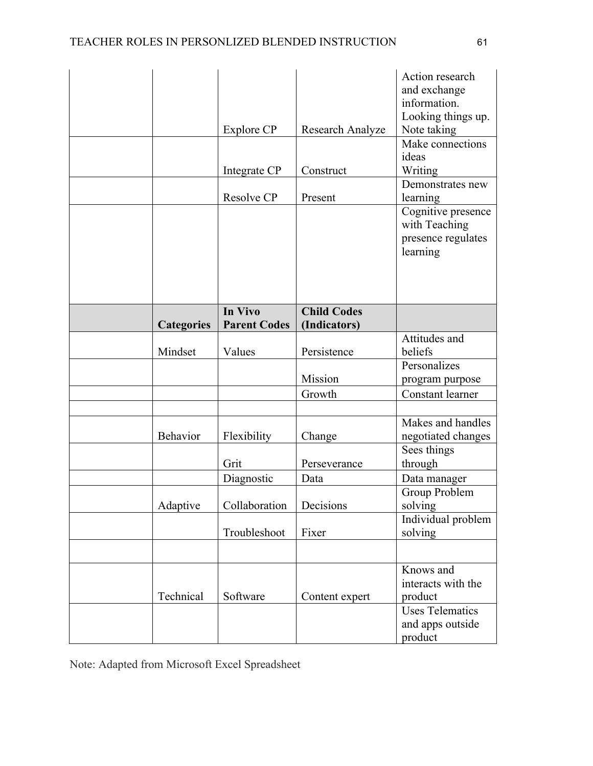|                   | Explore CP          | Research Analyze   | Action research<br>and exchange<br>information.<br>Looking things up.<br>Note taking |
|-------------------|---------------------|--------------------|--------------------------------------------------------------------------------------|
|                   |                     |                    | Make connections                                                                     |
|                   |                     |                    | ideas                                                                                |
|                   | Integrate CP        | Construct          | Writing<br>Demonstrates new                                                          |
|                   | Resolve CP          | Present            | learning                                                                             |
|                   |                     |                    | Cognitive presence<br>with Teaching<br>presence regulates<br>learning                |
|                   | In Vivo             | <b>Child Codes</b> |                                                                                      |
| <b>Categories</b> | <b>Parent Codes</b> | (Indicators)       |                                                                                      |
| Mindset           | Values              | Persistence        | Attitudes and<br>beliefs                                                             |
|                   |                     | Mission            | Personalizes<br>program purpose                                                      |
|                   |                     | Growth             | Constant learner                                                                     |
|                   |                     |                    |                                                                                      |
| Behavior          | Flexibility         |                    | Makes and handles                                                                    |
|                   |                     | Change             | negotiated changes<br>Sees things                                                    |
|                   | Grit                | Perseverance       | through                                                                              |
|                   | Diagnostic          | Data               | Data manager                                                                         |
|                   |                     |                    | Group Problem                                                                        |
| Adaptive          | Collaboration       | Decisions          | solving                                                                              |
|                   | Troubleshoot        | Fixer              | Individual problem<br>solving                                                        |
|                   |                     |                    |                                                                                      |
| Technical         | Software            | Content expert     | Knows and<br>interacts with the<br>product                                           |
|                   |                     |                    | <b>Uses Telematics</b><br>and apps outside<br>product                                |

Note: Adapted from Microsoft Excel Spreadsheet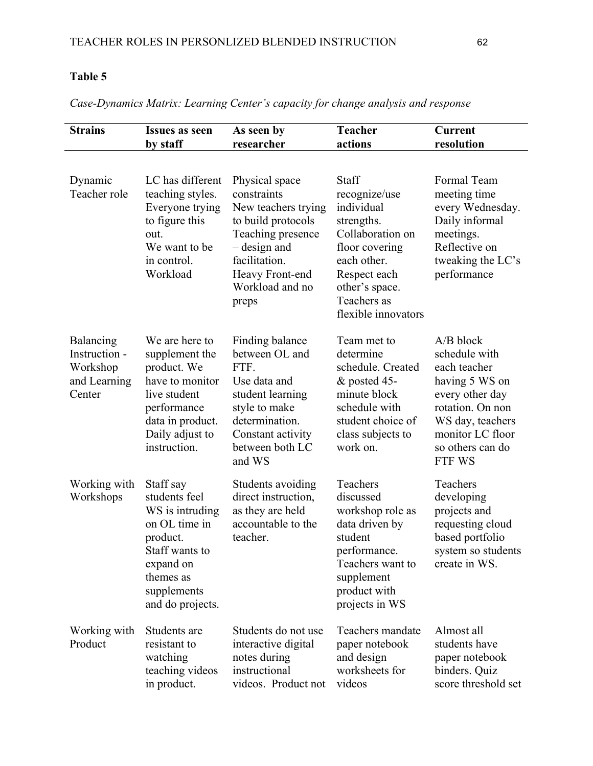## **Table 5**

*Case-Dynamics Matrix: Learning Center's capacity for change analysis and response*

| <b>Strains</b>                                                   | Issues as seen<br>by staff                                                                                                                                | As seen by<br>researcher                                                                                                                                                        | <b>Teacher</b><br>actions                                                                                                                                                              | <b>Current</b><br>resolution                                                                                                                                                |
|------------------------------------------------------------------|-----------------------------------------------------------------------------------------------------------------------------------------------------------|---------------------------------------------------------------------------------------------------------------------------------------------------------------------------------|----------------------------------------------------------------------------------------------------------------------------------------------------------------------------------------|-----------------------------------------------------------------------------------------------------------------------------------------------------------------------------|
| Dynamic<br>Teacher role                                          | LC has different<br>teaching styles.<br>Everyone trying<br>to figure this<br>out.<br>We want to be<br>in control.<br>Workload                             | Physical space<br>constraints<br>New teachers trying<br>to build protocols<br>Teaching presence<br>- design and<br>facilitation.<br>Heavy Front-end<br>Workload and no<br>preps | <b>Staff</b><br>recognize/use<br>individual<br>strengths.<br>Collaboration on<br>floor covering<br>each other.<br>Respect each<br>other's space.<br>Teachers as<br>flexible innovators | Formal Team<br>meeting time<br>every Wednesday.<br>Daily informal<br>meetings.<br>Reflective on<br>tweaking the LC's<br>performance                                         |
| Balancing<br>Instruction -<br>Workshop<br>and Learning<br>Center | We are here to<br>supplement the<br>product. We<br>have to monitor<br>live student<br>performance<br>data in product.<br>Daily adjust to<br>instruction.  | Finding balance<br>between OL and<br>FTF.<br>Use data and<br>student learning<br>style to make<br>determination.<br>Constant activity<br>between both LC<br>and WS              | Team met to<br>determine<br>schedule. Created<br>& posted 45-<br>minute block<br>schedule with<br>student choice of<br>class subjects to<br>work on.                                   | $A/B$ block<br>schedule with<br>each teacher<br>having 5 WS on<br>every other day<br>rotation. On non<br>WS day, teachers<br>monitor LC floor<br>so others can do<br>FTF WS |
| Working with<br>Workshops                                        | Staff say<br>students feel<br>WS is intruding<br>on OL time in<br>product.<br>Staff wants to<br>expand on<br>themes as<br>supplements<br>and do projects. | Students avoiding<br>direct instruction,<br>as they are held<br>accountable to the<br>teacher.                                                                                  | Teachers<br>discussed<br>workshop role as<br>data driven by<br>student<br>performance.<br>Teachers want to<br>supplement<br>product with<br>projects in WS                             | Teachers<br>developing<br>projects and<br>requesting cloud<br>based portfolio<br>system so students<br>create in WS.                                                        |
| Working with<br>Product                                          | Students are<br>resistant to<br>watching<br>teaching videos<br>in product.                                                                                | Students do not use<br>interactive digital<br>notes during<br>instructional<br>videos. Product not                                                                              | Teachers mandate<br>paper notebook<br>and design<br>worksheets for<br>videos                                                                                                           | Almost all<br>students have<br>paper notebook<br>binders. Quiz<br>score threshold set                                                                                       |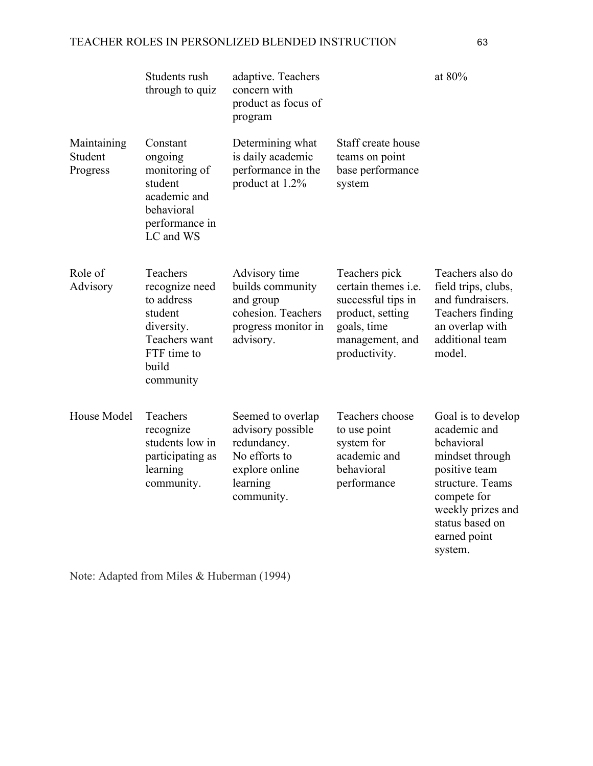|                                    | Students rush<br>through to quiz                                                                                        | adaptive. Teachers<br>concern with<br>product as focus of<br>program                                               |                                                                                                                                          | at 80%                                                                                                                                                                                     |
|------------------------------------|-------------------------------------------------------------------------------------------------------------------------|--------------------------------------------------------------------------------------------------------------------|------------------------------------------------------------------------------------------------------------------------------------------|--------------------------------------------------------------------------------------------------------------------------------------------------------------------------------------------|
| Maintaining<br>Student<br>Progress | Constant<br>ongoing<br>monitoring of<br>student<br>academic and<br>behavioral<br>performance in<br>LC and WS            | Determining what<br>is daily academic<br>performance in the<br>product at 1.2%                                     | Staff create house<br>teams on point<br>base performance<br>system                                                                       |                                                                                                                                                                                            |
| Role of<br>Advisory                | Teachers<br>recognize need<br>to address<br>student<br>diversity.<br>Teachers want<br>FTF time to<br>build<br>community | Advisory time<br>builds community<br>and group<br>cohesion. Teachers<br>progress monitor in<br>advisory.           | Teachers pick<br>certain themes <i>i.e.</i><br>successful tips in<br>product, setting<br>goals, time<br>management, and<br>productivity. | Teachers also do<br>field trips, clubs,<br>and fundraisers.<br>Teachers finding<br>an overlap with<br>additional team<br>model.                                                            |
| House Model                        | Teachers<br>recognize<br>students low in<br>participating as<br>learning<br>community.                                  | Seemed to overlap<br>advisory possible<br>redundancy.<br>No efforts to<br>explore online<br>learning<br>community. | Teachers choose<br>to use point<br>system for<br>academic and<br>behavioral<br>performance                                               | Goal is to develop<br>academic and<br>behavioral<br>mindset through<br>positive team<br>structure. Teams<br>compete for<br>weekly prizes and<br>status based on<br>earned point<br>system. |

Note: Adapted from Miles & Huberman (1994)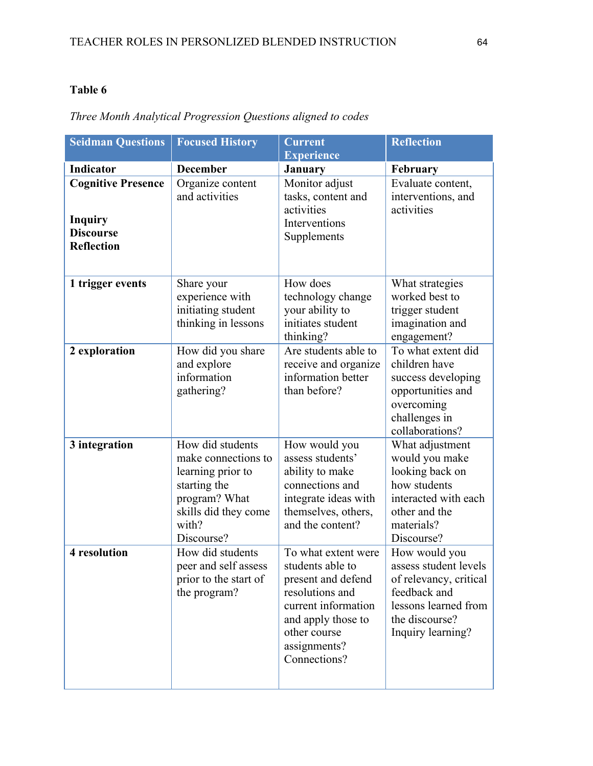## **Table 6**

| <b>Seidman Questions</b>                                                             | <b>Focused History</b>                                                                                                                       | <b>Current</b><br><b>Experience</b>                                                                                                                                           | <b>Reflection</b>                                                                                                                               |
|--------------------------------------------------------------------------------------|----------------------------------------------------------------------------------------------------------------------------------------------|-------------------------------------------------------------------------------------------------------------------------------------------------------------------------------|-------------------------------------------------------------------------------------------------------------------------------------------------|
| Indicator                                                                            | <b>December</b>                                                                                                                              | January                                                                                                                                                                       | February                                                                                                                                        |
| <b>Cognitive Presence</b><br><b>Inquiry</b><br><b>Discourse</b><br><b>Reflection</b> | Organize content<br>and activities                                                                                                           | Monitor adjust<br>tasks, content and<br>activities<br>Interventions<br>Supplements                                                                                            | Evaluate content,<br>interventions, and<br>activities                                                                                           |
| 1 trigger events<br>2 exploration                                                    | Share your<br>experience with<br>initiating student<br>thinking in lessons<br>How did you share<br>and explore                               | How does<br>technology change<br>your ability to<br>initiates student<br>thinking?<br>Are students able to<br>receive and organize                                            | What strategies<br>worked best to<br>trigger student<br>imagination and<br>engagement?<br>To what extent did<br>children have                   |
|                                                                                      | information<br>gathering?                                                                                                                    | information better<br>than before?                                                                                                                                            | success developing<br>opportunities and<br>overcoming<br>challenges in<br>collaborations?                                                       |
| 3 integration                                                                        | How did students<br>make connections to<br>learning prior to<br>starting the<br>program? What<br>skills did they come<br>with?<br>Discourse? | How would you<br>assess students'<br>ability to make<br>connections and<br>integrate ideas with<br>themselves, others,<br>and the content?                                    | What adjustment<br>would you make<br>looking back on<br>how students<br>interacted with each<br>other and the<br>materials?<br>Discourse?       |
| 4 resolution                                                                         | How did students<br>peer and self assess<br>prior to the start of<br>the program?                                                            | To what extent were<br>students able to<br>present and defend<br>resolutions and<br>current information<br>and apply those to<br>other course<br>assignments?<br>Connections? | How would you<br>assess student levels<br>of relevancy, critical<br>feedback and<br>lessons learned from<br>the discourse?<br>Inquiry learning? |

# *Three Month Analytical Progression Questions aligned to codes*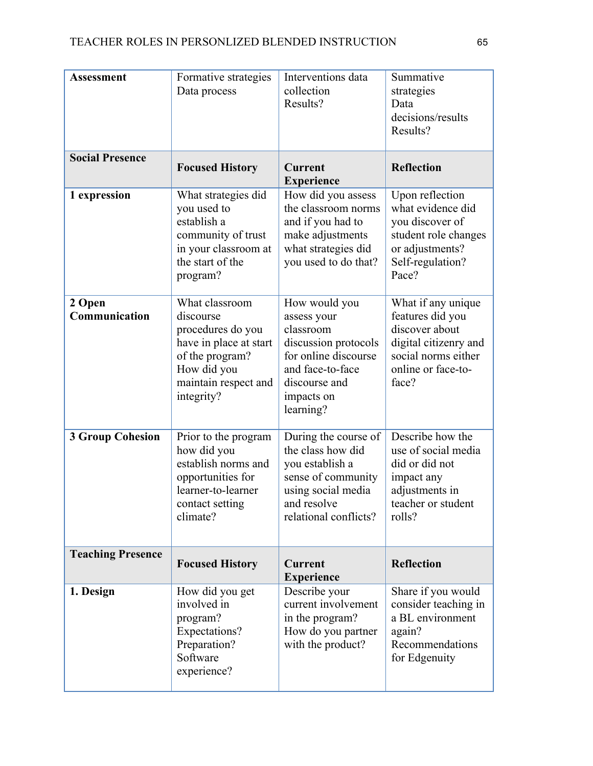| <b>Assessment</b>        | Formative strategies<br>Data process                                                                                                               | Interventions data<br>collection<br>Results?                                                                                                              | Summative<br>strategies<br>Data<br>decisions/results<br>Results?                                                                        |
|--------------------------|----------------------------------------------------------------------------------------------------------------------------------------------------|-----------------------------------------------------------------------------------------------------------------------------------------------------------|-----------------------------------------------------------------------------------------------------------------------------------------|
| <b>Social Presence</b>   | <b>Focused History</b>                                                                                                                             | <b>Current</b><br><b>Experience</b>                                                                                                                       | <b>Reflection</b>                                                                                                                       |
| 1 expression             | What strategies did<br>you used to<br>establish a<br>community of trust<br>in your classroom at<br>the start of the<br>program?                    | How did you assess<br>the classroom norms<br>and if you had to<br>make adjustments<br>what strategies did<br>you used to do that?                         | Upon reflection<br>what evidence did<br>you discover of<br>student role changes<br>or adjustments?<br>Self-regulation?<br>Pace?         |
| 2 Open<br>Communication  | What classroom<br>discourse<br>procedures do you<br>have in place at start<br>of the program?<br>How did you<br>maintain respect and<br>integrity? | How would you<br>assess your<br>classroom<br>discussion protocols<br>for online discourse<br>and face-to-face<br>discourse and<br>impacts on<br>learning? | What if any unique<br>features did you<br>discover about<br>digital citizenry and<br>social norms either<br>online or face-to-<br>face? |
| <b>3 Group Cohesion</b>  | Prior to the program<br>how did you<br>establish norms and<br>opportunities for<br>learner-to-learner<br>contact setting<br>climate?               | During the course of<br>the class how did<br>you establish a<br>sense of community<br>using social media<br>and resolve<br>relational conflicts?          | Describe how the<br>use of social media<br>did or did not<br>impact any<br>adjustments in<br>teacher or student<br>rolls?               |
| <b>Teaching Presence</b> | <b>Focused History</b>                                                                                                                             | <b>Current</b><br><b>Experience</b>                                                                                                                       | <b>Reflection</b>                                                                                                                       |
| 1. Design                | How did you get<br>involved in<br>program?<br>Expectations?<br>Preparation?<br>Software<br>experience?                                             | Describe your<br>current involvement<br>in the program?<br>How do you partner<br>with the product?                                                        | Share if you would<br>consider teaching in<br>a BL environment<br>again?<br>Recommendations<br>for Edgenuity                            |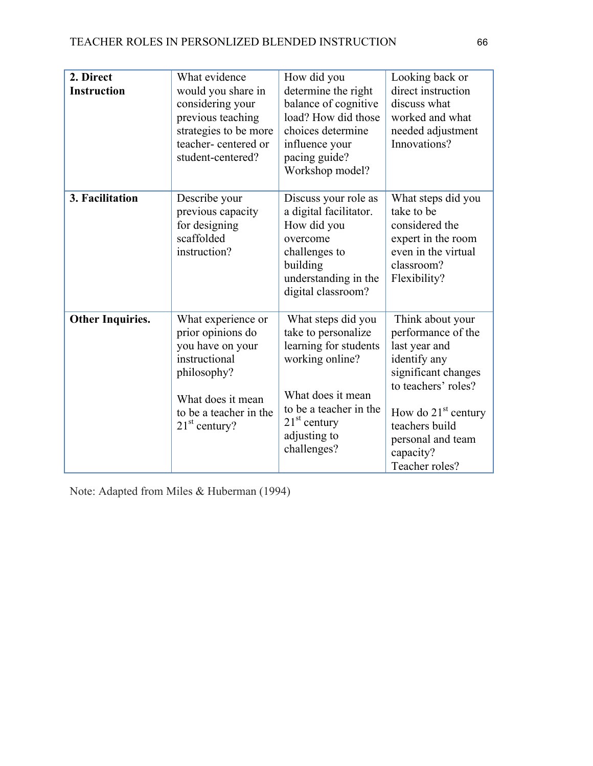| 2. Direct<br><b>Instruction</b> | What evidence<br>would you share in<br>considering your<br>previous teaching<br>strategies to be more<br>teacher-centered or<br>student-centered?             | How did you<br>determine the right<br>balance of cognitive<br>load? How did those<br>choices determine<br>influence your<br>pacing guide?<br>Workshop model?                          | Looking back or<br>direct instruction<br>discuss what<br>worked and what<br>needed adjustment<br>Innovations?                                                                                                        |
|---------------------------------|---------------------------------------------------------------------------------------------------------------------------------------------------------------|---------------------------------------------------------------------------------------------------------------------------------------------------------------------------------------|----------------------------------------------------------------------------------------------------------------------------------------------------------------------------------------------------------------------|
| 3. Facilitation                 | Describe your<br>previous capacity<br>for designing<br>scaffolded<br>instruction?                                                                             | Discuss your role as<br>a digital facilitator.<br>How did you<br>overcome<br>challenges to<br>building<br>understanding in the<br>digital classroom?                                  | What steps did you<br>take to be<br>considered the<br>expert in the room<br>even in the virtual<br>classroom?<br>Flexibility?                                                                                        |
| <b>Other Inquiries.</b>         | What experience or<br>prior opinions do<br>you have on your<br>instructional<br>philosophy?<br>What does it mean<br>to be a teacher in the<br>$21st$ century? | What steps did you<br>take to personalize<br>learning for students<br>working online?<br>What does it mean<br>to be a teacher in the<br>$21st$ century<br>adjusting to<br>challenges? | Think about your<br>performance of the<br>last year and<br>identify any<br>significant changes<br>to teachers' roles?<br>How do $21st$ century<br>teachers build<br>personal and team<br>capacity?<br>Teacher roles? |

Note: Adapted from Miles & Huberman (1994)